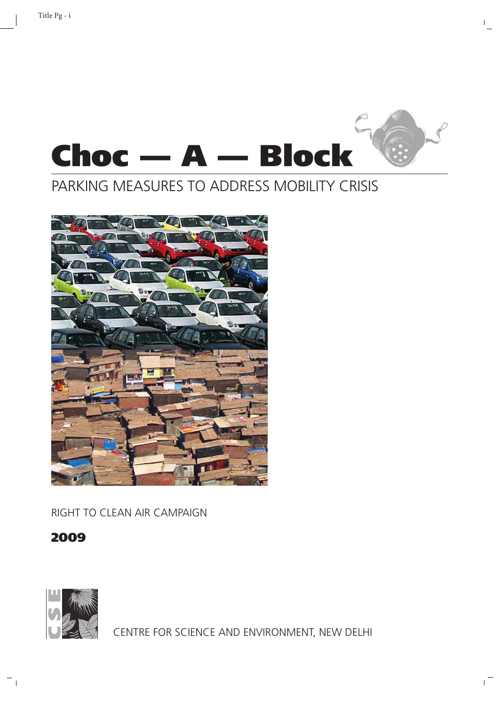

# PARKING MEASURES TO ADDRESS MOBILITY CRISIS



RIGHT TO CLEAN AIR CAMPAIGN

**2009**



CENTRE FOR SCIENCE AND ENVIRONMENT, NEW DELHI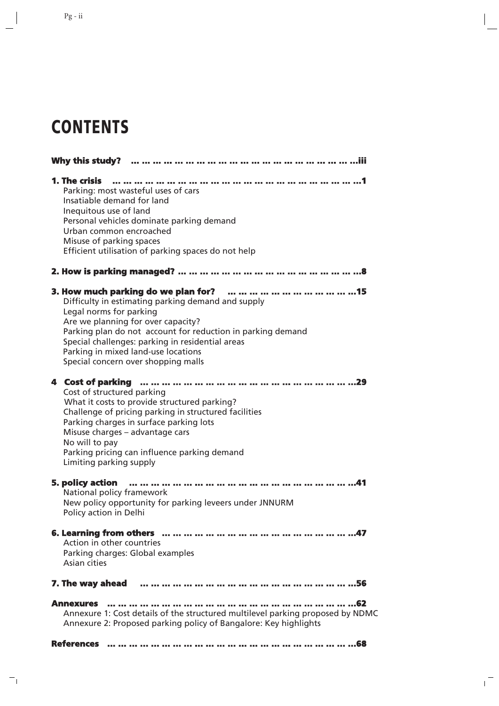# **CONTENTS**

| <br>1. The crisis<br>Parking: most wasteful uses of cars<br>Insatiable demand for land<br>Inequitous use of land<br>Personal vehicles dominate parking demand<br>Urban common encroached<br>Misuse of parking spaces<br>Efficient utilisation of parking spaces do not help                                                         |
|-------------------------------------------------------------------------------------------------------------------------------------------------------------------------------------------------------------------------------------------------------------------------------------------------------------------------------------|
|                                                                                                                                                                                                                                                                                                                                     |
| Difficulty in estimating parking demand and supply<br>Legal norms for parking<br>Are we planning for over capacity?<br>Parking plan do not account for reduction in parking demand<br>Special challenges: parking in residential areas<br>Parking in mixed land-use locations<br>Special concern over shopping malls                |
| 4 Cost of parking<br>Cost of structured parking<br>What it costs to provide structured parking?<br>Challenge of pricing parking in structured facilities<br>Parking charges in surface parking lots<br>Misuse charges - advantage cars<br>No will to pay<br>Parking pricing can influence parking demand<br>Limiting parking supply |
| 5. policy action<br>National policy framework<br>New policy opportunity for parking leveers under JNNURM<br>Policy action in Delhi                                                                                                                                                                                                  |
| Action in other countries<br>Parking charges: Global examples<br>Asian cities                                                                                                                                                                                                                                                       |
| 7. The way ahead <b>we are a manufation</b> in the control of the control of the control of 56                                                                                                                                                                                                                                      |
| <b>Annexures</b><br>Annexure 1: Cost details of the structured multilevel parking proposed by NDMC                                                                                                                                                                                                                                  |

Annexure 2: Proposed parking policy of Bangalore: Key highlights **References … … … … … … … … … … … … … … … … … … … … … … …68**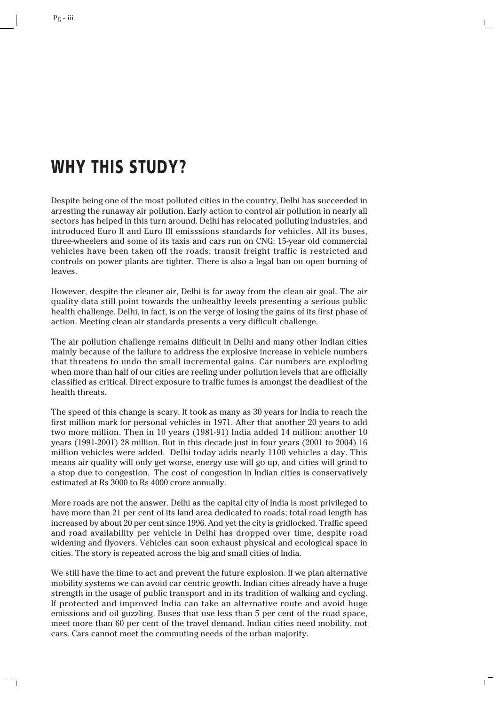# **WHY THIS STUDY?**

Despite being one of the most polluted cities in the country, Delhi has succeeded in arresting the runaway air pollution. Early action to control air pollution in nearly all sectors has helped in this turn around. Delhi has relocated polluting industries, and introduced Euro II and Euro III emisssions standards for vehicles. All its buses, three-wheelers and some of its taxis and cars run on CNG; 15-year old commercial vehicles have been taken off the roads; transit freight traffic is restricted and controls on power plants are tighter. There is also a legal ban on open burning of leaves.

However, despite the cleaner air, Delhi is far away from the clean air goal. The air quality data still point towards the unhealthy levels presenting a serious public health challenge. Delhi, in fact, is on the verge of losing the gains of its first phase of action. Meeting clean air standards presents a very difficult challenge.

The air pollution challenge remains difficult in Delhi and many other Indian cities mainly because of the failure to address the explosive increase in vehicle numbers that threatens to undo the small incremental gains. Car numbers are exploding when more than half of our cities are reeling under pollution levels that are officially classified as critical. Direct exposure to traffic fumes is amongst the deadliest of the health threats.

The speed of this change is scary. It took as many as 30 years for India to reach the first million mark for personal vehicles in 1971. After that another 20 years to add two more million. Then in 10 years (1981-91) India added 14 million; another 10 years (1991-2001) 28 million. But in this decade just in four years (2001 to 2004) 16 million vehicles were added. Delhi today adds nearly 1100 vehicles a day. This means air quality will only get worse, energy use will go up, and cities will grind to a stop due to congestion*.* The cost of congestion in Indian cities is conservatively estimated at Rs 3000 to Rs 4000 crore annually.

More roads are not the answer. Delhi as the capital city of India is most privileged to have more than 21 per cent of its land area dedicated to roads; total road length has increased by about 20 per cent since 1996. And yet the city is gridlocked. Traffic speed and road availability per vehicle in Delhi has dropped over time, despite road widening and flyovers. Vehicles can soon exhaust physical and ecological space in cities. The story is repeated across the big and small cities of India.

We still have the time to act and prevent the future explosion. If we plan alternative mobility systems we can avoid car centric growth. Indian cities already have a huge strength in the usage of public transport and in its tradition of walking and cycling. If protected and improved India can take an alternative route and avoid huge emissions and oil guzzling. Buses that use less than 5 per cent of the road space, meet more than 60 per cent of the travel demand. Indian cities need mobility, not cars. Cars cannot meet the commuting needs of the urban majority.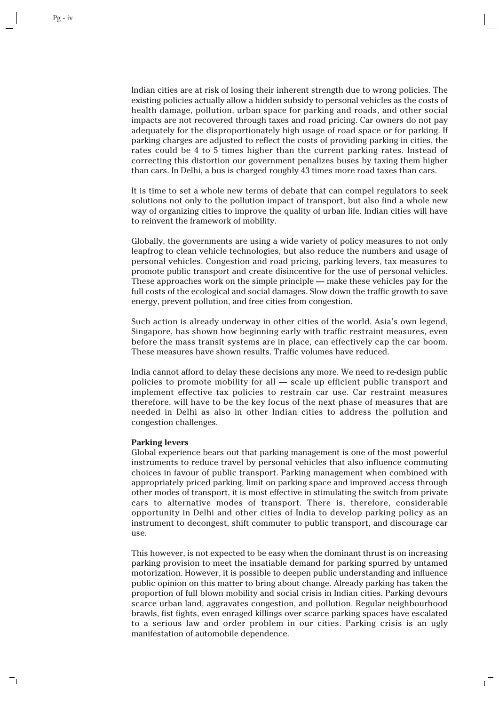Indian cities are at risk of losing their inherent strength due to wrong policies. The existing policies actually allow a hidden subsidy to personal vehicles as the costs of health damage, pollution, urban space for parking and roads, and other social impacts are not recovered through taxes and road pricing. Car owners do not pay adequately for the disproportionately high usage of road space or for parking. If parking charges are adjusted to reflect the costs of providing parking in cities, the rates could be 4 to 5 times higher than the current parking rates. Instead of correcting this distortion our government penalizes buses by taxing them higher than cars. In Delhi, a bus is charged roughly 43 times more road taxes than cars.

It is time to set a whole new terms of debate that can compel regulators to seek solutions not only to the pollution impact of transport, but also find a whole new way of organizing cities to improve the quality of urban life. Indian cities will have to reinvent the framework of mobility.

Globally, the governments are using a wide variety of policy measures to not only leapfrog to clean vehicle technologies, but also reduce the numbers and usage of personal vehicles. Congestion and road pricing, parking levers, tax measures to promote public transport and create disincentive for the use of personal vehicles. These approaches work on the simple principle — make these vehicles pay for the full costs of the ecological and social damages. Slow down the traffic growth to save energy, prevent pollution, and free cities from congestion.

Such action is already underway in other cities of the world. Asia's own legend, Singapore, has shown how beginning early with traffic restraint measures, even before the mass transit systems are in place, can effectively cap the car boom. These measures have shown results. Traffic volumes have reduced.

India cannot afford to delay these decisions any more. We need to re-design public policies to promote mobility for all — scale up efficient public transport and implement effective tax policies to restrain car use. Car restraint measures therefore, will have to be the key focus of the next phase of measures that are needed in Delhi as also in other Indian cities to address the pollution and congestion challenges.

## **Parking levers**

Global experience bears out that parking management is one of the most powerful instruments to reduce travel by personal vehicles that also influence commuting choices in favour of public transport. Parking management when combined with appropriately priced parking, limit on parking space and improved access through other modes of transport, it is most effective in stimulating the switch from private cars to alternative modes of transport. There is, therefore, considerable opportunity in Delhi and other cities of India to develop parking policy as an instrument to decongest, shift commuter to public transport, and discourage car use.

This however, is not expected to be easy when the dominant thrust is on increasing parking provision to meet the insatiable demand for parking spurred by untamed motorization. However, it is possible to deepen public understanding and influence public opinion on this matter to bring about change. Already parking has taken the proportion of full blown mobility and social crisis in Indian cities. Parking devours scarce urban land, aggravates congestion, and pollution. Regular neighbourhood brawls, fist fights, even enraged killings over scarce parking spaces have escalated to a serious law and order problem in our cities. Parking crisis is an ugly manifestation of automobile dependence.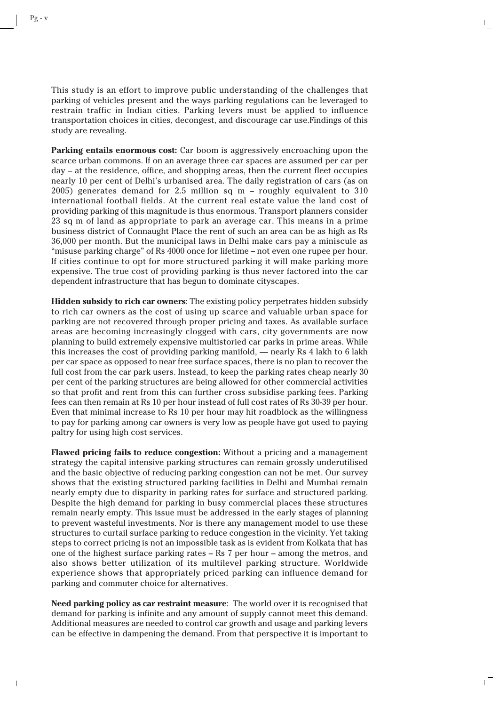This study is an effort to improve public understanding of the challenges that parking of vehicles present and the ways parking regulations can be leveraged to restrain traffic in Indian cities. Parking levers must be applied to influence transportation choices in cities, decongest, and discourage car use.Findings of this study are revealing.

**Parking entails enormous cost:** Car boom is aggressively encroaching upon the scarce urban commons. If on an average three car spaces are assumed per car per  $day - at$  the residence, office, and shopping areas, then the current fleet occupies nearly 10 per cent of Delhi's urbanised area. The daily registration of cars (as on 2005) generates demand for 2.5 million sq m – roughly equivalent to 310 international football fields. At the current real estate value the land cost of providing parking of this magnitude is thus enormous. Transport planners consider 23 sq m of land as appropriate to park an average car. This means in a prime business district of Connaught Place the rent of such an area can be as high as Rs 36,000 per month. But the municipal laws in Delhi make cars pay a miniscule as "misuse parking charge" of Rs 4000 once for lifetime – not even one rupee per hour. If cities continue to opt for more structured parking it will make parking more expensive. The true cost of providing parking is thus never factored into the car dependent infrastructure that has begun to dominate cityscapes.

**Hidden subsidy to rich car owners**: The existing policy perpetrates hidden subsidy to rich car owners as the cost of using up scarce and valuable urban space for parking are not recovered through proper pricing and taxes. As available surface areas are becoming increasingly clogged with cars, city governments are now planning to build extremely expensive multistoried car parks in prime areas. While this increases the cost of providing parking manifold, — nearly Rs 4 lakh to 6 lakh per car space as opposed to near free surface spaces, there is no plan to recover the full cost from the car park users. Instead, to keep the parking rates cheap nearly 30 per cent of the parking structures are being allowed for other commercial activities so that profit and rent from this can further cross subsidise parking fees. Parking fees can then remain at Rs 10 per hour instead of full cost rates of Rs 30-39 per hour. Even that minimal increase to Rs 10 per hour may hit roadblock as the willingness to pay for parking among car owners is very low as people have got used to paying paltry for using high cost services.

**Flawed pricing fails to reduce congestion:** Without a pricing and a management strategy the capital intensive parking structures can remain grossly underutilised and the basic objective of reducing parking congestion can not be met. Our survey shows that the existing structured parking facilities in Delhi and Mumbai remain nearly empty due to disparity in parking rates for surface and structured parking. Despite the high demand for parking in busy commercial places these structures remain nearly empty. This issue must be addressed in the early stages of planning to prevent wasteful investments. Nor is there any management model to use these structures to curtail surface parking to reduce congestion in the vicinity. Yet taking steps to correct pricing is not an impossible task as is evident from Kolkata that has one of the highest surface parking rates – Rs 7 per hour – among the metros, and also shows better utilization of its multilevel parking structure. Worldwide experience shows that appropriately priced parking can influence demand for parking and commuter choice for alternatives.

**Need parking policy as car restraint measure**: The world over it is recognised that demand for parking is infinite and any amount of supply cannot meet this demand. Additional measures are needed to control car growth and usage and parking levers can be effective in dampening the demand. From that perspective it is important to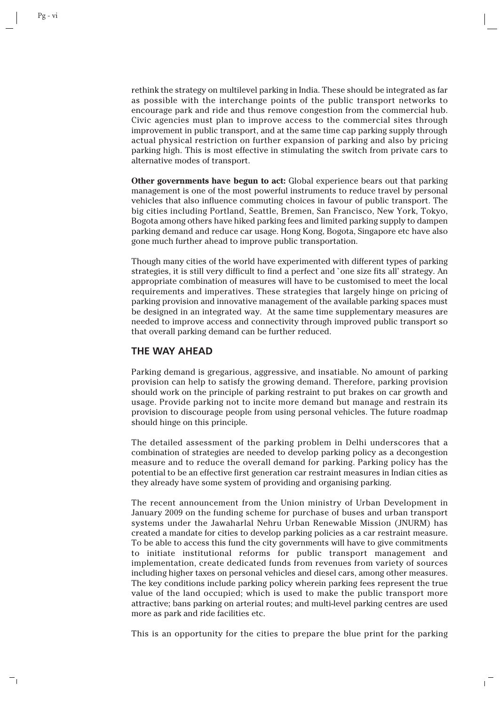rethink the strategy on multilevel parking in India. These should be integrated as far as possible with the interchange points of the public transport networks to encourage park and ride and thus remove congestion from the commercial hub. Civic agencies must plan to improve access to the commercial sites through improvement in public transport, and at the same time cap parking supply through actual physical restriction on further expansion of parking and also by pricing parking high. This is most effective in stimulating the switch from private cars to alternative modes of transport.

**Other governments have begun to act:** Global experience bears out that parking management is one of the most powerful instruments to reduce travel by personal vehicles that also influence commuting choices in favour of public transport. The big cities including Portland, Seattle, Bremen, San Francisco, New York, Tokyo, Bogota among others have hiked parking fees and limited parking supply to dampen parking demand and reduce car usage. Hong Kong, Bogota, Singapore etc have also gone much further ahead to improve public transportation.

Though many cities of the world have experimented with different types of parking strategies, it is still very difficult to find a perfect and `one size fits all' strategy. An appropriate combination of measures will have to be customised to meet the local requirements and imperatives. These strategies that largely hinge on pricing of parking provision and innovative management of the available parking spaces must be designed in an integrated way. At the same time supplementary measures are needed to improve access and connectivity through improved public transport so that overall parking demand can be further reduced.

## **THE WAY AHEAD**

Parking demand is gregarious, aggressive, and insatiable. No amount of parking provision can help to satisfy the growing demand. Therefore, parking provision should work on the principle of parking restraint to put brakes on car growth and usage. Provide parking not to incite more demand but manage and restrain its provision to discourage people from using personal vehicles. The future roadmap should hinge on this principle.

The detailed assessment of the parking problem in Delhi underscores that a combination of strategies are needed to develop parking policy as a decongestion measure and to reduce the overall demand for parking. Parking policy has the potential to be an effective first generation car restraint measures in Indian cities as they already have some system of providing and organising parking.

The recent announcement from the Union ministry of Urban Development in January 2009 on the funding scheme for purchase of buses and urban transport systems under the Jawaharlal Nehru Urban Renewable Mission (JNURM) has created a mandate for cities to develop parking policies as a car restraint measure. To be able to access this fund the city governments will have to give commitments to initiate institutional reforms for public transport management and implementation, create dedicated funds from revenues from variety of sources including higher taxes on personal vehicles and diesel cars, among other measures. The key conditions include parking policy wherein parking fees represent the true value of the land occupied; which is used to make the public transport more attractive; bans parking on arterial routes; and multi-level parking centres are used more as park and ride facilities etc.

This is an opportunity for the cities to prepare the blue print for the parking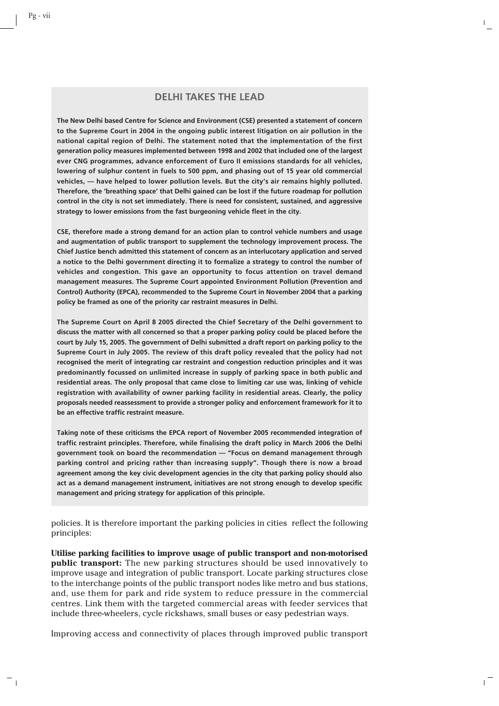# **DELHI TAKES THE LEAD**

**The New Delhi based Centre for Science and Environment (CSE) presented a statement of concern to the Supreme Court in 2004 in the ongoing public interest litigation on air pollution in the national capital region of Delhi. The statement noted that the implementation of the first generation policy measures implemented between 1998 and 2002 that included one of the largest ever CNG programmes, advance enforcement of Euro II emissions standards for all vehicles, lowering of sulphur content in fuels to 500 ppm, and phasing out of 15 year old commercial vehicles, — have helped to lower pollution levels. But the city's air remains highly polluted. Therefore, the 'breathing space' that Delhi gained can be lost if the future roadmap for pollution control in the city is not set immediately. There is need for consistent, sustained, and aggressive strategy to lower emissions from the fast burgeoning vehicle fleet in the city.** 

**CSE, therefore made a strong demand for an action plan to control vehicle numbers and usage and augmentation of public transport to supplement the technology improvement process. The Chief Justice bench admitted this statement of concern as an interlucotary application and served a notice to the Delhi government directing it to formalize a strategy to control the number of vehicles and congestion. This gave an opportunity to focus attention on travel demand management measures. The Supreme Court appointed Environment Pollution (Prevention and Control) Authority (EPCA), recommended to the Supreme Court in November 2004 that a parking policy be framed as one of the priority car restraint measures in Delhi.** 

**The Supreme Court on April 8 2005 directed the Chief Secretary of the Delhi government to discuss the matter with all concerned so that a proper parking policy could be placed before the court by July 15, 2005. The government of Delhi submitted a draft report on parking policy to the Supreme Court in July 2005. The review of this draft policy revealed that the policy had not recognised the merit of integrating car restraint and congestion reduction principles and it was predominantly focussed on unlimited increase in supply of parking space in both public and residential areas. The only proposal that came close to limiting car use was, linking of vehicle registration with availability of owner parking facility in residential areas. Clearly, the policy proposals needed reassessment to provide a stronger policy and enforcement framework for it to be an effective traffic restraint measure.**

**Taking note of these criticisms the EPCA report of November 2005 recommended integration of traffic restraint principles. Therefore, while finalising the draft policy in March 2006 the Delhi government took on board the recommendation — "Focus on demand management through parking control and pricing rather than increasing supply". Though there is now a broad agreement among the key civic development agencies in the city that parking policy should also act as a demand management instrument, initiatives are not strong enough to develop specific management and pricing strategy for application of this principle.**

policies. It is therefore important the parking policies in cities reflect the following principles:

**Utilise parking facilities to improve usage of public transport and non-motorised public transport:** The new parking structures should be used innovatively to improve usage and integration of public transport. Locate parking structures close to the interchange points of the public transport nodes like metro and bus stations, and, use them for park and ride system to reduce pressure in the commercial centres. Link them with the targeted commercial areas with feeder services that include three-wheelers, cycle rickshaws, small buses or easy pedestrian ways.

Improving access and connectivity of places through improved public transport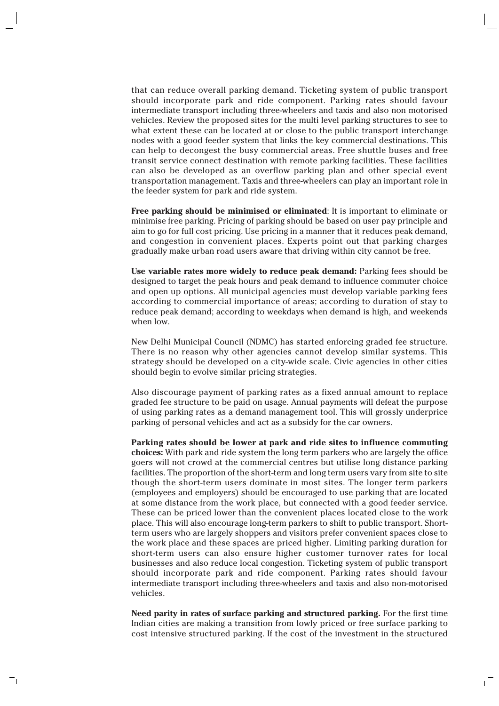that can reduce overall parking demand. Ticketing system of public transport should incorporate park and ride component. Parking rates should favour intermediate transport including three-wheelers and taxis and also non motorised vehicles. Review the proposed sites for the multi level parking structures to see to what extent these can be located at or close to the public transport interchange nodes with a good feeder system that links the key commercial destinations. This can help to decongest the busy commercial areas. Free shuttle buses and free transit service connect destination with remote parking facilities. These facilities can also be developed as an overflow parking plan and other special event transportation management. Taxis and three-wheelers can play an important role in the feeder system for park and ride system.

**Free parking should be minimised or eliminated**: It is important to eliminate or minimise free parking. Pricing of parking should be based on user pay principle and aim to go for full cost pricing. Use pricing in a manner that it reduces peak demand, and congestion in convenient places. Experts point out that parking charges gradually make urban road users aware that driving within city cannot be free.

**Use variable rates more widely to reduce peak demand:** Parking fees should be designed to target the peak hours and peak demand to influence commuter choice and open up options. All municipal agencies must develop variable parking fees according to commercial importance of areas; according to duration of stay to reduce peak demand; according to weekdays when demand is high, and weekends when low.

New Delhi Municipal Council (NDMC) has started enforcing graded fee structure. There is no reason why other agencies cannot develop similar systems. This strategy should be developed on a city-wide scale. Civic agencies in other cities should begin to evolve similar pricing strategies.

Also discourage payment of parking rates as a fixed annual amount to replace graded fee structure to be paid on usage. Annual payments will defeat the purpose of using parking rates as a demand management tool. This will grossly underprice parking of personal vehicles and act as a subsidy for the car owners.

**Parking rates should be lower at park and ride sites to influence commuting choices:** With park and ride system the long term parkers who are largely the office goers will not crowd at the commercial centres but utilise long distance parking facilities. The proportion of the short-term and long term users vary from site to site though the short-term users dominate in most sites. The longer term parkers (employees and employers) should be encouraged to use parking that are located at some distance from the work place, but connected with a good feeder service. These can be priced lower than the convenient places located close to the work place. This will also encourage long-term parkers to shift to public transport. Shortterm users who are largely shoppers and visitors prefer convenient spaces close to the work place and these spaces are priced higher. Limiting parking duration for short-term users can also ensure higher customer turnover rates for local businesses and also reduce local congestion. Ticketing system of public transport should incorporate park and ride component. Parking rates should favour intermediate transport including three-wheelers and taxis and also non-motorised vehicles.

**Need parity in rates of surface parking and structured parking.** For the first time Indian cities are making a transition from lowly priced or free surface parking to cost intensive structured parking. If the cost of the investment in the structured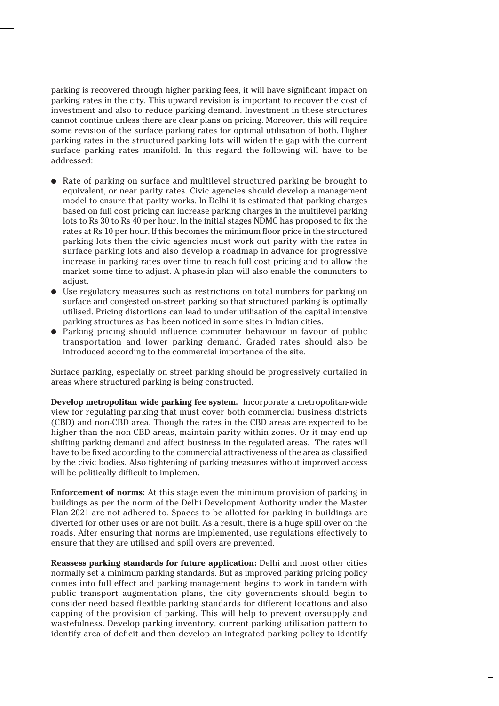parking is recovered through higher parking fees, it will have significant impact on parking rates in the city. This upward revision is important to recover the cost of investment and also to reduce parking demand. Investment in these structures cannot continue unless there are clear plans on pricing. Moreover, this will require some revision of the surface parking rates for optimal utilisation of both. Higher parking rates in the structured parking lots will widen the gap with the current surface parking rates manifold. In this regard the following will have to be addressed:

- Rate of parking on surface and multilevel structured parking be brought to equivalent, or near parity rates. Civic agencies should develop a management model to ensure that parity works. In Delhi it is estimated that parking charges based on full cost pricing can increase parking charges in the multilevel parking lots to Rs 30 to Rs 40 per hour. In the initial stages NDMC has proposed to fix the rates at Rs 10 per hour. If this becomes the minimum floor price in the structured parking lots then the civic agencies must work out parity with the rates in surface parking lots and also develop a roadmap in advance for progressive increase in parking rates over time to reach full cost pricing and to allow the market some time to adjust. A phase-in plan will also enable the commuters to adjust.
- Use regulatory measures such as restrictions on total numbers for parking on surface and congested on-street parking so that structured parking is optimally utilised. Pricing distortions can lead to under utilisation of the capital intensive parking structures as has been noticed in some sites in Indian cities.
- Parking pricing should influence commuter behaviour in favour of public transportation and lower parking demand. Graded rates should also be introduced according to the commercial importance of the site.

Surface parking, especially on street parking should be progressively curtailed in areas where structured parking is being constructed.

**Develop metropolitan wide parking fee system.** Incorporate a metropolitan-wide view for regulating parking that must cover both commercial business districts (CBD) and non-CBD area. Though the rates in the CBD areas are expected to be higher than the non-CBD areas, maintain parity within zones. Or it may end up shifting parking demand and affect business in the regulated areas. The rates will have to be fixed according to the commercial attractiveness of the area as classified by the civic bodies. Also tightening of parking measures without improved access will be politically difficult to implemen.

**Enforcement of norms:** At this stage even the minimum provision of parking in buildings as per the norm of the Delhi Development Authority under the Master Plan 2021 are not adhered to. Spaces to be allotted for parking in buildings are diverted for other uses or are not built. As a result, there is a huge spill over on the roads. After ensuring that norms are implemented, use regulations effectively to ensure that they are utilised and spill overs are prevented.

**Reassess parking standards for future application:** Delhi and most other cities normally set a minimum parking standards. But as improved parking pricing policy comes into full effect and parking management begins to work in tandem with public transport augmentation plans, the city governments should begin to consider need based flexible parking standards for different locations and also capping of the provision of parking. This will help to prevent oversupply and wastefulness. Develop parking inventory, current parking utilisation pattern to identify area of deficit and then develop an integrated parking policy to identify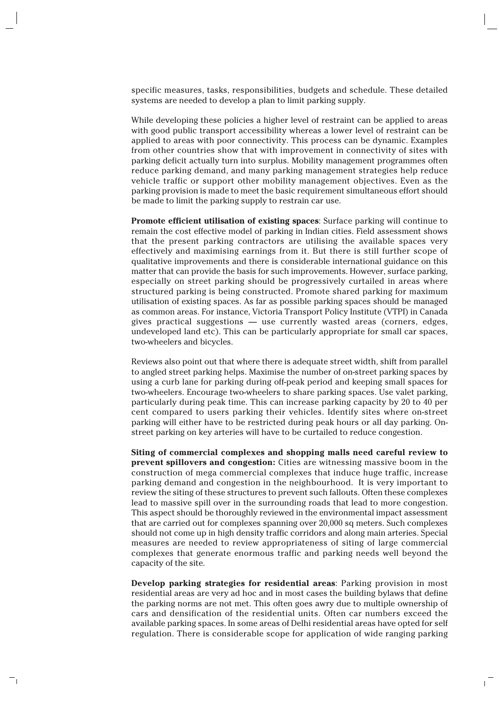specific measures, tasks, responsibilities, budgets and schedule. These detailed systems are needed to develop a plan to limit parking supply.

While developing these policies a higher level of restraint can be applied to areas with good public transport accessibility whereas a lower level of restraint can be applied to areas with poor connectivity. This process can be dynamic. Examples from other countries show that with improvement in connectivity of sites with parking deficit actually turn into surplus. Mobility management programmes often reduce parking demand, and many parking management strategies help reduce vehicle traffic or support other mobility management objectives. Even as the parking provision is made to meet the basic requirement simultaneous effort should be made to limit the parking supply to restrain car use.

**Promote efficient utilisation of existing spaces**: Surface parking will continue to remain the cost effective model of parking in Indian cities. Field assessment shows that the present parking contractors are utilising the available spaces very effectively and maximising earnings from it. But there is still further scope of qualitative improvements and there is considerable international guidance on this matter that can provide the basis for such improvements. However, surface parking, especially on street parking should be progressively curtailed in areas where structured parking is being constructed. Promote shared parking for maximum utilisation of existing spaces. As far as possible parking spaces should be managed as common areas. For instance, Victoria Transport Policy Institute (VTPI) in Canada gives practical suggestions — use currently wasted areas (corners, edges, undeveloped land etc). This can be particularly appropriate for small car spaces, two-wheelers and bicycles.

Reviews also point out that where there is adequate street width, shift from parallel to angled street parking helps. Maximise the number of on-street parking spaces by using a curb lane for parking during off-peak period and keeping small spaces for two-wheelers. Encourage two-wheelers to share parking spaces. Use valet parking, particularly during peak time. This can increase parking capacity by 20 to 40 per cent compared to users parking their vehicles. Identify sites where on-street parking will either have to be restricted during peak hours or all day parking. Onstreet parking on key arteries will have to be curtailed to reduce congestion.

**Siting of commercial complexes and shopping malls need careful review to prevent spillovers and congestion:** Cities are witnessing massive boom in the construction of mega commercial complexes that induce huge traffic, increase parking demand and congestion in the neighbourhood. It is very important to review the siting of these structures to prevent such fallouts. Often these complexes lead to massive spill over in the surrounding roads that lead to more congestion. This aspect should be thoroughly reviewed in the environmental impact assessment that are carried out for complexes spanning over 20,000 sq meters. Such complexes should not come up in high density traffic corridors and along main arteries. Special measures are needed to review appropriateness of siting of large commercial complexes that generate enormous traffic and parking needs well beyond the capacity of the site.

**Develop parking strategies for residential areas**: Parking provision in most residential areas are very ad hoc and in most cases the building bylaws that define the parking norms are not met. This often goes awry due to multiple ownership of cars and densification of the residential units. Often car numbers exceed the available parking spaces. In some areas of Delhi residential areas have opted for self regulation. There is considerable scope for application of wide ranging parking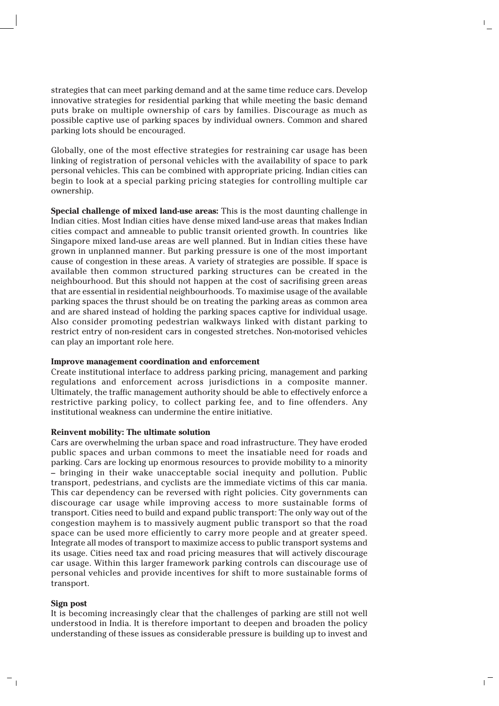strategies that can meet parking demand and at the same time reduce cars. Develop innovative strategies for residential parking that while meeting the basic demand puts brake on multiple ownership of cars by families. Discourage as much as possible captive use of parking spaces by individual owners. Common and shared parking lots should be encouraged.

Globally, one of the most effective strategies for restraining car usage has been linking of registration of personal vehicles with the availability of space to park personal vehicles. This can be combined with appropriate pricing. Indian cities can begin to look at a special parking pricing stategies for controlling multiple car ownership.

**Special challenge of mixed land-use areas:** This is the most daunting challenge in Indian cities. Most Indian cities have dense mixed land-use areas that makes Indian cities compact and amneable to public transit oriented growth. In countries like Singapore mixed land-use areas are well planned. But in Indian cities these have grown in unplanned manner. But parking pressure is one of the most important cause of congestion in these areas. A variety of strategies are possible. If space is available then common structured parking structures can be created in the neighbourhood. But this should not happen at the cost of sacrifising green areas that are essential in residential neighbourhoods. To maximise usage of the available parking spaces the thrust should be on treating the parking areas as common area and are shared instead of holding the parking spaces captive for individual usage. Also consider promoting pedestrian walkways linked with distant parking to restrict entry of non-resident cars in congested stretches. Non-motorised vehicles can play an important role here.

## **Improve management coordination and enforcement**

Create institutional interface to address parking pricing, management and parking regulations and enforcement across jurisdictions in a composite manner. Ultimately, the traffic management authority should be able to effectively enforce a restrictive parking policy, to collect parking fee, and to fine offenders. Any institutional weakness can undermine the entire initiative.

## **Reinvent mobility: The ultimate solution**

Cars are overwhelming the urban space and road infrastructure. They have eroded public spaces and urban commons to meet the insatiable need for roads and parking. Cars are locking up enormous resources to provide mobility to a minority – bringing in their wake unacceptable social inequity and pollution. Public transport, pedestrians, and cyclists are the immediate victims of this car mania. This car dependency can be reversed with right policies. City governments can discourage car usage while improving access to more sustainable forms of transport. Cities need to build and expand public transport: The only way out of the congestion mayhem is to massively augment public transport so that the road space can be used more efficiently to carry more people and at greater speed. Integrate all modes of transport to maximize access to public transport systems and its usage. Cities need tax and road pricing measures that will actively discourage car usage. Within this larger framework parking controls can discourage use of personal vehicles and provide incentives for shift to more sustainable forms of transport.

## **Sign post**

It is becoming increasingly clear that the challenges of parking are still not well understood in India. It is therefore important to deepen and broaden the policy understanding of these issues as considerable pressure is building up to invest and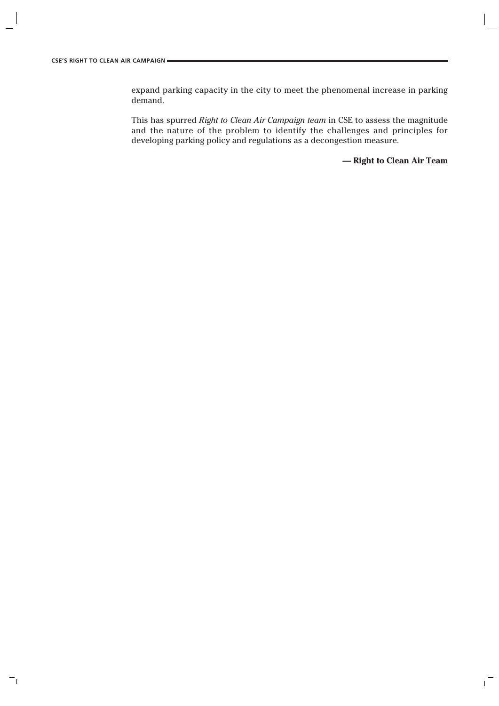Ξı

expand parking capacity in the city to meet the phenomenal increase in parking demand.

This has spurred *Right to Clean Air Campaign team* in CSE to assess the magnitude and the nature of the problem to identify the challenges and principles for developing parking policy and regulations as a decongestion measure.

**— Right to Clean Air Team**

 $\overline{1}$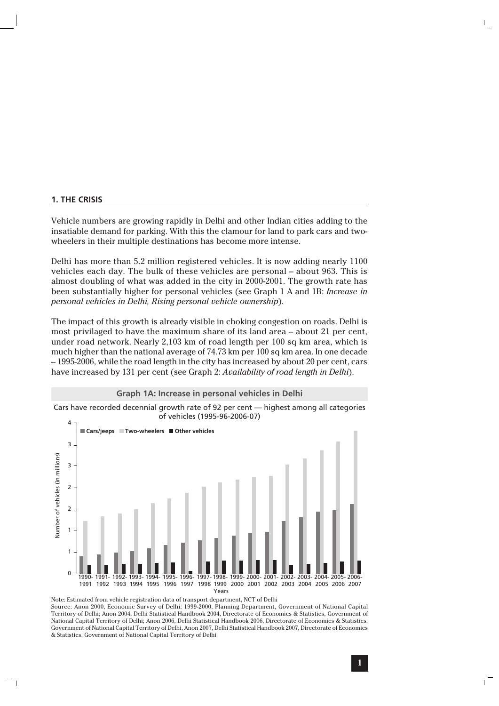## **1. THE CRISIS**

 $\overline{\phantom{a}}$ 

Vehicle numbers are growing rapidly in Delhi and other Indian cities adding to the insatiable demand for parking. With this the clamour for land to park cars and twowheelers in their multiple destinations has become more intense.

Delhi has more than 5.2 million registered vehicles. It is now adding nearly 1100 vehicles each day. The bulk of these vehicles are personal – about 963. This is almost doubling of what was added in the city in 2000-2001. The growth rate has been substantially higher for personal vehicles (see Graph 1 A and 1B: *Increase in personal vehicles in Delhi, Rising personal vehicle ownership*).

The impact of this growth is already visible in choking congestion on roads. Delhi is most privilaged to have the maximum share of its land area -- about 21 per cent, under road network. Nearly 2,103 km of road length per 100 sq km area, which is much higher than the national average of 74.73 km per 100 sq km area. In one decade -- 1995-2006, while the road length in the city has increased by about 20 per cent, cars have increased by 131 per cent (see Graph 2: *Availability of road length in Delhi*).



Note: Estimated from vehicle registration data of transport department, NCT of Delhi Source: Anon 2000, Economic Survey of Delhi: 1999-2000, Planning Department, Government of National Capital Territory of Delhi; Anon 2004, Delhi Statistical Handbook 2004, Directorate of Economics & Statistics, Government of National Capital Territory of Delhi; Anon 2006, Delhi Statistical Handbook 2006, Directorate of Economics & Statistics, Government of National Capital Territory of Delhi, Anon 2007, Delhi Statistical Handbook 2007, Directorate of Economics & Statistics, Government of National Capital Territory of Delhi

 $\overline{\phantom{a}}$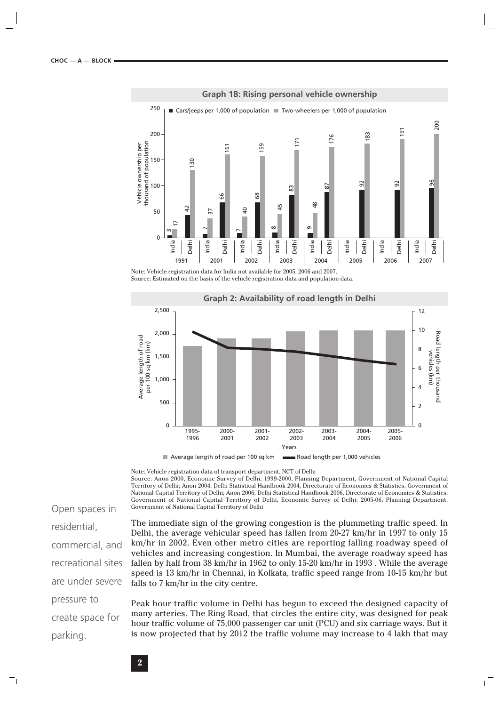

Note: Vehicle registration data for India not available for 2005, 2006 and 2007. Source: Estimated on the basis of the vehicle registration data and population data.



Average length of road per 100 sq km  $\Box$  Road length per 1,000 vehicles

Note: Vehicle registration data of transport department, NCT of Delhi Source: Anon 2000, Economic Survey of Delhi: 1999-2000, Planning Department, Government of National Capital Territory of Delhi; Anon 2004, Delhi Statistical Handbook 2004, Directorate of Economics & Statistics, Government of National Capital Territory of Delhi; Anon 2006, Delhi Statistical Handbook 2006, Directorate of Economics & Statistics, Government of National Capital Territory of Delhi, Economic Survey of Delhi: 2005-06, Planning Department, Government of National Capital Territory of Delhi

Open spaces in residential, commercial, and recreational sites are under severe pressure to create space for parking.

T)

The immediate sign of the growing congestion is the plummeting traffic speed. In Delhi, the average vehicular speed has fallen from 20-27 km/hr in 1997 to only 15 km/hr in 2002. Even other metro cities are reporting falling roadway speed of vehicles and increasing congestion. In Mumbai, the average roadway speed has fallen by half from 38 km/hr in 1962 to only 15-20 km/hr in 1993 . While the average speed is 13 km/hr in Chennai, in Kolkata, traffic speed range from 10-15 km/hr but falls to 7 km/hr in the city centre.

Peak hour traffic volume in Delhi has begun to exceed the designed capacity of many arteries. The Ring Road, that circles the entire city, was designed for peak hour traffic volume of 75,000 passenger car unit (PCU) and six carriage ways. But it is now projected that by 2012 the traffic volume may increase to 4 lakh that may

 $\overline{\phantom{a}}$ 

**2**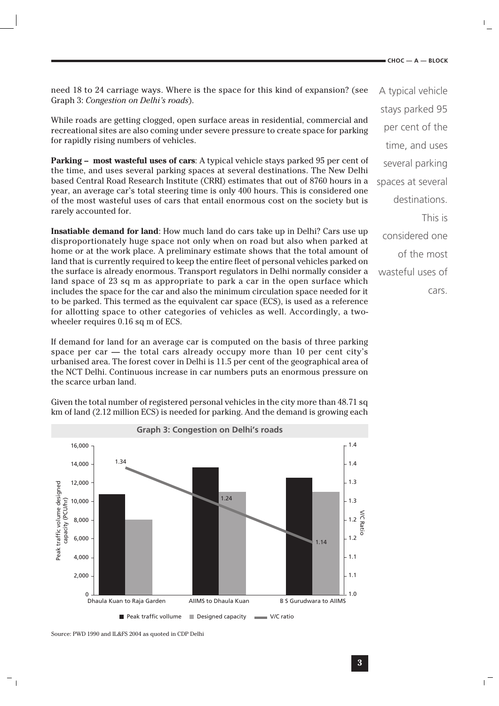$\overline{\phantom{a}}$ 

need 18 to 24 carriage ways. Where is the space for this kind of expansion? (see Graph 3: *Congestion on Delhi's roads*).

While roads are getting clogged, open surface areas in residential, commercial and recreational sites are also coming under severe pressure to create space for parking for rapidly rising numbers of vehicles.

Parking -- most wasteful uses of cars: A typical vehicle stays parked 95 per cent of the time, and uses several parking spaces at several destinations. The New Delhi based Central Road Research Institute (CRRI) estimates that out of 8760 hours in a year, an average car's total steering time is only 400 hours. This is considered one of the most wasteful uses of cars that entail enormous cost on the society but is rarely accounted for.

**Insatiable demand for land**: How much land do cars take up in Delhi? Cars use up disproportionately huge space not only when on road but also when parked at home or at the work place. A preliminary estimate shows that the total amount of land that is currently required to keep the entire fleet of personal vehicles parked on the surface is already enormous. Transport regulators in Delhi normally consider a land space of 23 sq m as appropriate to park a car in the open surface which includes the space for the car and also the minimum circulation space needed for it to be parked. This termed as the equivalent car space (ECS), is used as a reference for allotting space to other categories of vehicles as well. Accordingly, a twowheeler requires 0.16 sq m of ECS.

If demand for land for an average car is computed on the basis of three parking space per car — the total cars already occupy more than 10 per cent city's urbanised area. The forest cover in Delhi is 11.5 per cent of the geographical area of the NCT Delhi. Continuous increase in car numbers puts an enormous pressure on the scarce urban land.



Given the total number of registered personal vehicles in the city more than 48.71 sq km of land (2.12 million ECS) is needed for parking. And the demand is growing each

A typical vehicle stays parked 95 per cent of the time, and uses several parking spaces at several destinations. This is considered one of the most wasteful uses of cars.

Source: PWD 1990 and IL&FS 2004 as quoted in CDP Delhi

 $\overline{\phantom{a}}$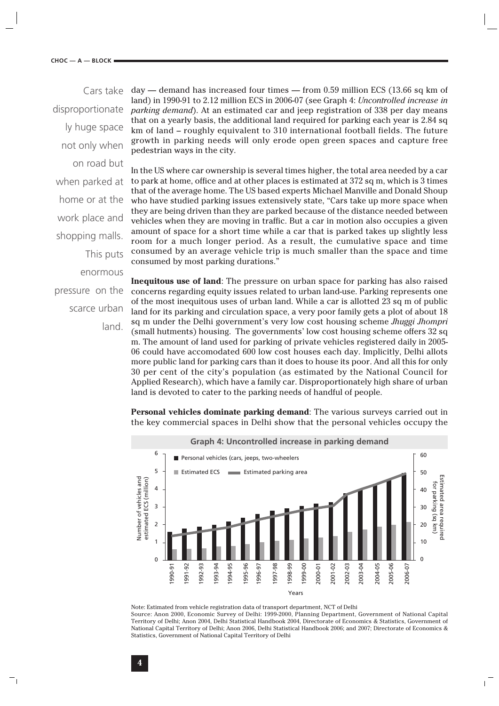disproportionate ly huge space not only when on road but when parked at home or at the work place and shopping malls. This puts enormous pressure on the scarce urban

land.

Cars take  $day$  — demand has increased four times — from 0.59 million ECS (13.66 sq km of land) in 1990-91 to 2.12 million ECS in 2006-07 (see Graph 4: *Uncontrolled increase in parking demand*). At an estimated car and jeep registration of 338 per day means that on a yearly basis, the additional land required for parking each year is 2.84 sq km of land – roughly equivalent to 310 international football fields. The future growth in parking needs will only erode open green spaces and capture free pedestrian ways in the city.

> In the US where car ownership is several times higher, the total area needed by a car to park at home, office and at other places is estimated at 372 sq m, which is 3 times that of the average home. The US based experts Michael Manville and Donald Shoup who have studied parking issues extensively state, "Cars take up more space when they are being driven than they are parked because of the distance needed between vehicles when they are moving in traffic. But a car in motion also occupies a given amount of space for a short time while a car that is parked takes up slightly less room for a much longer period. As a result, the cumulative space and time consumed by an average vehicle trip is much smaller than the space and time consumed by most parking durations."

> **Inequitous use of land**: The pressure on urban space for parking has also raised concerns regarding equity issues related to urban land-use. Parking represents one of the most inequitous uses of urban land. While a car is allotted 23 sq m of public land for its parking and circulation space, a very poor family gets a plot of about 18 sq m under the Delhi government's very low cost housing scheme *Jhuggi Jhompri* (small hutments) housing. The governments' low cost housing scheme offers 32 sq m. The amount of land used for parking of private vehicles registered daily in 2005- 06 could have accomodated 600 low cost houses each day. Implicitly, Delhi allots more public land for parking cars than it does to house its poor. And all this for only 30 per cent of the city's population (as estimated by the National Council for Applied Research), which have a family car. Disproportionately high share of urban land is devoted to cater to the parking needs of handful of people.

> **Personal vehicles dominate parking demand**: The various surveys carried out in the key commercial spaces in Delhi show that the personal vehicles occupy the



Note: Estimated from vehicle registration data of transport department, NCT of Delhi Source: Anon 2000, Economic Survey of Delhi: 1999-2000, Planning Department, Government of National Capital Territory of Delhi; Anon 2004, Delhi Statistical Handbook 2004, Directorate of Economics & Statistics, Government of National Capital Territory of Delhi; Anon 2006, Delhi Statistical Handbook 2006; and 2007; Directorate of Economics & Statistics, Government of National Capital Territory of Delhi

 $\overline{1}$ 

٦ı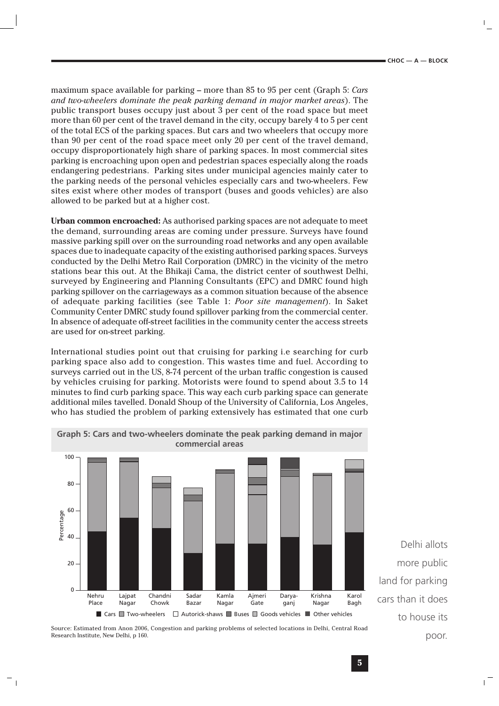maximum space available for parking – more than 85 to 95 per cent (Graph 5: *Cars and two-wheelers dominate the peak parking demand in major market areas*). The public transport buses occupy just about 3 per cent of the road space but meet more than 60 per cent of the travel demand in the city, occupy barely 4 to 5 per cent of the total ECS of the parking spaces. But cars and two wheelers that occupy more than 90 per cent of the road space meet only 20 per cent of the travel demand, occupy disproportionately high share of parking spaces. In most commercial sites parking is encroaching upon open and pedestrian spaces especially along the roads endangering pedestrians. Parking sites under municipal agencies mainly cater to the parking needs of the personal vehicles especially cars and two-wheelers. Few sites exist where other modes of transport (buses and goods vehicles) are also allowed to be parked but at a higher cost.

**Urban common encroached:** As authorised parking spaces are not adequate to meet the demand, surrounding areas are coming under pressure. Surveys have found massive parking spill over on the surrounding road networks and any open available spaces due to inadequate capacity of the existing authorised parking spaces. Surveys conducted by the Delhi Metro Rail Corporation (DMRC) in the vicinity of the metro stations bear this out. At the Bhikaji Cama, the district center of southwest Delhi, surveyed by Engineering and Planning Consultants (EPC) and DMRC found high parking spillover on the carriageways as a common situation because of the absence of adequate parking facilities (see Table 1: *Poor site management*). In Saket Community Center DMRC study found spillover parking from the commercial center. In absence of adequate off-street facilities in the community center the access streets are used for on-street parking.

International studies point out that cruising for parking i.e searching for curb parking space also add to congestion. This wastes time and fuel. According to surveys carried out in the US, 8-74 percent of the urban traffic congestion is caused by vehicles cruising for parking. Motorists were found to spend about 3.5 to 14 minutes to find curb parking space. This way each curb parking space can generate additional miles tavelled. Donald Shoup of the University of California, Los Angeles, who has studied the problem of parking extensively has estimated that one curb



Delhi allots more public land for parking cars than it does to house its poor.



 $\overline{\phantom{a}}$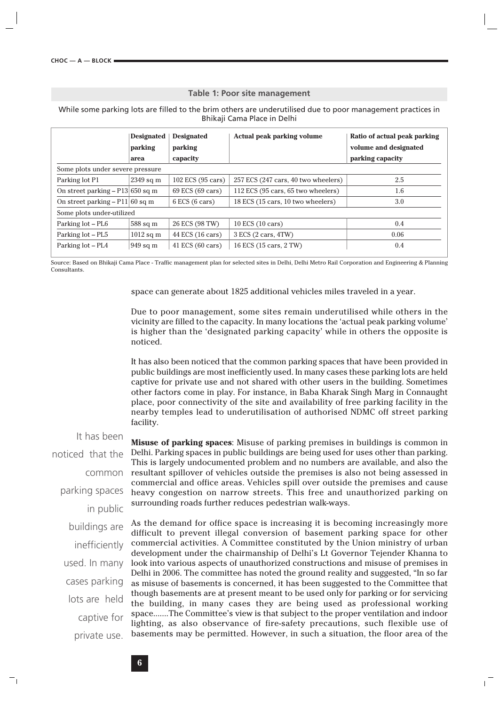## **Table 1: Poor site management**

While some parking lots are filled to the brim others are underutilised due to poor management practices in Bhikaji Cama Place in Delhi

|                                    | <b>Designated</b><br>parking | <b>Designated</b><br>parking | <b>Actual peak parking volume</b>   | Ratio of actual peak parking<br>volume and designated |  |
|------------------------------------|------------------------------|------------------------------|-------------------------------------|-------------------------------------------------------|--|
|                                    | area                         | capacity                     |                                     | parking capacity                                      |  |
| Some plots under severe pressure   |                              |                              |                                     |                                                       |  |
| Parking lot P1                     | 2349 sq m                    | 102 ECS (95 cars)            | 257 ECS (247 cars, 40 two wheelers) | 2.5                                                   |  |
| On street parking $-$ P13 650 sq m |                              | 69 ECS (69 cars)             | 112 ECS (95 cars, 65 two wheelers)  | 1.6                                                   |  |
| On street parking $-$ P11 60 sq m  |                              | $6$ ECS $(6$ cars)           | 18 ECS (15 cars, 10 two wheelers)   | 3.0                                                   |  |
| Some plots under-utilized          |                              |                              |                                     |                                                       |  |
| Parking lot - PL6                  | 588 sq m                     | 26 ECS (98 TW)               | 10 ECS (10 cars)                    | 0.4                                                   |  |
| Parking lot - PL5                  | $1012$ sq m                  | 44 ECS (16 cars)             | $3 ECS$ (2 cars, 4TW)               | 0.06                                                  |  |
| Parking lot - PL4                  | $949$ sq m                   | 41 ECS (60 cars)             | 16 ECS (15 cars, 2 TW)              | 0.4                                                   |  |

Source: Based on Bhikaji Cama Place - Traffic management plan for selected sites in Delhi, Delhi Metro Rail Corporation and Engineering & Planning Consultants.

space can generate about 1825 additional vehicles miles traveled in a year.

Due to poor management, some sites remain underutilised while others in the vicinity are filled to the capacity. In many locations the 'actual peak parking volume' is higher than the 'designated parking capacity' while in others the opposite is noticed.

It has also been noticed that the common parking spaces that have been provided in public buildings are most inefficiently used. In many cases these parking lots are held captive for private use and not shared with other users in the building. Sometimes other factors come in play. For instance, in Baba Kharak Singh Marg in Connaught place, poor connectivity of the site and availability of free parking facility in the nearby temples lead to underutilisation of authorised NDMC off street parking facility.

It has been noticed that the common parking spaces in public buildings are inefficiently used. In many cases parking lots are held captive for private use.

**Misuse of parking spaces**: Misuse of parking premises in buildings is common in Delhi. Parking spaces in public buildings are being used for uses other than parking. This is largely undocumented problem and no numbers are available, and also the resultant spillover of vehicles outside the premises is also not being assessed in commercial and office areas. Vehicles spill over outside the premises and cause heavy congestion on narrow streets. This free and unauthorized parking on surrounding roads further reduces pedestrian walk-ways.

As the demand for office space is increasing it is becoming increasingly more difficult to prevent illegal conversion of basement parking space for other commercial activities. A Committee constituted by the Union ministry of urban development under the chairmanship of Delhi's Lt Governor Tejender Khanna to look into various aspects of unauthorized constructions and misuse of premises in Delhi in 2006. The committee has noted the ground reality and suggested, "In so far as misuse of basements is concerned, it has been suggested to the Committee that though basements are at present meant to be used only for parking or for servicing the building, in many cases they are being used as professional working space.......The Committee's view is that subject to the proper ventilation and indoor lighting, as also observance of fire-safety precautions, such flexible use of basements may be permitted. However, in such a situation, the floor area of the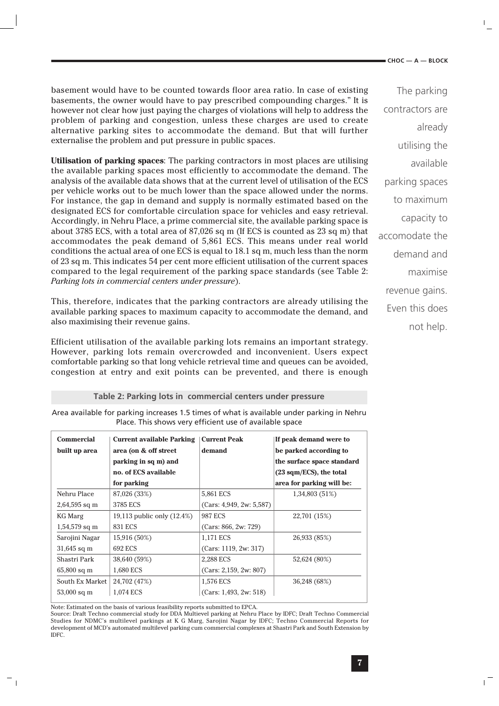#### **CHOC — A — BLOCK**

basement would have to be counted towards floor area ratio. In case of existing basements, the owner would have to pay prescribed compounding charges." It is however not clear how just paying the charges of violations will help to address the problem of parking and congestion, unless these charges are used to create alternative parking sites to accommodate the demand. But that will further externalise the problem and put pressure in public spaces.

**Utilisation of parking spaces**: The parking contractors in most places are utilising the available parking spaces most efficiently to accommodate the demand. The analysis of the available data shows that at the current level of utilisation of the ECS per vehicle works out to be much lower than the space allowed under the norms. For instance, the gap in demand and supply is normally estimated based on the designated ECS for comfortable circulation space for vehicles and easy retrieval. Accordingly, in Nehru Place, a prime commercial site, the available parking space is about 3785 ECS, with a total area of 87,026 sq m (If ECS is counted as 23 sq m) that accommodates the peak demand of 5,861 ECS. This means under real world conditions the actual area of one ECS is equal to 18.1 sq m, much less than the norm of 23 sq m. This indicates 54 per cent more efficient utilisation of the current spaces compared to the legal requirement of the parking space standards (see Table 2: *Parking lots in commercial centers under pressure*).

This, therefore, indicates that the parking contractors are already utilising the available parking spaces to maximum capacity to accommodate the demand, and also maximising their revenue gains.

Efficient utilisation of the available parking lots remains an important strategy. However, parking lots remain overcrowded and inconvenient. Users expect comfortable parking so that long vehicle retrieval time and queues can be avoided, congestion at entry and exit points can be prevented, and there is enough

**Table 2: Parking lots in commercial centers under pressure**

Area available for parking increases 1.5 times of what is available under parking in Nehru Place. This shows very efficient use of available space

| <b>Commercial</b> | <b>Current available Parking</b> | <b>Current Peak</b>      | If peak demand were to             |
|-------------------|----------------------------------|--------------------------|------------------------------------|
| built up area     | area (on & off street            | demand                   | be parked according to             |
|                   | parking in sq m) and             |                          | the surface space standard         |
|                   | no. of ECS available             |                          | $(23 \text{ sqm/ECS})$ , the total |
|                   | for parking                      |                          | area for parking will be:          |
| Nehru Place       | 87,026 (33%)                     | 5,861 ECS                | 1,34,803 (51%)                     |
| $2,64,595$ sq m   | 3785 ECS                         | (Cars: 4,949, 2w: 5,587) |                                    |
| KG Marg           | 19,113 public only (12.4%)       | <b>987 ECS</b>           | 22,701 (15%)                       |
| $1,54,579$ sq m   | 831 ECS                          | (Cars: 866, 2w: 729)     |                                    |
| Sarojini Nagar    | 15,916 (50%)                     | 1,171 ECS                | 26,933 (85%)                       |
| $31,645$ sq m     | 692 ECS                          | (Cars: 1119, 2w: 317)    |                                    |
| Shastri Park      | 38,640 (59%)                     | 2,288 ECS                | 52,624 (80%)                       |
| $65,800$ sq m     | 1,680 ECS                        | (Cars: 2,159, 2w: 807)   |                                    |
| South Ex Market   | 24,702 (47%)                     | 1,576 ECS                | 36,248 (68%)                       |
| $53,000$ sq m     | 1,074 ECS                        | (Cars: 1,493, 2w: 518)   |                                    |

Note: Estimated on the basis of various feasibility reports submitted to EPCA.

Source: Draft Techno commercial study for DDA Multievel parking at Nehru Place by IDFC; Draft Techno Commercial Studies for NDMC's multilevel parkings at K G Marg, Sarojini Nagar by IDFC; Techno Commercial Reports for development of MCD's automated multilevel parking cum commercial complexes at Shastri Park and South Extension by IDFC.

The parking contractors are already utilising the available parking spaces to maximum capacity to accomodate the demand and maximise revenue gains. Even this does not help.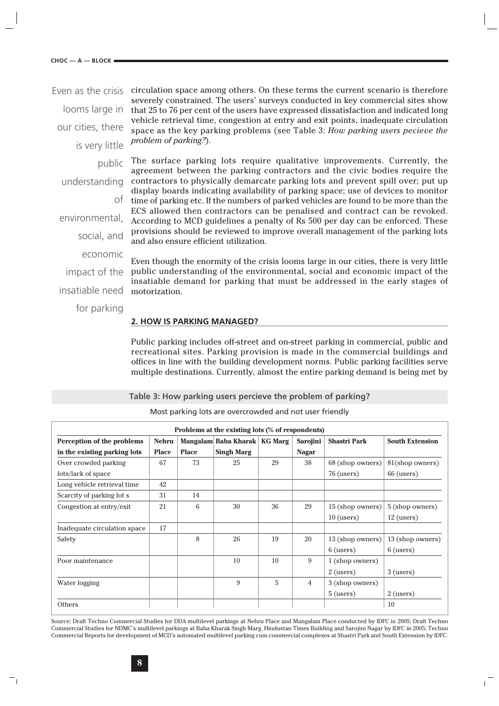#### **CHOC — A — BLOCK**

looms large in our cities, there is very little public understanding of environmental, social, and economic impact of the insatiable need

for parking

Even as the crisis circulation space among others. On these terms the current scenario is therefore severely constrained. The users' surveys conducted in key commercial sites show that 25 to 76 per cent of the users have expressed dissatisfaction and indicated long vehicle retrieval time, congestion at entry and exit points, inadequate circulation space as the key parking problems (see Table 3: *How parking users pecieve the problem of parking?*).

> The surface parking lots require qualitative improvements. Currently, the agreement between the parking contractors and the civic bodies require the contractors to physically demarcate parking lots and prevent spill over; put up display boards indicating availability of parking space; use of devices to monitor time of parking etc. If the numbers of parked vehicles are found to be more than the ECS allowed then contractors can be penalised and contract can be revoked. According to MCD guidelines a penalty of Rs 500 per day can be enforced. These provisions should be reviewed to improve overall management of the parking lots and also ensure efficient utilization.

> Even though the enormity of the crisis looms large in our cities, there is very little public understanding of the environmental, social and economic impact of the insatiable demand for parking that must be addressed in the early stages of motorization.

## **2. HOW IS PARKING MANAGED?**

Public parking includes off-street and on-street parking in commercial, public and recreational sites. Parking provision is made in the commercial buildings and offices in line with the building development norms. Public parking facilities serve multiple destinations. Currently, almost the entire parking demand is being met by

| Table 3: How parking users percieve the problem of parking? |  |  |  |  |
|-------------------------------------------------------------|--|--|--|--|
|                                                             |  |  |  |  |

| Problems at the existing lots (% of respondents)                                                                                          |              |              |                   |    |              |                  |                  |
|-------------------------------------------------------------------------------------------------------------------------------------------|--------------|--------------|-------------------|----|--------------|------------------|------------------|
| Mangalam Baba Kharak   KG Marg<br><b>South Extension</b><br>Perception of the problems<br><b>Nehru</b><br>Sarojini<br><b>Shastri Park</b> |              |              |                   |    |              |                  |                  |
| in the existing parking lots                                                                                                              | <b>Place</b> | <b>Place</b> | <b>Singh Marg</b> |    | <b>Nagar</b> |                  |                  |
| Over crowded parking                                                                                                                      | 67           | 73           | 25                | 29 | 38           | 68 (shop owners) | 81(shop owners)  |
| lots/lack of space                                                                                                                        |              |              |                   |    |              | $76$ (users)     | $66$ (users)     |
| Long vehicle retrieval time                                                                                                               | 42           |              |                   |    |              |                  |                  |
| Scarcity of parking lot s                                                                                                                 | 31           | 14           |                   |    |              |                  |                  |
| Congestion at entry/exit                                                                                                                  | 21           | 6            | 30                | 36 | 29           | 15 (shop owners) | 5 (shop owners)  |
|                                                                                                                                           |              |              |                   |    |              | $10$ (users)     | $12$ (users)     |
| Inadequate circulation space                                                                                                              | 17           |              |                   |    |              |                  |                  |
| Safety                                                                                                                                    |              | 8            | 26                | 19 | 20           | 13 (shop owners) | 13 (shop owners) |
|                                                                                                                                           |              |              |                   |    |              | $6$ (users)      | $6$ (users)      |
| Poor maintenance                                                                                                                          |              |              | 10                | 10 | 9            | 1 (shop owners)  |                  |
|                                                                                                                                           |              |              |                   |    |              | 2 (users)        | $3$ (users)      |
| Water logging                                                                                                                             |              |              | 9                 | 5  | 4            | 3 (shop owners)  |                  |
|                                                                                                                                           |              |              |                   |    |              | $5$ (users)      | $2$ (users)      |
| Others                                                                                                                                    |              |              |                   |    |              |                  | 10               |

Most parking lots are overcrowded and not user friendly

Source: Draft Techno Commercial Studies for DDA multilevel parkings at Nehru Place and Mangalam Place conducted by IDFC in 2005; Draft Techno Commercial Studies for NDMC's multilevel parkings at Baba Kharak Singh Marg, Hindustan Times Building and Sarojini Nagar by IDFC in 2005; Techno Commercial Reports for development of MCD's automated multilevel parking cum commercial complexes at Shastri Park and South Extension by IDFC.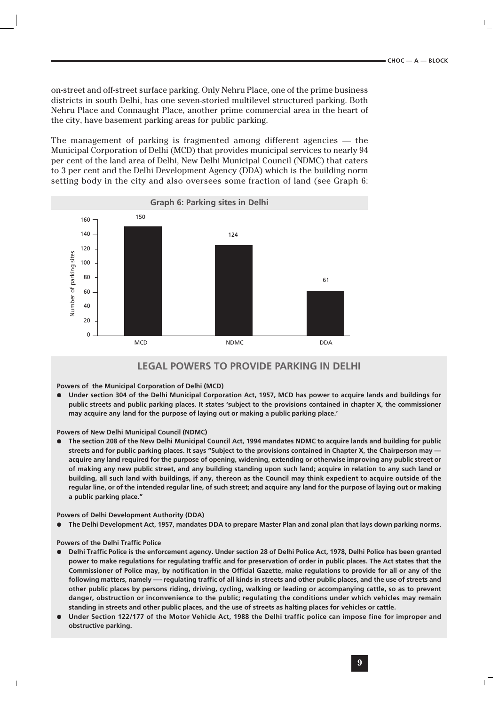on-street and off-street surface parking. Only Nehru Place, one of the prime business districts in south Delhi, has one seven-storied multilevel structured parking. Both Nehru Place and Connaught Place, another prime commercial area in the heart of the city, have basement parking areas for public parking.

The management of parking is fragmented among different agencies — the Municipal Corporation of Delhi (MCD) that provides municipal services to nearly 94 per cent of the land area of Delhi, New Delhi Municipal Council (NDMC) that caters to 3 per cent and the Delhi Development Agency (DDA) which is the building norm setting body in the city and also oversees some fraction of land (see Graph 6:



## **LEGAL POWERS TO PROVIDE PARKING IN DELHI**

#### **Powers of the Municipal Corporation of Delhi (MCD)**

● **Under section 304 of the Delhi Municipal Corporation Act, 1957, MCD has power to acquire lands and buildings for public streets and public parking places. It states 'subject to the provisions contained in chapter X, the commissioner may acquire any land for the purpose of laying out or making a public parking place.'**

#### **Powers of New Delhi Municipal Council (NDMC)**

● **The section 208 of the New Delhi Municipal Council Act, 1994 mandates NDMC to acquire lands and building for public streets and for public parking places. It says "Subject to the provisions contained in Chapter X, the Chairperson may acquire any land required for the purpose of opening, widening, extending or otherwise improving any public street or of making any new public street, and any building standing upon such land; acquire in relation to any such land or building, all such land with buildings, if any, thereon as the Council may think expedient to acquire outside of the regular line, or of the intended regular line, of such street; and acquire any land for the purpose of laying out or making a public parking place."**

**Powers of Delhi Development Authority (DDA)**

The Delhi Development Act, 1957, mandates DDA to prepare Master Plan and zonal plan that lays down parking norms.

**Powers of the Delhi Traffic Police**

- **Delhi Traffic Police is the enforcement agency. Under section 28 of Delhi Police Act, 1978, Delhi Police has been granted power to make regulations for regulating traffic and for preservation of order in public places. The Act states that the Commissioner of Police may, by notification in the Official Gazette, make regulations to provide for all or any of the following matters, namely —- regulating traffic of all kinds in streets and other public places, and the use of streets and other public places by persons riding, driving, cycling, walking or leading or accompanying cattle, so as to prevent danger, obstruction or inconvenience to the public; regulating the conditions under which vehicles may remain standing in streets and other public places, and the use of streets as halting places for vehicles or cattle.**
- **Under Section 122/177 of the Motor Vehicle Act, 1988 the Delhi traffic police can impose fine for improper and obstructive parking.**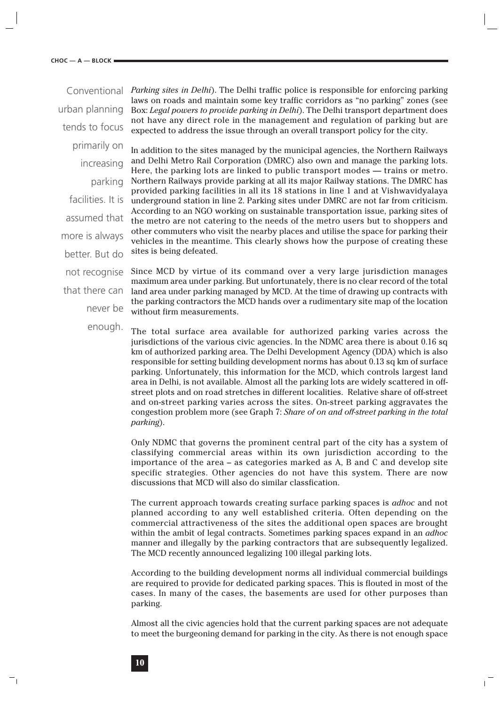#### **CHOC — A — BLOCK**

urban planning tends to focus primarily on increasing parking facilities. It is assumed that more is always better. But do not recognise that there can never be

Conventional Parking sites in Delhi). The Delhi traffic police is responsible for enforcing parking laws on roads and maintain some key traffic corridors as "no parking" zones (see Box: *Legal powers to provide parking in Delhi*). The Delhi transport department does not have any direct role in the management and regulation of parking but are expected to address the issue through an overall transport policy for the city.

> In addition to the sites managed by the municipal agencies, the Northern Railways and Delhi Metro Rail Corporation (DMRC) also own and manage the parking lots. Here, the parking lots are linked to public transport modes — trains or metro. Northern Railways provide parking at all its major Railway stations. The DMRC has provided parking facilities in all its 18 stations in line 1 and at Vishwavidyalaya underground station in line 2. Parking sites under DMRC are not far from criticism. According to an NGO working on sustainable transportation issue, parking sites of the metro are not catering to the needs of the metro users but to shoppers and other commuters who visit the nearby places and utilise the space for parking their vehicles in the meantime. This clearly shows how the purpose of creating these sites is being defeated.

Since MCD by virtue of its command over a very large jurisdiction manages maximum area under parking. But unfortunately, there is no clear record of the total land area under parking managed by MCD. At the time of drawing up contracts with the parking contractors the MCD hands over a rudimentary site map of the location without firm measurements.

The total surface area available for authorized parking varies across the jurisdictions of the various civic agencies. In the NDMC area there is about 0.16 sq km of authorized parking area. The Delhi Development Agency (DDA) which is also responsible for setting building development norms has about 0.13 sq km of surface parking. Unfortunately, this information for the MCD, which controls largest land area in Delhi, is not available. Almost all the parking lots are widely scattered in offstreet plots and on road stretches in different localities. Relative share of off-street and on-street parking varies across the sites. On-street parking aggravates the congestion problem more (see Graph 7: *Share of on and off-street parking in the total parking*). enough.

> Only NDMC that governs the prominent central part of the city has a system of classifying commercial areas within its own jurisdiction according to the importance of the area – as categories marked as A, B and C and develop site specific strategies. Other agencies do not have this system. There are now discussions that MCD will also do similar classfication.

> The current approach towards creating surface parking spaces is *adhoc* and not planned according to any well established criteria. Often depending on the commercial attractiveness of the sites the additional open spaces are brought within the ambit of legal contracts. Sometimes parking spaces expand in an *adhoc* manner and illegally by the parking contractors that are subsequently legalized. The MCD recently announced legalizing 100 illegal parking lots.

> According to the building development norms all individual commercial buildings are required to provide for dedicated parking spaces. This is flouted in most of the cases. In many of the cases, the basements are used for other purposes than parking.

> Almost all the civic agencies hold that the current parking spaces are not adequate to meet the burgeoning demand for parking in the city. As there is not enough space

> > $\overline{1}$

7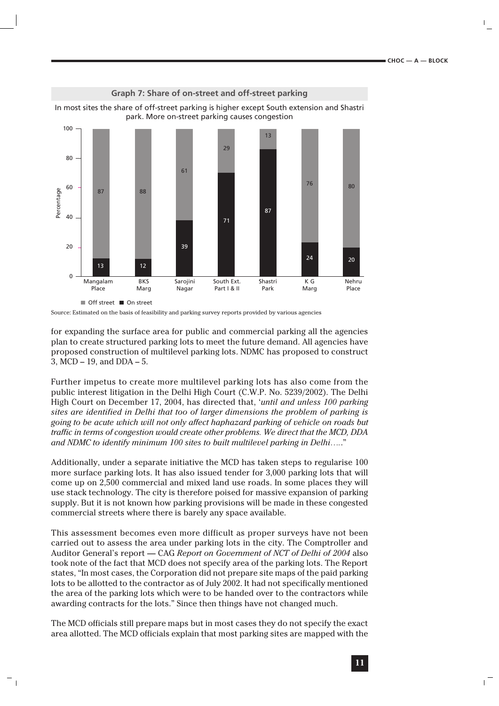

Source: Estimated on the basis of feasibility and parking survey reports provided by various agencies

for expanding the surface area for public and commercial parking all the agencies plan to create structured parking lots to meet the future demand. All agencies have proposed construction of multilevel parking lots. NDMC has proposed to construct 3, MCD – 19, and DDA – 5.

Further impetus to create more multilevel parking lots has also come from the public interest litigation in the Delhi High Court (C.W.P. No. 5239/2002). The Delhi High Court on December 17, 2004, has directed that, '*until and unless 100 parking sites are identified in Delhi that too of larger dimensions the problem of parking is going to be acute which will not only affect haphazard parking of vehicle on roads but traffic in terms of congestion would create other problems. We direct that the MCD, DDA and NDMC to identify minimum 100 sites to built multilevel parking in Delhi….*."

Additionally, under a separate initiative the MCD has taken steps to regularise 100 more surface parking lots. It has also issued tender for 3,000 parking lots that will come up on 2,500 commercial and mixed land use roads. In some places they will use stack technology. The city is therefore poised for massive expansion of parking supply. But it is not known how parking provisions will be made in these congested commercial streets where there is barely any space available.

This assessment becomes even more difficult as proper surveys have not been carried out to assess the area under parking lots in the city. The Comptroller and Auditor General's report — CAG *Report on Government of NCT of Delhi of 2004* also took note of the fact that MCD does not specify area of the parking lots. The Report states, "In most cases, the Corporation did not prepare site maps of the paid parking lots to be allotted to the contractor as of July 2002. It had not specifically mentioned the area of the parking lots which were to be handed over to the contractors while awarding contracts for the lots." Since then things have not changed much.

The MCD officials still prepare maps but in most cases they do not specify the exact area allotted. The MCD officials explain that most parking sites are mapped with the

 $\overline{1}$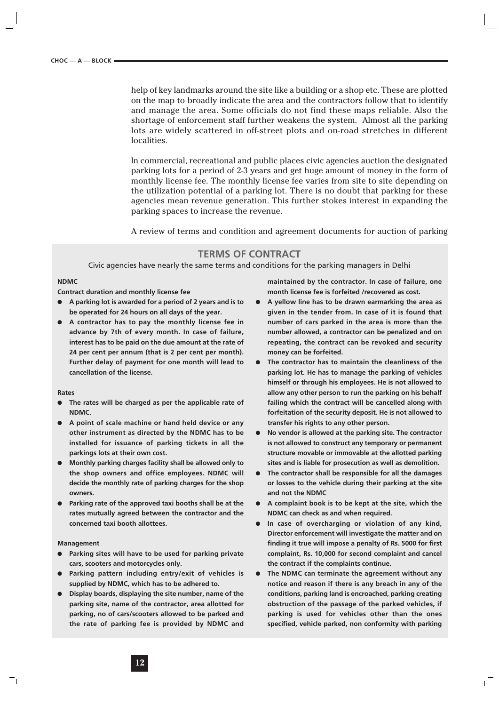help of key landmarks around the site like a building or a shop etc. These are plotted on the map to broadly indicate the area and the contractors follow that to identify and manage the area. Some officials do not find these maps reliable. Also the shortage of enforcement staff further weakens the system. Almost all the parking lots are widely scattered in off-street plots and on-road stretches in different localities.

In commercial, recreational and public places civic agencies auction the designated parking lots for a period of 2-3 years and get huge amount of money in the form of monthly license fee. The monthly license fee varies from site to site depending on the utilization potential of a parking lot. There is no doubt that parking for these agencies mean revenue generation. This further stokes interest in expanding the parking spaces to increase the revenue.

A review of terms and condition and agreement documents for auction of parking

## **TERMS OF CONTRACT**

Civic agencies have nearly the same terms and conditions for the parking managers in Delhi

#### **NDMC**

**Contract duration and monthly license fee**

- **A parking lot is awarded for a period of 2 years and is to be operated for 24 hours on all days of the year.**
- **A contractor has to pay the monthly license fee in advance by 7th of every month. In case of failure, interest has to be paid on the due amount at the rate of 24 per cent per annum (that is 2 per cent per month). Further delay of payment for one month will lead to cancellation of the license.**

#### **Rates**

- The rates will be charged as per the applicable rate of **NDMC.**
- **A point of scale machine or hand held device or any other instrument as directed by the NDMC has to be installed for issuance of parking tickets in all the parkings lots at their own cost.**
- **Monthly parking charges facility shall be allowed only to the shop owners and office employees. NDMC will decide the monthly rate of parking charges for the shop owners.**
- Parking rate of the approved taxi booths shall be at the **rates mutually agreed between the contractor and the concerned taxi booth allottees.**

#### **Management**

- Parking sites will have to be used for parking private **cars, scooters and motorcycles only.**
- **Parking pattern including entry/exit of vehicles is supplied by NDMC, which has to be adhered to.**
- **Display boards, displaying the site number, name of the parking site, name of the contractor, area allotted for parking, no of cars/scooters allowed to be parked and the rate of parking fee is provided by NDMC and**

**maintained by the contractor. In case of failure, one month license fee is forfeited /recovered as cost.** 

- **A yellow line has to be drawn earmarking the area as given in the tender from. In case of it is found that number of cars parked in the area is more than the number allowed, a contractor can be penalized and on repeating, the contract can be revoked and security money can be forfeited.**
- The contractor has to maintain the cleanliness of the **parking lot. He has to manage the parking of vehicles himself or through his employees. He is not allowed to allow any other person to run the parking on his behalf failing which the contract will be cancelled along with forfeitation of the security deposit. He is not allowed to transfer his rights to any other person.**
- **No vendor is allowed at the parking site. The contractor is not allowed to construct any temporary or permanent structure movable or immovable at the allotted parking sites and is liable for prosecution as well as demolition.**
- The contractor shall be responsible for all the damages **or losses to the vehicle during their parking at the site and not the NDMC**
- A complaint book is to be kept at the site, which the **NDMC can check as and when required.**
- In case of overcharging or violation of any kind, **Director enforcement will investigate the matter and on finding it true will impose a penalty of Rs. 5000 for first complaint, Rs. 10,000 for second complaint and cancel the contract if the complaints continue.**
- **The NDMC can terminate the agreement without any notice and reason if there is any breach in any of the conditions, parking land is encroached, parking creating obstruction of the passage of the parked vehicles, if parking is used for vehicles other than the ones specified, vehicle parked, non conformity with parking**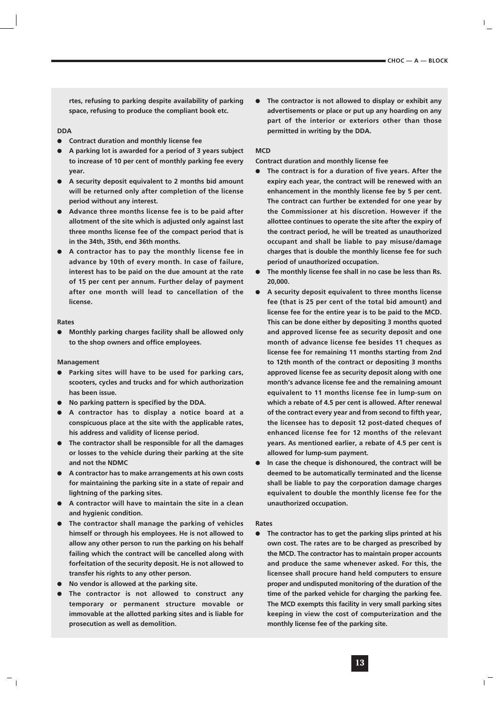**rtes, refusing to parking despite availability of parking space, refusing to produce the compliant book etc.** 

#### **DDA**

- **Contract duration and monthly license fee**
- A parking lot is awarded for a period of 3 years subject **to increase of 10 per cent of monthly parking fee every year.**
- A security deposit equivalent to 2 months bid amount **will be returned only after completion of the license period without any interest.**
- Advance three months license fee is to be paid after **allotment of the site which is adjusted only against last three months license fee of the compact period that is in the 34th, 35th, end 36th months.**
- **A contractor has to pay the monthly license fee in advance by 10th of every month. In case of failure, interest has to be paid on the due amount at the rate of 15 per cent per annum. Further delay of payment after one month will lead to cancellation of the license.**

#### **Rates**

**Monthly parking charges facility shall be allowed only to the shop owners and office employees.** 

#### **Management**

- Parking sites will have to be used for parking cars, **scooters, cycles and trucks and for which authorization has been issue.**
- No parking pattern is specified by the DDA.
- **A contractor has to display a notice board at a conspicuous place at the site with the applicable rates, his address and validity of license period.**
- **The contractor shall be responsible for all the damages or losses to the vehicle during their parking at the site and not the NDMC**
- **A contractor has to make arrangements at his own costs for maintaining the parking site in a state of repair and lightning of the parking sites.**
- A contractor will have to maintain the site in a clean **and hygienic condition.**
- **The contractor shall manage the parking of vehicles himself or through his employees. He is not allowed to allow any other person to run the parking on his behalf failing which the contract will be cancelled along with forfeitation of the security deposit. He is not allowed to transfer his rights to any other person.**
- **No vendor is allowed at the parking site.**
- The contractor is not allowed to construct any **temporary or permanent structure movable or immovable at the allotted parking sites and is liable for prosecution as well as demolition.**

The contractor is not allowed to display or exhibit any **advertisements or place or put up any hoarding on any part of the interior or exteriors other than those permitted in writing by the DDA.** 

## **MCD**

**Contract duration and monthly license fee**

- The contract is for a duration of five years. After the **expiry each year, the contract will be renewed with an enhancement in the monthly license fee by 5 per cent. The contract can further be extended for one year by the Commissioner at his discretion. However if the allottee continues to operate the site after the expiry of the contract period, he will be treated as unauthorized occupant and shall be liable to pay misuse/damage charges that is double the monthly license fee for such period of unauthorized occupation.**
- The monthly license fee shall in no case be less than Rs. **20,000.**
- A security deposit equivalent to three months license **fee (that is 25 per cent of the total bid amount) and license fee for the entire year is to be paid to the MCD. This can be done either by depositing 3 months quoted and approved license fee as security deposit and one month of advance license fee besides 11 cheques as license fee for remaining 11 months starting from 2nd to 12th month of the contract or depositing 3 months approved license fee as security deposit along with one month's advance license fee and the remaining amount equivalent to 11 months license fee in lump-sum on which a rebate of 4.5 per cent is allowed. After renewal of the contract every year and from second to fifth year, the licensee has to deposit 12 post-dated cheques of enhanced license fee for 12 months of the relevant years. As mentioned earlier, a rebate of 4.5 per cent is allowed for lump-sum payment.**
- **In case the cheque is dishonoured, the contract will be deemed to be automatically terminated and the license shall be liable to pay the corporation damage charges equivalent to double the monthly license fee for the unauthorized occupation.**

#### **Rates**

● **The contractor has to get the parking slips printed at his own cost. The rates are to be charged as prescribed by the MCD. The contractor has to maintain proper accounts and produce the same whenever asked. For this, the licensee shall procure hand held computers to ensure proper and undisputed monitoring of the duration of the time of the parked vehicle for charging the parking fee. The MCD exempts this facility in very small parking sites keeping in view the cost of computerization and the monthly license fee of the parking site.**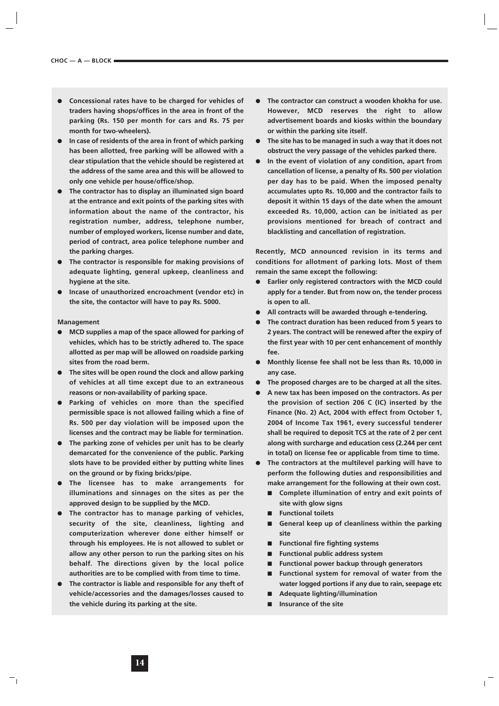- **Concessional rates have to be charged for vehicles of traders having shops/offices in the area in front of the parking (Rs. 150 per month for cars and Rs. 75 per month for two-wheelers).**
- In case of residents of the area in front of which parking **has been allotted, free parking will be allowed with a clear stipulation that the vehicle should be registered at the address of the same area and this will be allowed to only one vehicle per house/office/shop.**
- **The contractor has to display an illuminated sign board at the entrance and exit points of the parking sites with information about the name of the contractor, his registration number, address, telephone number, number of employed workers, license number and date, period of contract, area police telephone number and the parking charges.**
- **The contractor is responsible for making provisions of adequate lighting, general upkeep, cleanliness and hygiene at the site.**
- **Incase of unauthorized encroachment (vendor etc) in the site, the contactor will have to pay Rs. 5000.**

#### **Management**

- **MCD supplies a map of the space allowed for parking of vehicles, which has to be strictly adhered to. The space allotted as per map will be allowed on roadside parking sites from the road berm.**
- The sites will be open round the clock and allow parking **of vehicles at all time except due to an extraneous reasons or non-availability of parking space.**
- **Parking of vehicles on more than the specified permissible space is not allowed failing which a fine of Rs. 500 per day violation will be imposed upon the licenses and the contract may be liable for termination.**
- The parking zone of vehicles per unit has to be clearly **demarcated for the convenience of the public. Parking slots have to be provided either by putting white lines on the ground or by fixing bricks/pipe.**
- **The licensee has to make arrangements for illuminations and sinnages on the sites as per the approved design to be supplied by the MCD.**
- **The contractor has to manage parking of vehicles, security of the site, cleanliness, lighting and computerization wherever done either himself or through his employees. He is not allowed to sublet or allow any other person to run the parking sites on his behalf. The directions given by the local police authorities are to be complied with from time to time.**
- **The contractor is liable and responsible for any theft of vehicle/accessories and the damages/losses caused to the vehicle during its parking at the site.**
- The contractor can construct a wooden khokha for use. **However, MCD reserves the right to allow advertisement boards and kiosks within the boundary or within the parking site itself.**
- **The site has to be managed in such a way that it does not obstruct the very passage of the vehicles parked there.**
- **In the event of violation of any condition, apart from cancellation of license, a penalty of Rs. 500 per violation per day has to be paid. When the imposed penalty accumulates upto Rs. 10,000 and the contractor fails to deposit it within 15 days of the date when the amount exceeded Rs. 10,000, action can be initiated as per provisions mentioned for breach of contract and blacklisting and cancellation of registration.**

**Recently, MCD announced revision in its terms and conditions for allotment of parking lots. Most of them remain the same except the following:**

- **Earlier only registered contractors with the MCD could apply for a tender. But from now on, the tender process is open to all.**
- All contracts will be awarded through e-tendering.
- The contract duration has been reduced from 5 years to **2 years. The contract will be renewed after the expiry of the first year with 10 per cent enhancement of monthly fee.**
- **Monthly license fee shall not be less than Rs. 10,000 in any case.**
- **The proposed charges are to be charged at all the sites.**
- A new tax has been imposed on the contractors. As per **the provision of section 206 C (IC) inserted by the Finance (No. 2) Act, 2004 with effect from October 1, 2004 of Income Tax 1961, every successful tenderer shall be required to deposit TCS at the rate of 2 per cent along with surcharge and education cess (2.244 per cent in total) on license fee or applicable from time to time.**
- **The contractors at the multilevel parking will have to perform the following duties and responsibilities and make arrangement for the following at their own cost.** 
	- **Complete illumination of entry and exit points of site with glow signs**
	- **Functional toilets**
	- General keep up of cleanliness within the parking **site**
	- **Functional fire fighting systems**
	- **Functional public address system**
	- **Functional power backup through generators**
	- **Functional system for removal of water from the water logged portions if any due to rain, seepage etc**
	- **Adequate lighting/illumination**
	- **Insurance of the site**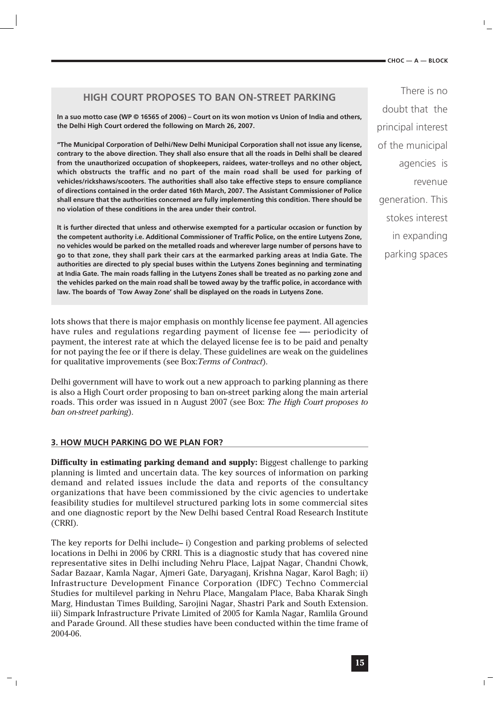#### **CHOC — A — BLOCK**

# **HIGH COURT PROPOSES TO BAN ON-STREET PARKING**

**In a suo motto case (WP © 16565 of 2006) – Court on its won motion vs Union of India and others, the Delhi High Court ordered the following on March 26, 2007.** 

**"The Municipal Corporation of Delhi/New Delhi Municipal Corporation shall not issue any license, contrary to the above direction. They shall also ensure that all the roads in Delhi shall be cleared from the unauthorized occupation of shopkeepers, raidees, water-trolleys and no other object, which obstructs the traffic and no part of the main road shall be used for parking of vehicles/rickshaws/scooters. The authorities shall also take effective steps to ensure compliance of directions contained in the order dated 16th March, 2007. The Assistant Commissioner of Police shall ensure that the authorities concerned are fully implementing this condition. There should be no violation of these conditions in the area under their control.**

**It is further directed that unless and otherwise exempted for a particular occasion or function by the competent authority i.e. Additional Commissioner of Traffic Police, on the entire Lutyens Zone, no vehicles would be parked on the metalled roads and wherever large number of persons have to go to that zone, they shall park their cars at the earmarked parking areas at India Gate. The authorities are directed to ply special buses within the Lutyens Zones beginning and terminating at India Gate. The main roads falling in the Lutyens Zones shall be treated as no parking zone and the vehicles parked on the main road shall be towed away by the traffic police, in accordance with law. The boards of `Tow Away Zone' shall be displayed on the roads in Lutyens Zone.**

lots shows that there is major emphasis on monthly license fee payment. All agencies have rules and regulations regarding payment of license fee —- periodicity of payment, the interest rate at which the delayed license fee is to be paid and penalty for not paying the fee or if there is delay. These guidelines are weak on the guidelines for qualitative improvements (see Box:*Terms of Contract*).

Delhi government will have to work out a new approach to parking planning as there is also a High Court order proposing to ban on-street parking along the main arterial roads. This order was issued in n August 2007 (see Box: *The High Court proposes to ban on-street parking*).

#### **3. HOW MUCH PARKING DO WE PLAN FOR?**

**Difficulty in estimating parking demand and supply:** Biggest challenge to parking planning is limted and uncertain data. The key sources of information on parking demand and related issues include the data and reports of the consultancy organizations that have been commissioned by the civic agencies to undertake feasibility studies for multilevel structured parking lots in some commercial sites and one diagnostic report by the New Delhi based Central Road Research Institute (CRRI).

The key reports for Delhi include– i) Congestion and parking problems of selected locations in Delhi in 2006 by CRRI. This is a diagnostic study that has covered nine representative sites in Delhi including Nehru Place, Lajpat Nagar, Chandni Chowk, Sadar Bazaar, Kamla Nagar, Ajmeri Gate, Daryaganj, Krishna Nagar, Karol Bagh; ii) Infrastructure Development Finance Corporation (IDFC) Techno Commercial Studies for multilevel parking in Nehru Place, Mangalam Place, Baba Kharak Singh Marg, Hindustan Times Building, Sarojini Nagar, Shastri Park and South Extension. iii) Simpark Infrastructure Private Limited of 2005 for Kamla Nagar, Ramlila Ground and Parade Ground. All these studies have been conducted within the time frame of 2004-06.

There is no doubt that the principal interest of the municipal agencies is revenue generation. This stokes interest in expanding parking spaces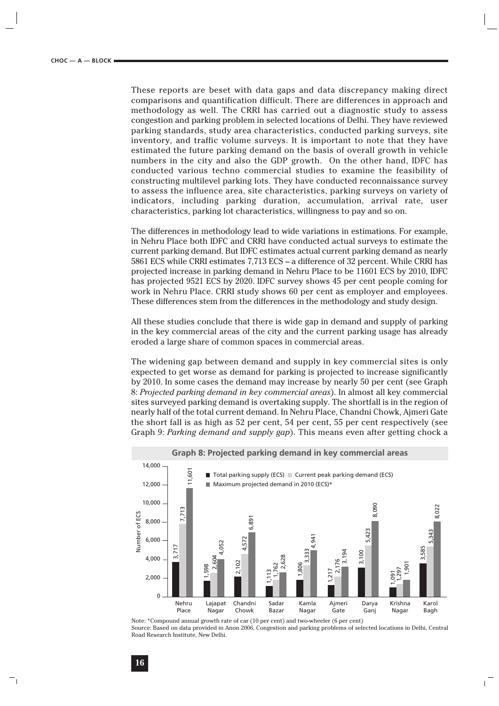These reports are beset with data gaps and data discrepancy making direct comparisons and quantification difficult. There are differences in approach and methodology as well. The CRRI has carried out a diagnostic study to assess congestion and parking problem in selected locations of Delhi. They have reviewed parking standards, study area characteristics, conducted parking surveys, site inventory, and traffic volume surveys. It is important to note that they have estimated the future parking demand on the basis of overall growth in vehicle numbers in the city and also the GDP growth. On the other hand, IDFC has conducted various techno commercial studies to examine the feasibility of constructing multilevel parking lots. They have conducted reconnaissance survey to assess the influence area, site characteristics, parking surveys on variety of indicators, including parking duration, accumulation, arrival rate, user characteristics, parking lot characteristics, willingness to pay and so on.

The differences in methodology lead to wide variations in estimations. For example, in Nehru Place both IDFC and CRRI have conducted actual surveys to estimate the current parking demand. But IDFC estimates actual current parking demand as nearly 5861 ECS while CRRI estimates 7,713 ECS – a difference of 32 percent. While CRRI has projected increase in parking demand in Nehru Place to be 11601 ECS by 2010, IDFC has projected 9521 ECS by 2020. IDFC survey shows 45 per cent people coming for work in Nehru Place. CRRI study shows 60 per cent as employer and employees. These differences stem from the differences in the methodology and study design.

All these studies conclude that there is wide gap in demand and supply of parking in the key commercial areas of the city and the current parking usage has already eroded a large share of common spaces in commercial areas.

The widening gap between demand and supply in key commercial sites is only expected to get worse as demand for parking is projected to increase significantly by 2010. In some cases the demand may increase by nearly 50 per cent (see Graph 8: *Projected parking demand in key commercial areas*). In almost all key commercial sites surveyed parking demand is overtaking supply. The shortfall is in the region of nearly half of the total current demand. In Nehru Place, Chandni Chowk, Ajmeri Gate the short fall is as high as 52 per cent, 54 per cent, 55 per cent respectively (see Graph 9: *Parking demand and supply gap*). This means even after getting chock a



Note: \*Compound annual growth rate of car (10 per cent) and two-wheeler (6 per cent) Source: Based on data provided in Anon 2006, Congestion and parking problems of selected locations in Delhi, Central Road Research Institute, New Delhi.

 $\overline{1}$ 

٦ı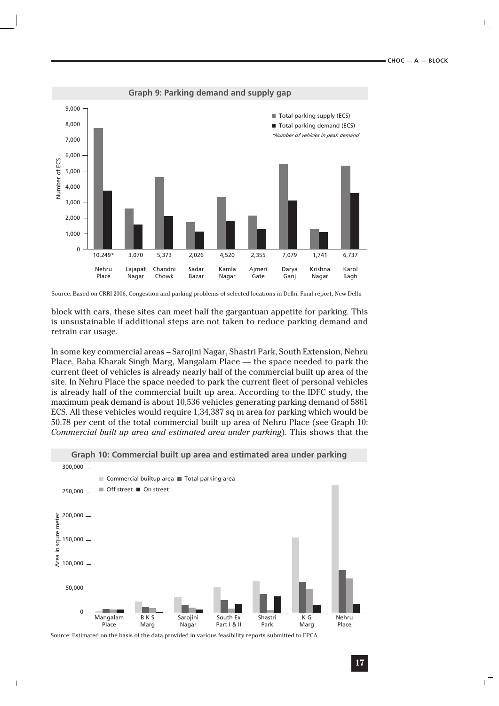$\overline{\phantom{a}}$ 



Source: Based on CRRI 2006, Congestion and parking problems of selected locations in Delhi, Final report, New Delhi

block with cars, these sites can meet half the gargantuan appetite for parking. This is unsustainable if additional steps are not taken to reduce parking demand and retrain car usage.

In some key commercial areas – Sarojini Nagar, Shastri Park, South Extension, Nehru Place, Baba Kharak Singh Marg, Mangalam Place — the space needed to park the current fleet of vehicles is already nearly half of the commercial built up area of the site. In Nehru Place the space needed to park the current fleet of personal vehicles is already half of the commercial built up area. According to the IDFC study, the maximum peak demand is about 10,536 vehicles generating parking demand of 5861 ECS. All these vehicles would require 1,34,387 sq m area for parking which would be 50.78 per cent of the total commercial built up area of Nehru Place (see Graph 10: *Commercial built up area and estimated area under parking*). This shows that the



 $\overline{\phantom{a}}$ 

**Graph 10: Commercial built up area and estimated area under parking**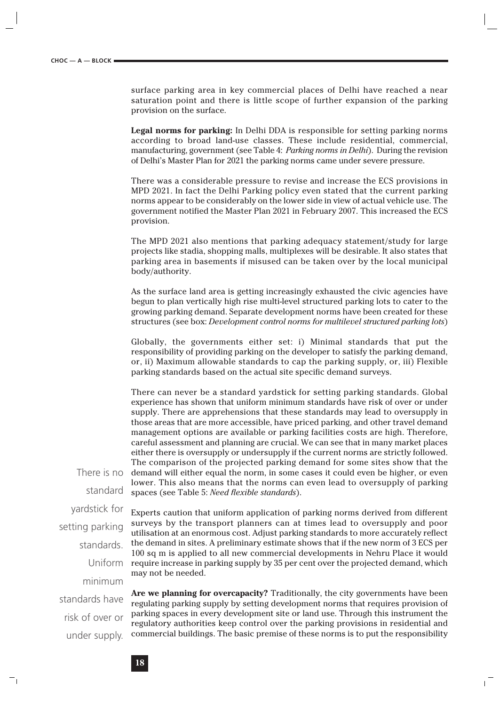surface parking area in key commercial places of Delhi have reached a near saturation point and there is little scope of further expansion of the parking provision on the surface.

**Legal norms for parking:** In Delhi DDA is responsible for setting parking norms according to broad land-use classes. These include residential, commercial, manufacturing, government (see Table 4: *Parking norms in Delhi*). During the revision of Delhi's Master Plan for 2021 the parking norms came under severe pressure.

There was a considerable pressure to revise and increase the ECS provisions in MPD 2021. In fact the Delhi Parking policy even stated that the current parking norms appear to be considerably on the lower side in view of actual vehicle use. The government notified the Master Plan 2021 in February 2007. This increased the ECS provision.

The MPD 2021 also mentions that parking adequacy statement/study for large projects like stadia, shopping malls, multiplexes will be desirable. It also states that parking area in basements if misused can be taken over by the local municipal body/authority.

As the surface land area is getting increasingly exhausted the civic agencies have begun to plan vertically high rise multi-level structured parking lots to cater to the growing parking demand. Separate development norms have been created for these structures (see box: *Development control norms for multilevel structured parking lots*)

Globally, the governments either set: i) Minimal standards that put the responsibility of providing parking on the developer to satisfy the parking demand, or, ii) Maximum allowable standards to cap the parking supply, or, iii) Flexible parking standards based on the actual site specific demand surveys.

There can never be a standard yardstick for setting parking standards. Global experience has shown that uniform minimum standards have risk of over or under supply. There are apprehensions that these standards may lead to oversupply in those areas that are more accessible, have priced parking, and other travel demand management options are available or parking facilities costs are high. Therefore, careful assessment and planning are crucial. We can see that in many market places either there is oversupply or undersupply if the current norms are strictly followed. The comparison of the projected parking demand for some sites show that the demand will either equal the norm, in some cases it could even be higher, or even lower. This also means that the norms can even lead to oversupply of parking spaces (see Table 5: *Need flexible standards*).

There is no standard yardstick for setting parking standards. Uniform minimum standards have risk of over or

under supply.

7

Experts caution that uniform application of parking norms derived from different surveys by the transport planners can at times lead to oversupply and poor utilisation at an enormous cost. Adjust parking standards to more accurately reflect the demand in sites. A preliminary estimate shows that if the new norm of 3 ECS per 100 sq m is applied to all new commercial developments in Nehru Place it would require increase in parking supply by 35 per cent over the projected demand, which may not be needed.

**Are we planning for overcapacity?** Traditionally, the city governments have been regulating parking supply by setting development norms that requires provision of parking spaces in every development site or land use. Through this instrument the regulatory authorities keep control over the parking provisions in residential and commercial buildings. The basic premise of these norms is to put the responsibility

 $\mathbf{I}$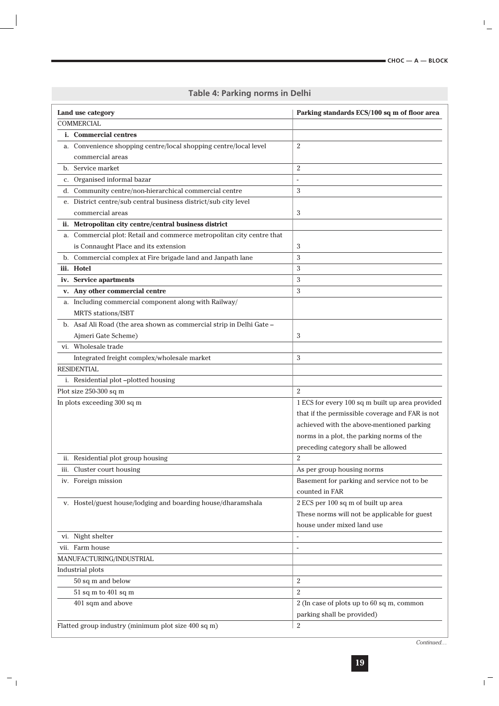$\mathbb{I}_+$ 

|    | Land use category                                                    | Parking standards ECS/100 sq m of floor area    |
|----|----------------------------------------------------------------------|-------------------------------------------------|
|    | <b>COMMERCIAL</b>                                                    |                                                 |
|    | i. Commercial centres                                                |                                                 |
| a. | Convenience shopping centre/local shopping centre/local level        | 2                                               |
|    | commercial areas                                                     |                                                 |
|    | b. Service market                                                    | $\overline{2}$                                  |
| c. | Organised informal bazar                                             | $\sim$                                          |
|    | d. Community centre/non-hierarchical commercial centre               | 3                                               |
|    | e. District centre/sub central business district/sub city level      |                                                 |
|    | commercial areas                                                     | 3                                               |
|    | ii. Metropolitan city centre/central business district               |                                                 |
| a. | Commercial plot: Retail and commerce metropolitan city centre that   |                                                 |
|    | is Connaught Place and its extension                                 | 3                                               |
|    | b. Commercial complex at Fire brigade land and Janpath lane          | 3                                               |
|    | iii. Hotel                                                           | 3                                               |
|    | iv. Service apartments                                               | 3                                               |
|    | v. Any other commercial centre                                       | 3                                               |
|    | a. Including commercial component along with Railway/                |                                                 |
|    | <b>MRTS</b> stations/ISBT                                            |                                                 |
|    | b. Asaf Ali Road (the area shown as commercial strip in Delhi Gate – |                                                 |
|    | Ajmeri Gate Scheme)                                                  | 3                                               |
|    | vi. Wholesale trade                                                  |                                                 |
|    | Integrated freight complex/wholesale market                          | 3                                               |
|    | <b>RESIDENTIAL</b>                                                   |                                                 |
|    | i. Residential plot-plotted housing                                  |                                                 |
|    | Plot size 250-300 sq m                                               | $\overline{2}$                                  |
|    | In plots exceeding 300 sq m                                          | 1 ECS for every 100 sq m built up area provided |
|    |                                                                      | that if the permissible coverage and FAR is not |
|    |                                                                      | achieved with the above-mentioned parking       |
|    |                                                                      | norms in a plot, the parking norms of the       |
|    |                                                                      | preceding category shall be allowed             |
|    | ii. Residential plot group housing                                   | $\overline{2}$                                  |
|    | iii. Cluster court housing                                           | As per group housing norms                      |
|    | iv. Foreign mission                                                  | Basement for parking and service not to be      |
|    |                                                                      | counted in FAR                                  |
|    | v. Hostel/guest house/lodging and boarding house/dharamshala         | 2 ECS per 100 sq m of built up area             |
|    |                                                                      | These norms will not be applicable for guest    |
|    |                                                                      | house under mixed land use                      |
|    | vi. Night shelter                                                    | $\overline{\phantom{a}}$                        |
|    | vii. Farm house                                                      | $\overline{\phantom{a}}$                        |
|    | MANUFACTURING/INDUSTRIAL                                             |                                                 |
|    | Industrial plots                                                     |                                                 |
|    | 50 sq m and below                                                    | $\overline{2}$                                  |
|    | 51 sq m to 401 sq m                                                  | $\overline{2}$                                  |
|    | 401 sqm and above                                                    | 2 (In case of plots up to 60 sq m, common       |
|    |                                                                      | parking shall be provided)                      |
|    | Flatted group industry (minimum plot size 400 sq m)                  | $\overline{2}$                                  |

 $\equiv_{\perp}$ 

**Table 4: Parking norms in Delhi** 

*Continued…*

 $\mathbf{1}^{\frac{1}{n-1}}$ 

**19**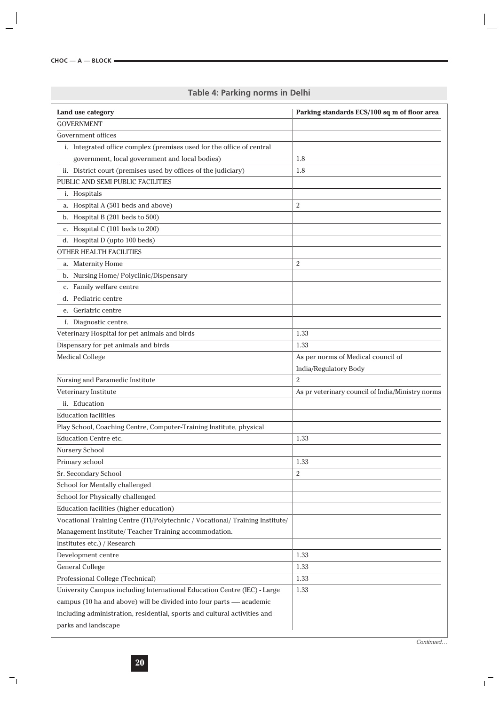# **Land use category Parking standards ECS/100 sq m of floor area**  GOVERNMENT Government offices i. Integrated office complex (premises used for the office of central government, local government and local bodies)  $\vert$  1.8 ii. District court (premises used by offices of the judiciary)  $\begin{array}{|l|l|} \hline \end{array}$  1.8 PUBLIC AND SEMI PUBLIC FACILITIES i. Hospitals a. Hospital A  $(501 \text{ beds and above})$  2 b. Hospital B (201 beds to 500) c. Hospital C (101 beds to 200) d. Hospital D (upto 100 beds) OTHER HEALTH FACILITIES a. Maternity Home 2 b. Nursing Home/ Polyclinic/Dispensary c. Family welfare centre d. Pediatric centre e. Geriatric centre f. Diagnostic centre. Veterinary Hospital for pet animals and birds 1.33 Dispensary for pet animals and birds 1.33 Medical College As per norms of Medical council of India/Regulatory Body Nursing and Paramedic Institute 2012 Veterinary Institute As provide a large and the As provide a large As provided as provided as  $\alpha$  and  $\alpha$  as provided as  $\alpha$  and  $\alpha$  and  $\alpha$  are  $\alpha$  and  $\alpha$  are  $\alpha$  and  $\alpha$  are  $\alpha$  and  $\alpha$  are  $\alpha$  and  $\alpha$  are ii. Education Education facilities Play School, Coaching Centre, Computer-Training Institute, physical Education Centre etc. 1.33 Nursery School Primary school 1.33 Sr. Secondary School 2 School for Mentally challenged School for Physically challenged Education facilities (higher education)

## **Table 4: Parking norms in Delhi**

*Continued…*

Management Institute/ Teacher Training accommodation.

Institutes etc.) / Research

parks and landscape

71

Vocational Training Centre (ITI/Polytechnic / Vocational/ Training Institute/

campus (10 ha and above) will be divided into four parts —- academic including administration, residential, sports and cultural activities and

Development centre 1.33 General College 2.1.33 Professional College (Technical) 1.33 University Campus including International Education Centre (IEC) - Large 1.33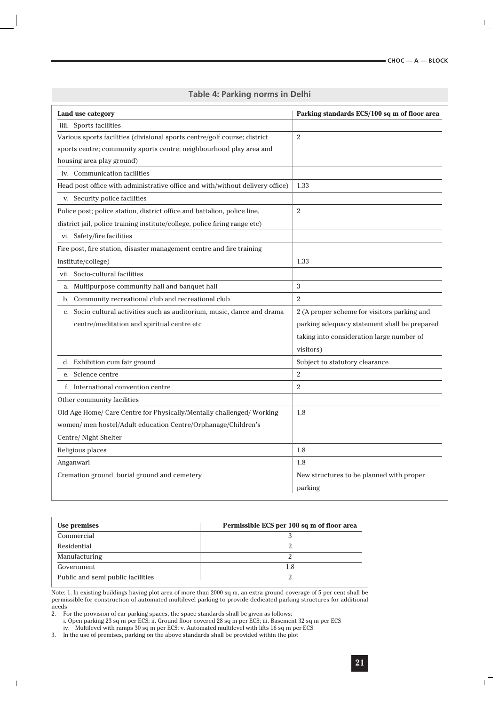$\mathbb{L}$ 

|  | Table 4: Parking norms in Delhi |  |  |  |
|--|---------------------------------|--|--|--|
|--|---------------------------------|--|--|--|

| Land use category                                                             | Parking standards ECS/100 sq m of floor area |
|-------------------------------------------------------------------------------|----------------------------------------------|
| iiii. Sports facilities                                                       |                                              |
| Various sports facilities (divisional sports centre/golf course; district     | $\overline{2}$                               |
| sports centre; community sports centre; neighbourhood play area and           |                                              |
| housing area play ground)                                                     |                                              |
| iv. Communication facilities                                                  |                                              |
| Head post office with administrative office and with/without delivery office) | 1.33                                         |
| v. Security police facilities                                                 |                                              |
| Police post; police station, district office and battalion, police line,      | $\overline{2}$                               |
| district jail, police training institute/college, police firing range etc)    |                                              |
| vi. Safety/fire facilities                                                    |                                              |
| Fire post, fire station, disaster management centre and fire training         |                                              |
| institute/college)                                                            | 1.33                                         |
| vii. Socio-cultural facilities                                                |                                              |
| Multipurpose community hall and banquet hall<br>a.                            | 3                                            |
| b. Community recreational club and recreational club                          | $\overline{2}$                               |
| c. Socio cultural activities such as auditorium, music, dance and drama       | 2 (A proper scheme for visitors parking and  |
| centre/meditation and spiritual centre etc                                    | parking adequacy statement shall be prepared |
|                                                                               | taking into consideration large number of    |
|                                                                               | visitors)                                    |
| d. Exhibition cum fair ground                                                 | Subject to statutory clearance               |
| e. Science centre                                                             | $\overline{2}$                               |
| f. International convention centre                                            | $\overline{2}$                               |
| Other community facilities                                                    |                                              |
| Old Age Home/ Care Centre for Physically/Mentally challenged/ Working         | 1.8                                          |
| women/ men hostel/Adult education Centre/Orphanage/Children's                 |                                              |
| Centre/ Night Shelter                                                         |                                              |
| Religious places                                                              | 1.8                                          |
| Anganwari                                                                     | 1.8                                          |
| Cremation ground, burial ground and cemetery                                  | New structures to be planned with proper     |
|                                                                               | parking                                      |

| Use premises                      | Permissible ECS per 100 sq m of floor area |
|-----------------------------------|--------------------------------------------|
| Commercial                        |                                            |
| Residential                       |                                            |
| Manufacturing                     |                                            |
| Government                        | 1.8                                        |
| Public and semi public facilities |                                            |

Note: 1. In existing buildings having plot area of more than 2000 sq m, an extra ground coverage of 5 per cent shall be permissible for construction of automated multilevel parking to provide dedicated parking structures for additional needs

2. For the provision of car parking spaces, the space standards shall be given as follows:

i. Open parking 23 sq m per ECS; ii. Ground floor covered 28 sq m per ECS; iii. Basement 32 sq m per ECS iv. Multilevel with ramps 30 sq m per ECS; v. Automated multilevel with lifts 16 sq m per ECS

3. In the use of premises, parking on the above standards shall be provided within the plot

 $\vdash_1$ 

 $\frac{1}{1}$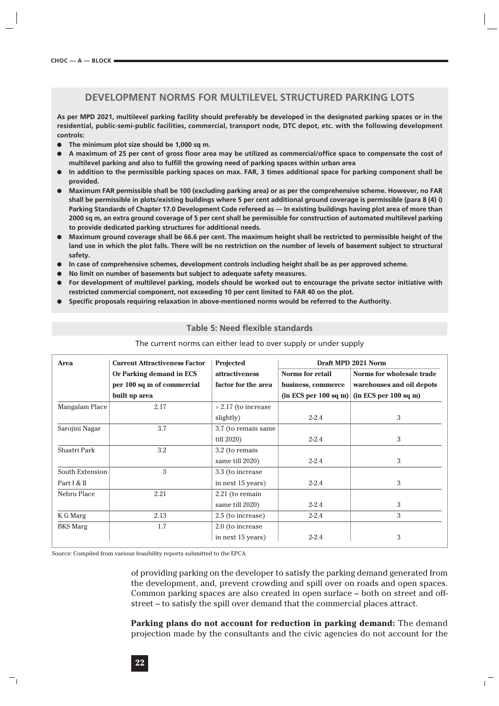## **DEVELOPMENT NORMS FOR MULTILEVEL STRUCTURED PARKING LOTS**

**As per MPD 2021, multilevel parking facility should preferably be developed in the designated parking spaces or in the residential, public-semi-public facilities, commercial, transport node, DTC depot, etc. with the following development controls:**

- The minimum plot size should be 1,000 sq m.
- **A maximum of 25 per cent of gross floor area may be utilized as commercial/office space to compensate the cost of multilevel parking and also to fulfill the growing need of parking spaces within urban area**
- **In addition to the permissible parking spaces on max. FAR, 3 times additional space for parking component shall be provided.**
- **Maximum FAR permissible shall be 100 (excluding parking area) or as per the comprehensive scheme. However, no FAR shall be permissible in plots/existing buildings where 5 per cent additional ground coverage is permissible (para 8 (4) i) Parking Standards of Chapter 17.0 Development Code refereed as — In existing buildings having plot area of more than 2000 sq m, an extra ground coverage of 5 per cent shall be permissible for construction of automated multilevel parking to provide dedicated parking structures for additional needs.**
- **Maximum ground coverage shall be 66.6 per cent. The maximum height shall be restricted to permissible height of the land use in which the plot falls. There will be no restriction on the number of levels of basement subject to structural safety.**
- **In case of comprehensive schemes, development controls including height shall be as per approved scheme.**
- No limit on number of basements but subject to adequate safety measures.
- For development of multilevel parking, models should be worked out to encourage the private sector initiative with **restricted commercial component, not exceeding 10 per cent limited to FAR 40 on the plot.**
- Specific proposals requiring relaxation in above-mentioned norms would be referred to the Authority.

## **Table 5: Need flexible standards**

| Area            | <b>Current Attractiveness Factor</b> | <b>Projected</b>      | Draft MPD 2021 Norm   |                           |  |
|-----------------|--------------------------------------|-----------------------|-----------------------|---------------------------|--|
|                 | Or Parking demand in ECS             | <i>attractiveness</i> | Norms for retail      | Norms for wholesale trade |  |
|                 | per 100 sq m of commercial           | factor for the area   | business, commerce    | warehouses and oil depots |  |
|                 | built up area                        |                       | (in ECS per 100 sq m) | (in ECS per 100 sq m)     |  |
| Mangalam Place  | 2.17                                 | $> 2.17$ (to increase |                       |                           |  |
|                 |                                      | slightly)             | $2 - 2.4$             | 3                         |  |
| Sarojini Nagar  | 3.7                                  | 3.7 (to remain same   |                       |                           |  |
|                 |                                      | till 2020)            | $2 - 2.4$             | 3                         |  |
| Shastri Park    | 3.2                                  | 3.2 (to remain        |                       |                           |  |
|                 |                                      | same till 2020)       | $2 - 2.4$             | 3                         |  |
| South Extension | 3                                    | 3.3 (to increase      |                       |                           |  |
| Part I & II     |                                      | in next 15 years)     | $2 - 2.4$             | 3                         |  |
| Nehru Place     | 2.21                                 | 2.21 (to remain       |                       |                           |  |
|                 |                                      | same till 2020)       | $2 - 2.4$             | 3                         |  |
| K G Marg        | 2.13                                 | 2.5 (to increase)     | $2 - 2.4$             | 3                         |  |
| <b>BKS</b> Marg | 1.7                                  | 2.0 (to increase      |                       |                           |  |
|                 |                                      | in next 15 years)     | $2 - 2.4$             | 3                         |  |

## The current norms can either lead to over supply or under supply

Source: Compiled from various feasibility reports submitted to the EPCA

of providing parking on the developer to satisfy the parking demand generated from the development, and, prevent crowding and spill over on roads and open spaces. Common parking spaces are also created in open surface – both on street and offstreet – to satisfy the spill over demand that the commercial places attract.

**Parking plans do not account for reduction in parking demand:** The demand projection made by the consultants and the civic agencies do not account for the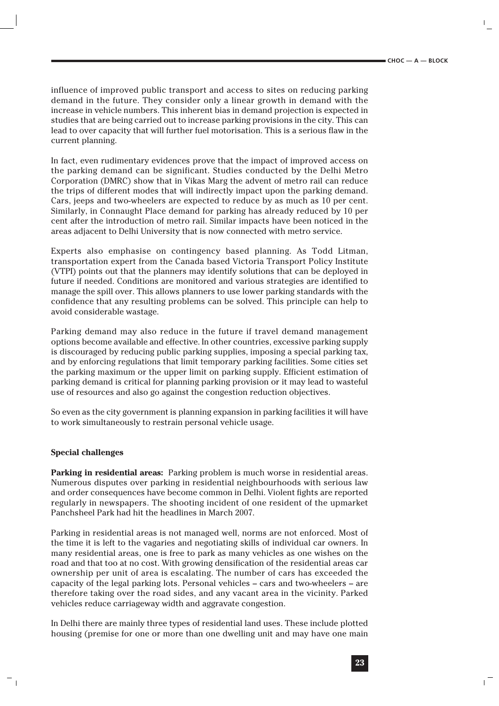influence of improved public transport and access to sites on reducing parking demand in the future. They consider only a linear growth in demand with the increase in vehicle numbers. This inherent bias in demand projection is expected in studies that are being carried out to increase parking provisions in the city. This can lead to over capacity that will further fuel motorisation. This is a serious flaw in the current planning.

In fact, even rudimentary evidences prove that the impact of improved access on the parking demand can be significant. Studies conducted by the Delhi Metro Corporation (DMRC) show that in Vikas Marg the advent of metro rail can reduce the trips of different modes that will indirectly impact upon the parking demand. Cars, jeeps and two-wheelers are expected to reduce by as much as 10 per cent. Similarly, in Connaught Place demand for parking has already reduced by 10 per cent after the introduction of metro rail. Similar impacts have been noticed in the areas adjacent to Delhi University that is now connected with metro service.

Experts also emphasise on contingency based planning. As Todd Litman, transportation expert from the Canada based Victoria Transport Policy Institute (VTPI) points out that the planners may identify solutions that can be deployed in future if needed. Conditions are monitored and various strategies are identified to manage the spill over. This allows planners to use lower parking standards with the confidence that any resulting problems can be solved. This principle can help to avoid considerable wastage.

Parking demand may also reduce in the future if travel demand management options become available and effective. In other countries, excessive parking supply is discouraged by reducing public parking supplies, imposing a special parking tax, and by enforcing regulations that limit temporary parking facilities. Some cities set the parking maximum or the upper limit on parking supply. Efficient estimation of parking demand is critical for planning parking provision or it may lead to wasteful use of resources and also go against the congestion reduction objectives.

So even as the city government is planning expansion in parking facilities it will have to work simultaneously to restrain personal vehicle usage.

## **Special challenges**

**Parking in residential areas:** Parking problem is much worse in residential areas. Numerous disputes over parking in residential neighbourhoods with serious law and order consequences have become common in Delhi. Violent fights are reported regularly in newspapers. The shooting incident of one resident of the upmarket Panchsheel Park had hit the headlines in March 2007.

Parking in residential areas is not managed well, norms are not enforced. Most of the time it is left to the vagaries and negotiating skills of individual car owners. In many residential areas, one is free to park as many vehicles as one wishes on the road and that too at no cost. With growing densification of the residential areas car ownership per unit of area is escalating. The number of cars has exceeded the capacity of the legal parking lots. Personal vehicles – cars and two-wheelers – are therefore taking over the road sides, and any vacant area in the vicinity. Parked vehicles reduce carriageway width and aggravate congestion.

In Delhi there are mainly three types of residential land uses. These include plotted housing (premise for one or more than one dwelling unit and may have one main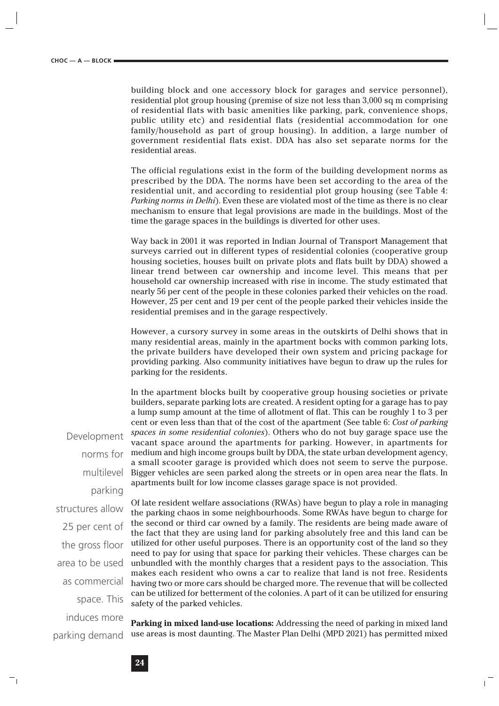building block and one accessory block for garages and service personnel), residential plot group housing (premise of size not less than 3,000 sq m comprising of residential flats with basic amenities like parking, park, convenience shops, public utility etc) and residential flats (residential accommodation for one family/household as part of group housing). In addition, a large number of government residential flats exist. DDA has also set separate norms for the residential areas.

The official regulations exist in the form of the building development norms as prescribed by the DDA. The norms have been set according to the area of the residential unit, and according to residential plot group housing (see Table 4: *Parking norms in Delhi*). Even these are violated most of the time as there is no clear mechanism to ensure that legal provisions are made in the buildings. Most of the time the garage spaces in the buildings is diverted for other uses.

Way back in 2001 it was reported in Indian Journal of Transport Management that surveys carried out in different types of residential colonies (cooperative group housing societies, houses built on private plots and flats built by DDA) showed a linear trend between car ownership and income level. This means that per household car ownership increased with rise in income. The study estimated that nearly 56 per cent of the people in these colonies parked their vehicles on the road. However, 25 per cent and 19 per cent of the people parked their vehicles inside the residential premises and in the garage respectively.

However, a cursory survey in some areas in the outskirts of Delhi shows that in many residential areas, mainly in the apartment bocks with common parking lots, the private builders have developed their own system and pricing package for providing parking. Also community initiatives have begun to draw up the rules for parking for the residents.

In the apartment blocks built by cooperative group housing societies or private builders, separate parking lots are created. A resident opting for a garage has to pay a lump sump amount at the time of allotment of flat. This can be roughly 1 to 3 per cent or even less than that of the cost of the apartment (See table 6: *Cost of parking spaces in some residential colonies*). Others who do not buy garage space use the vacant space around the apartments for parking. However, in apartments for medium and high income groups built by DDA, the state urban development agency, a small scooter garage is provided which does not seem to serve the purpose. Bigger vehicles are seen parked along the streets or in open area near the flats. In apartments built for low income classes garage space is not provided.

norms for multilevel parking structures allow 25 per cent of the gross floor area to be used as commercial space. This induces more parking demand

71

Development

Of late resident welfare associations (RWAs) have begun to play a role in managing the parking chaos in some neighbourhoods. Some RWAs have begun to charge for the second or third car owned by a family. The residents are being made aware of the fact that they are using land for parking absolutely free and this land can be utilized for other useful purposes. There is an opportunity cost of the land so they need to pay for using that space for parking their vehicles. These charges can be unbundled with the monthly charges that a resident pays to the association. This makes each resident who owns a car to realize that land is not free. Residents having two or more cars should be charged more. The revenue that will be collected can be utilized for betterment of the colonies. A part of it can be utilized for ensuring safety of the parked vehicles.

**Parking in mixed land-use locations:** Addressing the need of parking in mixed land use areas is most daunting. The Master Plan Delhi (MPD 2021) has permitted mixed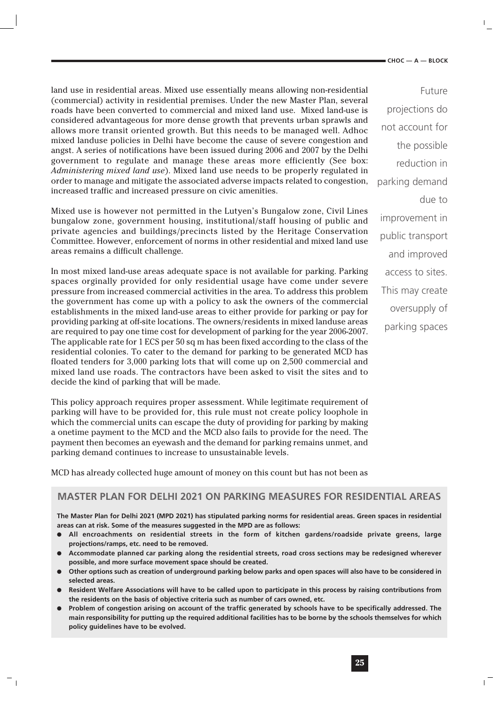land use in residential areas. Mixed use essentially means allowing non-residential (commercial) activity in residential premises. Under the new Master Plan, several roads have been converted to commercial and mixed land use. Mixed land-use is considered advantageous for more dense growth that prevents urban sprawls and allows more transit oriented growth. But this needs to be managed well. Adhoc mixed landuse policies in Delhi have become the cause of severe congestion and angst. A series of notifications have been issued during 2006 and 2007 by the Delhi government to regulate and manage these areas more efficiently (See box: *Administering mixed land use*). Mixed land use needs to be properly regulated in order to manage and mitigate the associated adverse impacts related to congestion, increased traffic and increased pressure on civic amenities.

Mixed use is however not permitted in the Lutyen's Bungalow zone, Civil Lines bungalow zone, government housing, institutional/staff housing of public and private agencies and buildings/precincts listed by the Heritage Conservation Committee. However, enforcement of norms in other residential and mixed land use areas remains a difficult challenge.

In most mixed land-use areas adequate space is not available for parking. Parking spaces orginally provided for only residential usage have come under severe pressure from increased commercial activities in the area. To address this problem the government has come up with a policy to ask the owners of the commercial establishments in the mixed land-use areas to either provide for parking or pay for providing parking at off-site locations. The owners/residents in mixed landuse areas are required to pay one time cost for development of parking for the year 2006-2007. The applicable rate for 1 ECS per 50 sq m has been fixed according to the class of the residential colonies. To cater to the demand for parking to be generated MCD has floated tenders for 3,000 parking lots that will come up on 2,500 commercial and mixed land use roads. The contractors have been asked to visit the sites and to decide the kind of parking that will be made.

This policy approach requires proper assessment. While legitimate requirement of parking will have to be provided for, this rule must not create policy loophole in which the commercial units can escape the duty of providing for parking by making a onetime payment to the MCD and the MCD also fails to provide for the need. The payment then becomes an eyewash and the demand for parking remains unmet, and parking demand continues to increase to unsustainable levels.

MCD has already collected huge amount of money on this count but has not been as

 $^{-}$  1

## **MASTER PLAN FOR DELHI 2021 ON PARKING MEASURES FOR RESIDENTIAL AREAS**

**The Master Plan for Delhi 2021 (MPD 2021) has stipulated parking norms for residential areas. Green spaces in residential areas can at risk. Some of the measures suggested in the MPD are as follows:** 

- **All encroachments on residential streets in the form of kitchen gardens/roadside private greens, large projections/ramps, etc. need to be removed.**
- **Accommodate planned car parking along the residential streets, road cross sections may be redesigned wherever possible, and more surface movement space should be created.**
- **Other options such as creation of underground parking below parks and open spaces will also have to be considered in selected areas.**
- **Resident Welfare Associations will have to be called upon to participate in this process by raising contributions from the residents on the basis of objective criteria such as number of cars owned, etc.**
- **Problem of congestion arising on account of the traffic generated by schools have to be specifically addressed. The main responsibility for putting up the required additional facilities has to be borne by the schools themselves for which policy guidelines have to be evolved.**

Future projections do not account for the possible reduction in parking demand due to improvement in public transport and improved access to sites. This may create oversupply of parking spaces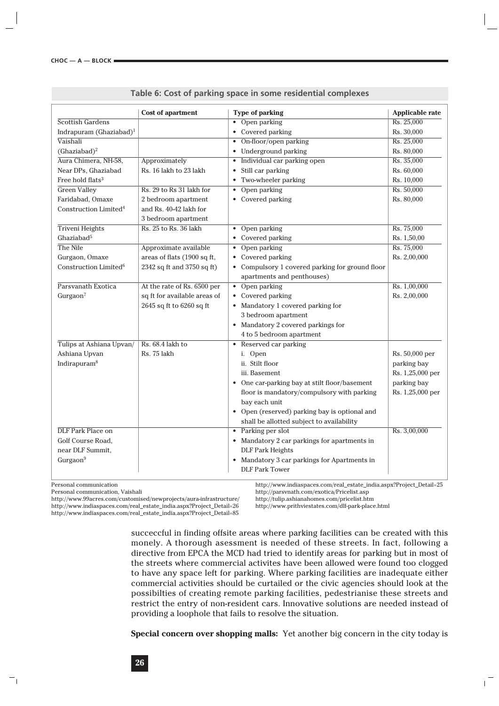|                                     | Cost of apartment            | <b>Type of parking</b>                                      | <b>Applicable rate</b> |
|-------------------------------------|------------------------------|-------------------------------------------------------------|------------------------|
| Scottish Gardens                    |                              | $\bullet$ Open parking                                      | Rs. 25,000             |
| Indrapuram (Ghaziabad) <sup>1</sup> |                              | • Covered parking                                           | Rs. 30,000             |
| Vaishali                            |                              | • On-floor/open parking                                     | Rs. 25,000             |
| (Ghaziabad) <sup>2</sup>            |                              | • Underground parking                                       | Rs. 80,000             |
| Aura Chimera, NH-58,                | Approximately                | • Individual car parking open                               | Rs. 35,000             |
| Near DPs, Ghaziabad                 | Rs. 16 lakh to 23 lakh       | • Still car parking                                         | Rs. 60,000             |
| Free hold flats <sup>3</sup>        |                              | • Two-wheeler parking                                       | Rs. 10,000             |
| <b>Green Valley</b>                 | Rs. 29 to Rs 31 lakh for     | • Open parking                                              | Rs. 50,000             |
| Faridabad, Omaxe                    | 2 bedroom apartment          | • Covered parking                                           | Rs. 80,000             |
| Construction Limited <sup>4</sup>   | and Rs. 40-42 lakh for       |                                                             |                        |
|                                     | 3 bedroom apartment          |                                                             |                        |
| <b>Triveni Heights</b>              | Rs. 25 to Rs. 36 lakh        | • Open parking                                              | Rs. 75,000             |
| Ghaziabad <sup>5</sup>              |                              | • Covered parking                                           | Rs. 1,50,00            |
| The Nile                            | Approximate available        | • Open parking                                              | Rs. 75,000             |
| Gurgaon, Omaxe                      | areas of flats (1900 sq ft,  | • Covered parking                                           | Rs. 2,00,000           |
| Construction Limited <sup>6</sup>   | 2342 sq ft and 3750 sq ft)   | • Compulsory 1 covered parking for ground floor             |                        |
|                                     |                              | apartments and penthouses)                                  |                        |
| Parsvanath Exotica                  | At the rate of Rs. 6500 per  | • Open parking                                              | Rs. 1,00,000           |
| Gurgaon <sup>7</sup>                | sq ft for available areas of |                                                             | Rs. 2,00,000           |
|                                     |                              | • Covered parking                                           |                        |
|                                     | 2645 sq ft to 6260 sq ft     | • Mandatory 1 covered parking for<br>3 bedroom apartment    |                        |
|                                     |                              |                                                             |                        |
|                                     |                              | • Mandatory 2 covered parkings for                          |                        |
|                                     | Rs. 68.4 lakh to             | 4 to 5 bedroom apartment                                    |                        |
| Tulips at Ashiana Upvan/            |                              | • Reserved car parking                                      |                        |
| Ashiana Upvan                       | Rs. 75 lakh                  | i. Open                                                     | Rs. 50,000 per         |
| Indirapuram <sup>8</sup>            |                              | ii. Stilt floor                                             | parking bay            |
|                                     |                              | iii. Basement                                               | Rs. 1,25,000 per       |
|                                     |                              | • One car-parking bay at stilt floor/basement               | parking bay            |
|                                     |                              | floor is mandatory/compulsory with parking<br>bay each unit | Rs. 1,25,000 per       |
|                                     |                              | • Open (reserved) parking bay is optional and               |                        |
|                                     |                              | shall be allotted subject to availability                   |                        |
| <b>DLF</b> Park Place on            |                              | • Parking per slot                                          | Rs. 3,00,000           |
| Golf Course Road,                   |                              | • Mandatory 2 car parkings for apartments in                |                        |
| near DLF Summit,                    |                              | <b>DLF Park Heights</b>                                     |                        |
| Gurgaon <sup>9</sup>                |                              | • Mandatory 3 car parkings for Apartments in                |                        |
|                                     |                              | <b>DLF</b> Park Tower                                       |                        |
|                                     |                              |                                                             |                        |

| Table 6: Cost of parking space in some residential complexes |  |  |  |
|--------------------------------------------------------------|--|--|--|
|                                                              |  |  |  |

Personal communication

٦ı

Personal communication, Vaishali

http://www.indiaspaces.com/real\_estate\_india.aspx?Project\_Detail=25 http://parsvnath.com/exotica/Pricelist.asp

 $\mathbf{I}$ 

http://www.99acres.com/customised/newprojects/aura-infrastructure/ http://www.indiaspaces.com/real\_estate\_india.aspx?Project\_Detail=26 http://www.indiaspaces.com/real\_estate\_india.aspx?Project\_Detail=85

http://tulip.ashianahomes.com/pricelist.htm

http://www.prithviestates.com/dlf-park-place.html

succeccful in finding offsite areas where parking facilities can be created with this monely. A thorough asessment is needed of these streets. In fact, following a directive from EPCA the MCD had tried to identify areas for parking but in most of the streets where commercial activites have been allowed were found too clogged to have any space left for parking. Where parking facilities are inadequate either commercial activities should be curtailed or the civic agencies should look at the possibilties of creating remote parking facilities, pedestrianise these streets and restrict the entry of non-resident cars. Innovative solutions are needed instead of providing a loophole that fails to resolve the situation.

**Special concern over shopping malls:** Yet another big concern in the city today is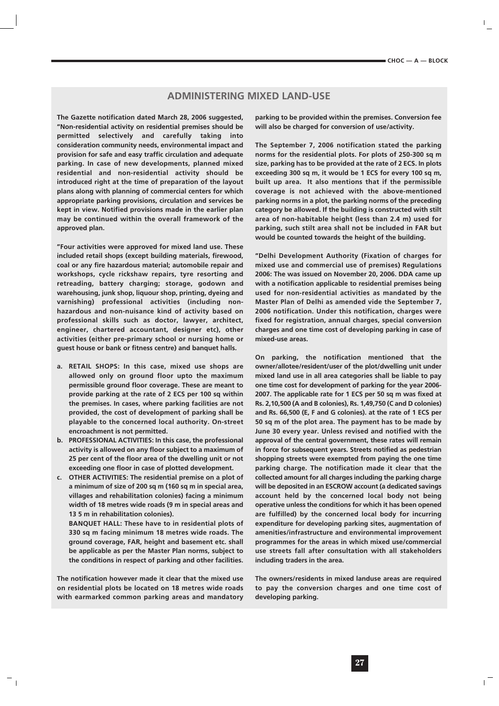## **ADMINISTERING MIXED LAND-USE**

**The Gazette notification dated March 28, 2006 suggested, "Non-residential activity on residential premises should be permitted selectively and carefully taking into consideration community needs, environmental impact and provision for safe and easy traffic circulation and adequate parking. In case of new developments, planned mixed residential and non-residential activity should be introduced right at the time of preparation of the layout plans along with planning of commercial centers for which appropriate parking provisions, circulation and services be kept in view. Notified provisions made in the earlier plan may be continued within the overall framework of the approved plan.** 

**"Four activities were approved for mixed land use. These included retail shops (except building materials, firewood, coal or any fire hazardous material; automobile repair and workshops, cycle rickshaw repairs, tyre resorting and retreading, battery charging; storage, godown and warehousing, junk shop, liquour shop, printing, dyeing and varnishing) professional activities (including nonhazardous and non-nuisance kind of activity based on professional skills such as doctor, lawyer, architect, engineer, chartered accountant, designer etc), other activities (either pre-primary school or nursing home or guest house or bank or fitness centre) and banquet halls.**

- **a. RETAIL SHOPS: In this case, mixed use shops are allowed only on ground floor upto the maximum permissible ground floor coverage. These are meant to provide parking at the rate of 2 ECS per 100 sq within the premises. In cases, where parking facilities are not provided, the cost of development of parking shall be playable to the concerned local authority. On-street encroachment is not permitted.**
- **b. PROFESSIONAL ACTIVITIES: In this case, the professional activity is allowed on any floor subject to a maximum of 25 per cent of the floor area of the dwelling unit or not exceeding one floor in case of plotted development.**
- **c. OTHER ACTIVITIES: The residential premise on a plot of a minimum of size of 200 sq m (160 sq m in special area, villages and rehabilitation colonies) facing a minimum width of 18 metres wide roads (9 m in special areas and 13 5 m in rehabilitation colonies).**

**BANQUET HALL: These have to in residential plots of 330 sq m facing minimum 18 metres wide roads. The ground coverage, FAR, height and basement etc. shall be applicable as per the Master Plan norms, subject to the conditions in respect of parking and other facilities.** 

**The notification however made it clear that the mixed use on residential plots be located on 18 metres wide roads with earmarked common parking areas and mandatory** **parking to be provided within the premises. Conversion fee will also be charged for conversion of use/activity.** 

**The September 7, 2006 notification stated the parking norms for the residential plots. For plots of 250-300 sq m size, parking has to be provided at the rate of 2 ECS. In plots exceeding 300 sq m, it would be 1 ECS for every 100 sq m, built up area. It also mentions that if the permissible coverage is not achieved with the above-mentioned parking norms in a plot, the parking norms of the preceding category be allowed. If the building is constructed with stilt area of non-habitable height (less than 2.4 m) used for parking, such stilt area shall not be included in FAR but would be counted towards the height of the building.** 

**"Delhi Development Authority (Fixation of charges for mixed use and commercial use of premises) Regulations 2006: The was issued on November 20, 2006. DDA came up with a notification applicable to residential premises being used for non-residential activities as mandated by the Master Plan of Delhi as amended vide the September 7, 2006 notification. Under this notification, charges were fixed for registration, annual charges, special conversion charges and one time cost of developing parking in case of mixed-use areas.** 

**On parking, the notification mentioned that the owner/allotee/resident/user of the plot/dwelling unit under mixed land use in all area categories shall be liable to pay one time cost for development of parking for the year 2006- 2007. The applicable rate for 1 ECS per 50 sq m was fixed at Rs. 2,10,500 (A and B colonies), Rs. 1,49,750 (C and D colonies) and Rs. 66,500 (E, F and G colonies). at the rate of 1 ECS per 50 sq m of the plot area. The payment has to be made by June 30 every year. Unless revised and notified with the approval of the central government, these rates will remain in force for subsequent years. Streets notified as pedestrian shopping streets were exempted from paying the one time parking charge. The notification made it clear that the collected amount for all charges including the parking charge will be deposited in an ESCROW account (a dedicated savings account held by the concerned local body not being operative unless the conditions for which it has been opened are fulfilled) by the concerned local body for incurring expenditure for developing parking sites, augmentation of amenities/infrastructure and environmental improvement programmes for the areas in which mixed use/commercial use streets fall after consultation with all stakeholders including traders in the area.**

**The owners/residents in mixed landuse areas are required to pay the conversion charges and one time cost of developing parking.**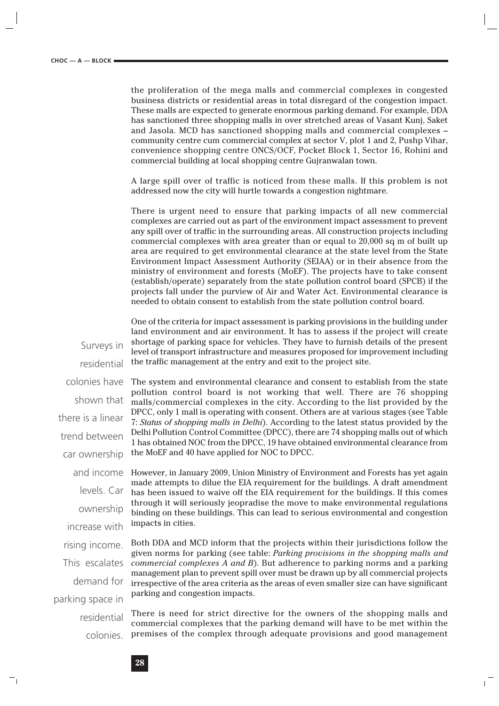the proliferation of the mega malls and commercial complexes in congested business districts or residential areas in total disregard of the congestion impact. These malls are expected to generate enormous parking demand. For example, DDA has sanctioned three shopping malls in over stretched areas of Vasant Kunj, Saket and Jasola. MCD has sanctioned shopping malls and commercial complexes – community centre cum commercial complex at sector V, plot 1 and 2, Pushp Vihar, convenience shopping centre ONCS/OCF, Pocket Block 1, Sector 16, Rohini and commercial building at local shopping centre Gujranwalan town.

A large spill over of traffic is noticed from these malls. If this problem is not addressed now the city will hurtle towards a congestion nightmare.

There is urgent need to ensure that parking impacts of all new commercial complexes are carried out as part of the environment impact assessment to prevent any spill over of traffic in the surrounding areas. All construction projects including commercial complexes with area greater than or equal to 20,000 sq m of built up area are required to get environmental clearance at the state level from the State Environment Impact Assessment Authority (SEIAA) or in their absence from the ministry of environment and forests (MoEF). The projects have to take consent (establish/operate) separately from the state pollution control board (SPCB) if the projects fall under the purview of Air and Water Act. Environmental clearance is needed to obtain consent to establish from the state pollution control board.

One of the criteria for impact assessment is parking provisions in the building under land environment and air environment. It has to assess if the project will create shortage of parking space for vehicles. They have to furnish details of the present level of transport infrastructure and measures proposed for improvement including the traffic management at the entry and exit to the project site.

residential colonies have shown that there is a linear trend between car ownership levels. Car ownership increase with rising income. This escalates demand for parking space in residential colonies.

7

Surveys in

The system and environmental clearance and consent to establish from the state pollution control board is not working that well. There are 76 shopping malls/commercial complexes in the city. According to the list provided by the DPCC, only 1 mall is operating with consent. Others are at various stages (see Table 7: *Status of shopping malls in Delhi*). According to the latest status provided by the Delhi Pollution Control Committee (DPCC), there are 74 shopping malls out of which 1 has obtained NOC from the DPCC, 19 have obtained environmental clearance from the MoEF and 40 have applied for NOC to DPCC.

and income However, in January 2009, Union Ministry of Environment and Forests has yet again made attempts to dilue the EIA requirement for the buildings. A draft amendment has been issued to waive off the EIA requirement for the buildings. If this comes through it will seriously jeopradise the move to make environmental regulations binding on these buildings. This can lead to serious environmental and congestion impacts in cities.

> Both DDA and MCD inform that the projects within their jurisdictions follow the given norms for parking (see table: *Parking provisions in the shopping malls and commercial complexes A and B*). But adherence to parking norms and a parking management plan to prevent spill over must be drawn up by all commercial projects irrespective of the area criteria as the areas of even smaller size can have significant parking and congestion impacts.

There is need for strict directive for the owners of the shopping malls and commercial complexes that the parking demand will have to be met within the premises of the complex through adequate provisions and good management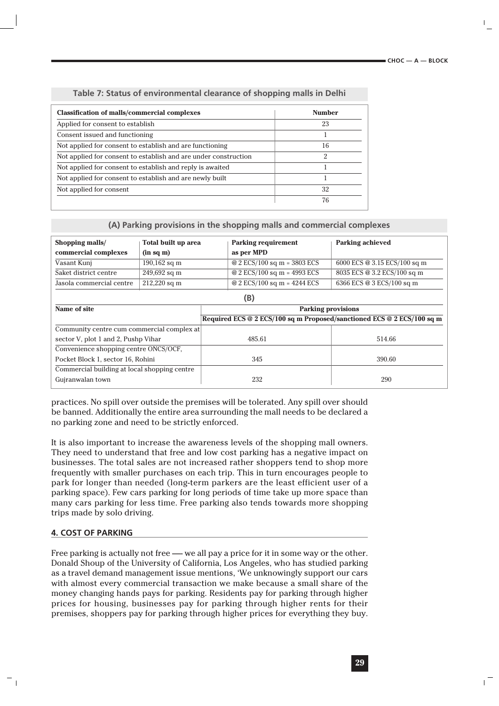| <b>Classification of malls/commercial complexes</b>             | <b>Number</b> |
|-----------------------------------------------------------------|---------------|
| Applied for consent to establish                                | 23            |
| Consent issued and functioning                                  |               |
| Not applied for consent to establish and are functioning        | 16            |
| Not applied for consent to establish and are under construction | 2             |
| Not applied for consent to establish and reply is awaited       |               |
| Not applied for consent to establish and are newly built        |               |
| Not applied for consent                                         | 32            |
|                                                                 | 76            |

## **Table 7: Status of environmental clearance of shopping malls in Delhi**

| (A) Parking provisions in the shopping malls and commercial complexes |  |  |  |  |  |  |
|-----------------------------------------------------------------------|--|--|--|--|--|--|
|-----------------------------------------------------------------------|--|--|--|--|--|--|

| Shopping malls/<br>Total built up area       |                | <b>Parking requirement</b> |                               | <b>Parking achieved</b>                                                |  |
|----------------------------------------------|----------------|----------------------------|-------------------------------|------------------------------------------------------------------------|--|
| commercial complexes                         | (in sq m)      |                            | as per MPD                    |                                                                        |  |
| Vasant Kunj                                  | $190,162$ sq m |                            | @ 2 ECS/100 sq m = 3803 ECS   | 6000 ECS @ 3.15 ECS/100 sq m                                           |  |
| Saket district centre                        | 249,692 sq m   |                            | @ 2 ECS/100 sq m = 4993 ECS   | 8035 ECS @ 3.2 ECS/100 sq m                                            |  |
| Jasola commercial centre                     | $212,220$ sq m |                            | @ 2 ECS/100 sq m = $4244$ ECS | 6366 ECS @ 3 ECS/100 sq m                                              |  |
|                                              |                |                            | (B)                           |                                                                        |  |
| Name of site                                 |                | <b>Parking provisions</b>  |                               |                                                                        |  |
|                                              |                |                            |                               | Required ECS @ 2 ECS/100 sq m Proposed/sanctioned ECS @ 2 ECS/100 sq m |  |
| Community centre cum commercial complex at   |                |                            |                               |                                                                        |  |
| sector V, plot 1 and 2, Pushp Vihar          |                | 485.61                     |                               | 514.66                                                                 |  |
| Convenience shopping centre ONCS/OCF,        |                |                            |                               |                                                                        |  |
| Pocket Block 1, sector 16, Rohini            |                |                            | 345                           | 390.60                                                                 |  |
| Commercial building at local shopping centre |                |                            |                               |                                                                        |  |
| Gujranwalan town                             |                | 232                        |                               | 290                                                                    |  |
|                                              |                |                            |                               |                                                                        |  |

practices. No spill over outside the premises will be tolerated. Any spill over should be banned. Additionally the entire area surrounding the mall needs to be declared a no parking zone and need to be strictly enforced.

It is also important to increase the awareness levels of the shopping mall owners. They need to understand that free and low cost parking has a negative impact on businesses. The total sales are not increased rather shoppers tend to shop more frequently with smaller purchases on each trip. This in turn encourages people to park for longer than needed (long-term parkers are the least efficient user of a parking space). Few cars parking for long periods of time take up more space than many cars parking for less time. Free parking also tends towards more shopping trips made by solo driving.

## **4. COST OF PARKING**

Free parking is actually not free — we all pay a price for it in some way or the other. Donald Shoup of the University of California, Los Angeles, who has studied parking as a travel demand management issue mentions, 'We unknowingly support our cars with almost every commercial transaction we make because a small share of the money changing hands pays for parking. Residents pay for parking through higher prices for housing, businesses pay for parking through higher rents for their premises, shoppers pay for parking through higher prices for everything they buy.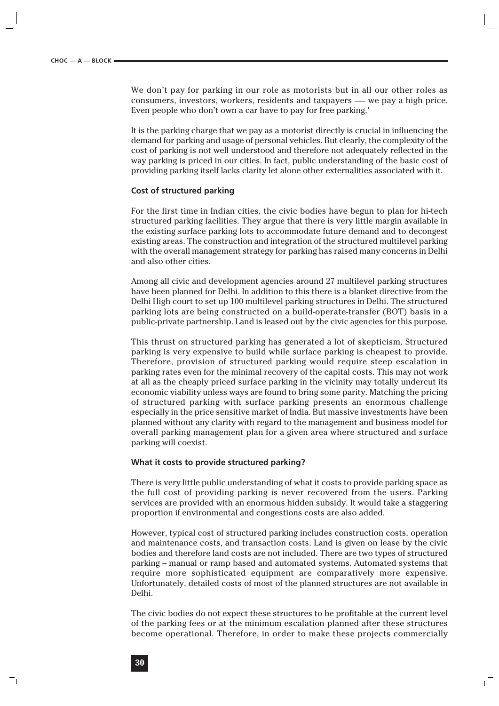We don't pay for parking in our role as motorists but in all our other roles as consumers, investors, workers, residents and taxpayers —- we pay a high price. Even people who don't own a car have to pay for free parking.'

It is the parking charge that we pay as a motorist directly is crucial in influencing the demand for parking and usage of personal vehicles. But clearly, the complexity of the cost of parking is not well understood and therefore not adequately reflected in the way parking is priced in our cities. In fact, public understanding of the basic cost of providing parking itself lacks clarity let alone other externalities associated with it.

## **Cost of structured parking**

For the first time in Indian cities, the civic bodies have begun to plan for hi-tech structured parking facilities. They argue that there is very little margin available in the existing surface parking lots to accommodate future demand and to decongest existing areas. The construction and integration of the structured multilevel parking with the overall management strategy for parking has raised many concerns in Delhi and also other cities.

Among all civic and development agencies around 27 multilevel parking structures have been planned for Delhi. In addition to this there is a blanket directive from the Delhi High court to set up 100 multilevel parking structures in Delhi. The structured parking lots are being constructed on a build-operate-transfer (BOT) basis in a public-private partnership. Land is leased out by the civic agencies for this purpose.

This thrust on structured parking has generated a lot of skepticism. Structured parking is very expensive to build while surface parking is cheapest to provide. Therefore, provision of structured parking would require steep escalation in parking rates even for the minimal recovery of the capital costs. This may not work at all as the cheaply priced surface parking in the vicinity may totally undercut its economic viability unless ways are found to bring some parity. Matching the pricing of structured parking with surface parking presents an enormous challenge especially in the price sensitive market of India. But massive investments have been planned without any clarity with regard to the management and business model for overall parking management plan for a given area where structured and surface parking will coexist.

## **What it costs to provide structured parking?**

There is very little public understanding of what it costs to provide parking space as the full cost of providing parking is never recovered from the users. Parking services are provided with an enormous hidden subsidy. It would take a staggering proportion if environmental and congestions costs are also added.

However, typical cost of structured parking includes construction costs, operation and maintenance costs, and transaction costs. Land is given on lease by the civic bodies and therefore land costs are not included. There are two types of structured parking – manual or ramp based and automated systems. Automated systems that require more sophisticated equipment are comparatively more expensive. Unfortunately, detailed costs of most of the planned structures are not available in Delhi.

The civic bodies do not expect these structures to be profitable at the current level of the parking fees or at the minimum escalation planned after these structures become operational. Therefore, in order to make these projects commercially

 $\mathbf{I}$ 

7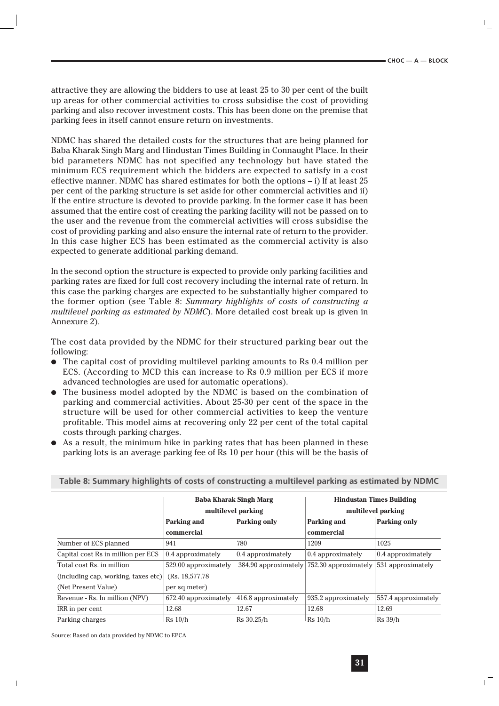attractive they are allowing the bidders to use at least 25 to 30 per cent of the built up areas for other commercial activities to cross subsidise the cost of providing parking and also recover investment costs. This has been done on the premise that parking fees in itself cannot ensure return on investments.

NDMC has shared the detailed costs for the structures that are being planned for Baba Kharak Singh Marg and Hindustan Times Building in Connaught Place. In their bid parameters NDMC has not specified any technology but have stated the minimum ECS requirement which the bidders are expected to satisfy in a cost effective manner. NDMC has shared estimates for both the options – i) If at least 25 per cent of the parking structure is set aside for other commercial activities and ii) If the entire structure is devoted to provide parking. In the former case it has been assumed that the entire cost of creating the parking facility will not be passed on to the user and the revenue from the commercial activities will cross subsidise the cost of providing parking and also ensure the internal rate of return to the provider. In this case higher ECS has been estimated as the commercial activity is also expected to generate additional parking demand.

In the second option the structure is expected to provide only parking facilities and parking rates are fixed for full cost recovery including the internal rate of return. In this case the parking charges are expected to be substantially higher compared to the former option (see Table 8: *Summary highlights of costs of constructing a multilevel parking as estimated by NDMC*). More detailed cost break up is given in Annexure 2).

The cost data provided by the NDMC for their structured parking bear out the following:

- The capital cost of providing multilevel parking amounts to Rs 0.4 million per ECS. (According to MCD this can increase to Rs 0.9 million per ECS if more advanced technologies are used for automatic operations).
- The business model adopted by the NDMC is based on the combination of parking and commercial activities. About 25-30 per cent of the space in the structure will be used for other commercial activities to keep the venture profitable. This model aims at recovering only 22 per cent of the total capital costs through parking charges.
- As a result, the minimum hike in parking rates that has been planned in these parking lots is an average parking fee of Rs 10 per hour (this will be the basis of

|                                                            |                      | <b>Baba Kharak Singh Marg</b><br>multilevel parking | <b>Hindustan Times Building</b><br>multilevel parking |                     |  |
|------------------------------------------------------------|----------------------|-----------------------------------------------------|-------------------------------------------------------|---------------------|--|
|                                                            | Parking and          | <b>Parking only</b>                                 | Parking and                                           | <b>Parking only</b> |  |
|                                                            | commercial           |                                                     | commercial                                            |                     |  |
| Number of ECS planned                                      | 941                  | 780                                                 | 1209                                                  | 1025                |  |
| Capital cost Rs in million per ECS                         | 0.4 approximately    | 0.4 approximately                                   | 0.4 approximately                                     | 0.4 approximately   |  |
| Total cost Rs. in million                                  | 529.00 approximately | 384.90 approximately                                | 752.30 approximately                                  | 531 approximately   |  |
| $(\text{including cap}, \text{working}, \text{taxes etc})$ | (Rs. 18, 577.78)     |                                                     |                                                       |                     |  |
| (Net Present Value)                                        | per sq meter)        |                                                     |                                                       |                     |  |
| Revenue - Rs. In million (NPV)                             | 672.40 approximately | 416.8 approximately                                 | 935.2 approximately                                   | 557.4 approximately |  |
| IRR in per cent                                            | 12.68                | 12.67                                               | 12.68                                                 | 12.69               |  |
| Parking charges                                            | $Rs$ 10/h            | Rs 30.25/h                                          | $Rs$ 10/h                                             | Rs 39/h             |  |

**Table 8: Summary highlights of costs of constructing a multilevel parking as estimated by NDMC**

Source: Based on data provided by NDMC to EPCA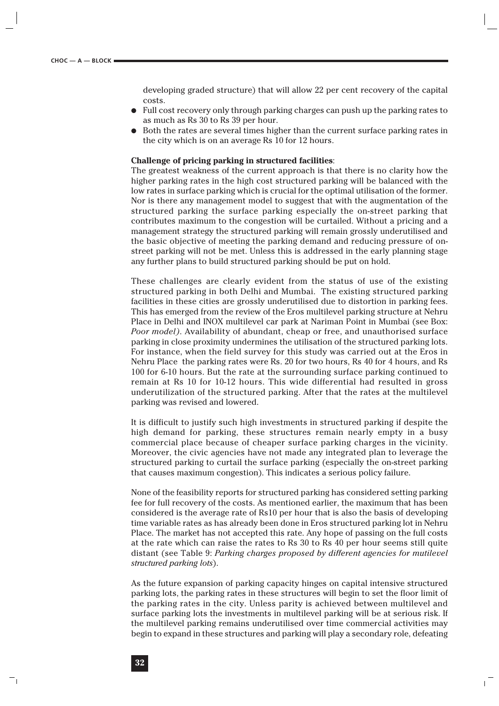developing graded structure) that will allow 22 per cent recovery of the capital costs.

- Full cost recovery only through parking charges can push up the parking rates to as much as Rs 30 to Rs 39 per hour.
- Both the rates are several times higher than the current surface parking rates in the city which is on an average Rs 10 for 12 hours.

## **Challenge of pricing parking in structured facilities**:

The greatest weakness of the current approach is that there is no clarity how the higher parking rates in the high cost structured parking will be balanced with the low rates in surface parking which is crucial for the optimal utilisation of the former. Nor is there any management model to suggest that with the augmentation of the structured parking the surface parking especially the on-street parking that contributes maximum to the congestion will be curtailed. Without a pricing and a management strategy the structured parking will remain grossly underutilised and the basic objective of meeting the parking demand and reducing pressure of onstreet parking will not be met. Unless this is addressed in the early planning stage any further plans to build structured parking should be put on hold.

These challenges are clearly evident from the status of use of the existing structured parking in both Delhi and Mumbai. The existing structured parking facilities in these cities are grossly underutilised due to distortion in parking fees. This has emerged from the review of the Eros multilevel parking structure at Nehru Place in Delhi and INOX multilevel car park at Nariman Point in Mumbai (see Box: *Poor model)*. Availability of abundant, cheap or free, and unauthorised surface parking in close proximity undermines the utilisation of the structured parking lots. For instance, when the field survey for this study was carried out at the Eros in Nehru Place the parking rates were Rs. 20 for two hours, Rs 40 for 4 hours, and Rs 100 for 6-10 hours. But the rate at the surrounding surface parking continued to remain at Rs 10 for 10-12 hours. This wide differential had resulted in gross underutilization of the structured parking. After that the rates at the multilevel parking was revised and lowered.

It is difficult to justify such high investments in structured parking if despite the high demand for parking, these structures remain nearly empty in a busy commercial place because of cheaper surface parking charges in the vicinity. Moreover, the civic agencies have not made any integrated plan to leverage the structured parking to curtail the surface parking (especially the on-street parking that causes maximum congestion). This indicates a serious policy failure.

None of the feasibility reports for structured parking has considered setting parking fee for full recovery of the costs. As mentioned earlier, the maximum that has been considered is the average rate of Rs10 per hour that is also the basis of developing time variable rates as has already been done in Eros structured parking lot in Nehru Place. The market has not accepted this rate. Any hope of passing on the full costs at the rate which can raise the rates to Rs 30 to Rs 40 per hour seems still quite distant (see Table 9: *Parking charges proposed by different agencies for mutilevel structured parking lots*).

As the future expansion of parking capacity hinges on capital intensive structured parking lots, the parking rates in these structures will begin to set the floor limit of the parking rates in the city. Unless parity is achieved between multilevel and surface parking lots the investments in multilevel parking will be at serious risk. If the multilevel parking remains underutilised over time commercial activities may begin to expand in these structures and parking will play a secondary role, defeating

 $\overline{1}$ 

71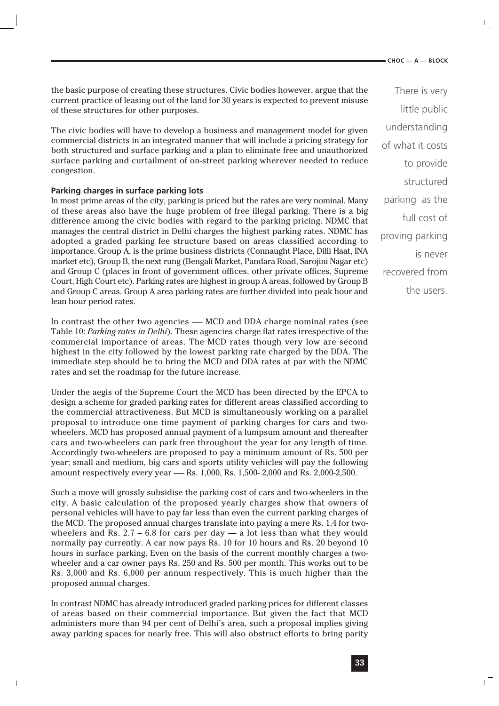**CHOC — A — BLOCK**

 $\mathbf{L}$ 

the basic purpose of creating these structures. Civic bodies however, argue that the current practice of leasing out of the land for 30 years is expected to prevent misuse of these structures for other purposes.

The civic bodies will have to develop a business and management model for given commercial districts in an integrated manner that will include a pricing strategy for both structured and surface parking and a plan to eliminate free and unauthorized surface parking and curtailment of on-street parking wherever needed to reduce congestion.

## **Parking charges in surface parking lots**

In most prime areas of the city, parking is priced but the rates are very nominal. Many of these areas also have the huge problem of free illegal parking. There is a big difference among the civic bodies with regard to the parking pricing. NDMC that manages the central district in Delhi charges the highest parking rates. NDMC has adopted a graded parking fee structure based on areas classified according to importance. Group A, is the prime business districts (Connaught Place, Dilli Haat, INA market etc), Group B, the next rung (Bengali Market, Pandara Road, Sarojini Nagar etc) and Group C (places in front of government offices, other private offices, Supreme Court, High Court etc). Parking rates are highest in group A areas, followed by Group B and Group C areas. Group A area parking rates are further divided into peak hour and lean hour period rates.

In contrast the other two agencies — MCD and DDA charge nominal rates (see Table 10: *Parking rates in Delhi*). These agencies charge flat rates irrespective of the commercial importance of areas. The MCD rates though very low are second highest in the city followed by the lowest parking rate charged by the DDA. The immediate step should be to bring the MCD and DDA rates at par with the NDMC rates and set the roadmap for the future increase.

Under the aegis of the Supreme Court the MCD has been directed by the EPCA to design a scheme for graded parking rates for different areas classified according to the commercial attractiveness. But MCD is simultaneously working on a parallel proposal to introduce one time payment of parking charges for cars and twowheelers. MCD has proposed annual payment of a lumpsum amount and thereafter cars and two-wheelers can park free throughout the year for any length of time. Accordingly two-wheelers are proposed to pay a minimum amount of Rs. 500 per year; small and medium, big cars and sports utility vehicles will pay the following amount respectively every year —- Rs. 1,000, Rs. 1,500- 2,000 and Rs. 2,000-2,500.

Such a move will grossly subsidise the parking cost of cars and two-wheelers in the city. A basic calculation of the proposed yearly charges show that owners of personal vehicles will have to pay far less than even the current parking charges of the MCD. The proposed annual charges translate into paying a mere Rs. 1.4 for twowheelers and Rs.  $2.7 - 6.8$  for cars per day  $-$  a lot less than what they would normally pay currently. A car now pays Rs. 10 for 10 hours and Rs. 20 beyond 10 hours in surface parking. Even on the basis of the current monthly charges a twowheeler and a car owner pays Rs. 250 and Rs. 500 per month. This works out to be Rs. 3,000 and Rs. 6,000 per annum respectively. This is much higher than the proposed annual charges.

In contrast NDMC has already introduced graded parking prices for different classes of areas based on their commercial importance. But given the fact that MCD administers more than 94 per cent of Delhi's area, such a proposal implies giving away parking spaces for nearly free. This will also obstruct efforts to bring parity

 $^{-}$ <sub>1</sub>

There is very little public understanding of what it costs to provide structured parking as the full cost of proving parking is never recovered from

the users.

 $\mathbf{I}$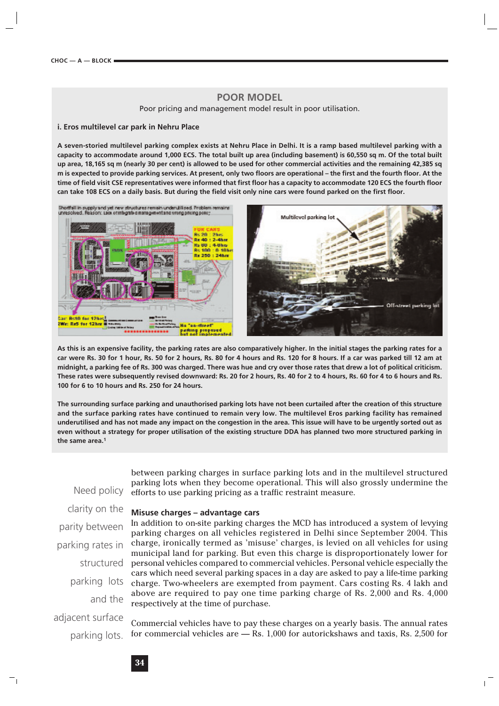# **POOR MODEL**

Poor pricing and management model result in poor utilisation.

#### **i. Eros multilevel car park in Nehru Place**

**A seven-storied multilevel parking complex exists at Nehru Place in Delhi. It is a ramp based multilevel parking with a capacity to accommodate around 1,000 ECS. The total built up area (including basement) is 60,550 sq m. Of the total built up area, 18,165 sq m (nearly 30 per cent) is allowed to be used for other commercial activities and the remaining 42,385 sq m is expected to provide parking services. At present, only two floors are operational – the first and the fourth floor. At the time of field visit CSE representatives were informed that first floor has a capacity to accommodate 120 ECS the fourth floor can take 108 ECS on a daily basis. But during the field visit only nine cars were found parked on the first floor.** 



**As this is an expensive facility, the parking rates are also comparatively higher. In the initial stages the parking rates for a car were Rs. 30 for 1 hour, Rs. 50 for 2 hours, Rs. 80 for 4 hours and Rs. 120 for 8 hours. If a car was parked till 12 am at midnight, a parking fee of Rs. 300 was charged. There was hue and cry over those rates that drew a lot of political criticism. These rates were subsequently revised downward: Rs. 20 for 2 hours, Rs. 40 for 2 to 4 hours, Rs. 60 for 4 to 6 hours and Rs. 100 for 6 to 10 hours and Rs. 250 for 24 hours.** 

**The surrounding surface parking and unauthorised parking lots have not been curtailed after the creation of this structure and the surface parking rates have continued to remain very low. The multilevel Eros parking facility has remained underutilised and has not made any impact on the congestion in the area. This issue will have to be urgently sorted out as even without a strategy for proper utilisation of the existing structure DDA has planned two more structured parking in the same area.1**

Need policy clarity on the parity between parking rates in structured parking lots and the adjacent surface

parking lots.

between parking charges in surface parking lots and in the multilevel structured parking lots when they become operational. This will also grossly undermine the efforts to use parking pricing as a traffic restraint measure.

## **Misuse charges – advantage cars**

In addition to on-site parking charges the MCD has introduced a system of levying parking charges on all vehicles registered in Delhi since September 2004. This charge, ironically termed as 'misuse' charges, is levied on all vehicles for using municipal land for parking. But even this charge is disproportionately lower for personal vehicles compared to commercial vehicles. Personal vehicle especially the cars which need several parking spaces in a day are asked to pay a life-time parking charge. Two-wheelers are exempted from payment. Cars costing Rs. 4 lakh and above are required to pay one time parking charge of Rs. 2,000 and Rs. 4,000 respectively at the time of purchase.

Commercial vehicles have to pay these charges on a yearly basis. The annual rates for commercial vehicles are  $-$  Rs. 1,000 for autorickshaws and taxis, Rs. 2,500 for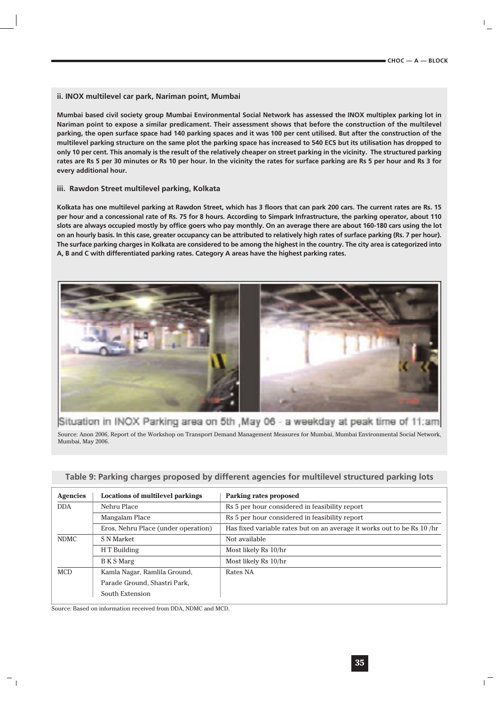#### **ii. INOX multilevel car park, Nariman point, Mumbai**

**Mumbai based civil society group Mumbai Environmental Social Network has assessed the INOX multiplex parking lot in Nariman point to expose a similar predicament. Their assessment shows that before the construction of the multilevel parking, the open surface space had 140 parking spaces and it was 100 per cent utilised. But after the construction of the multilevel parking structure on the same plot the parking space has increased to 540 ECS but its utilisation has dropped to only 10 per cent. This anomaly is the result of the relatively cheaper on street parking in the vicinity. The structured parking rates are Rs 5 per 30 minutes or Rs 10 per hour. In the vicinity the rates for surface parking are Rs 5 per hour and Rs 3 for every additional hour.**

#### **iii. Rawdon Street multilevel parking, Kolkata**

**Kolkata has one multilevel parking at Rawdon Street, which has 3 floors that can park 200 cars. The current rates are Rs. 15 per hour and a concessional rate of Rs. 75 for 8 hours. According to Simpark Infrastructure, the parking operator, about 110 slots are always occupied mostly by office goers who pay monthly. On an average there are about 160-180 cars using the lot on an hourly basis. In this case, greater occupancy can be attributed to relatively high rates of surface parking (Rs. 7 per hour). The surface parking charges in Kolkata are considered to be among the highest in the country. The city area is categorized into A, B and C with differentiated parking rates. Category A areas have the highest parking rates.** 



Situation in INOX Parking area on 5th , May 06 - a weekday at peak time of 11:am Source: Anon 2006, Report of the Workshop on Transport Demand Management Measures for Mumbai, Mumbai Environmental Social Network, Mumbai, May 2006.

| <b>Agencies</b> | <b>Locations of multilevel parkings</b> | <b>Parking rates proposed</b>                                           |
|-----------------|-----------------------------------------|-------------------------------------------------------------------------|
| <b>DDA</b>      | Nehru Place                             | Rs 5 per hour considered in feasibility report                          |
|                 | Mangalam Place                          | Rs 5 per hour considered in feasibility report                          |
|                 | Eros, Nehru Place (under operation)     | Has fixed variable rates but on an average it works out to be Rs 10 /hr |
| <b>NDMC</b>     | S N Market                              | Not available                                                           |
|                 | H T Building                            | Most likely Rs 10/hr                                                    |
|                 | B K S Marg                              | Most likely Rs 10/hr                                                    |
| <b>MCD</b>      | Kamla Nagar, Ramlila Ground,            | Rates NA                                                                |
|                 | Parade Ground, Shastri Park,            |                                                                         |
|                 | South Extension                         |                                                                         |

#### **Table 9: Parking charges proposed by different agencies for multilevel structured parking lots**

Source: Based on information received from DDA, NDMC and MCD.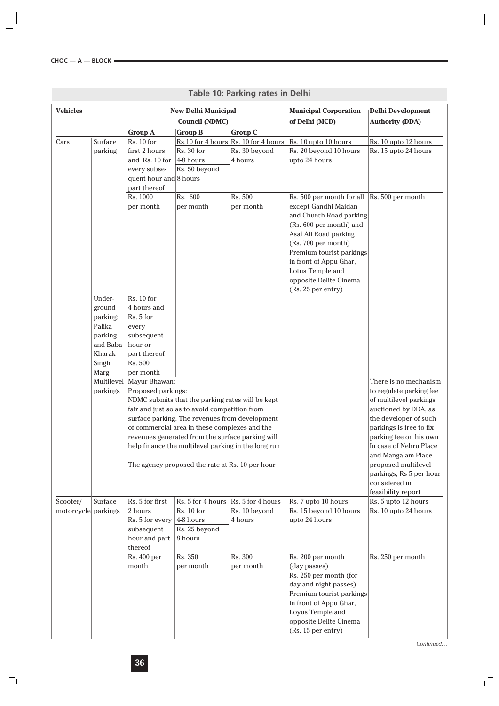| <b>Vehicles</b>     |          |                            | <b>New Delhi Municipal</b>                          |                                        | <b>Municipal Corporation</b> | Delhi Development         |
|---------------------|----------|----------------------------|-----------------------------------------------------|----------------------------------------|------------------------------|---------------------------|
|                     |          | <b>Council (NDMC)</b>      |                                                     | of Delhi (MCD)                         | <b>Authority (DDA)</b>       |                           |
|                     |          | <b>Group A</b>             | <b>Group B</b>                                      | <b>Group C</b>                         |                              |                           |
| Cars                | Surface  | Rs. 10 for                 |                                                     | $Rs.10$ for 4 hours Rs. 10 for 4 hours | Rs. 10 upto 10 hours         | Rs. 10 upto 12 hours      |
|                     | parking  | first 2 hours              | Rs. 30 for                                          | Rs. 30 beyond                          | Rs. 20 beyond 10 hours       | Rs. 15 upto 24 hours      |
|                     |          | and Rs. 10 for             | $4-8$ hours                                         | 4 hours                                | upto 24 hours                |                           |
|                     |          | every subse-               | Rs. 50 beyond                                       |                                        |                              |                           |
|                     |          | quent hour and 8 hours     |                                                     |                                        |                              |                           |
|                     |          | part thereof               |                                                     |                                        |                              |                           |
|                     |          | Rs. 1000                   | Rs. 600                                             | Rs. 500                                | Rs. 500 per month for all    | $\vert$ Rs. 500 per month |
|                     |          | per month                  | per month                                           | per month                              | except Gandhi Maidan         |                           |
|                     |          |                            |                                                     |                                        | and Church Road parking      |                           |
|                     |          |                            |                                                     |                                        | (Rs. 600 per month) and      |                           |
|                     |          |                            |                                                     |                                        | Asaf Ali Road parking        |                           |
|                     |          |                            |                                                     |                                        | (Rs. 700 per month)          |                           |
|                     |          |                            |                                                     |                                        | Premium tourist parkings     |                           |
|                     |          |                            |                                                     |                                        | in front of Appu Ghar,       |                           |
|                     |          |                            |                                                     |                                        | Lotus Temple and             |                           |
|                     |          |                            |                                                     |                                        | opposite Delite Cinema       |                           |
|                     |          |                            |                                                     |                                        | (Rs. 25 per entry)           |                           |
|                     | Under-   | Rs. 10 for                 |                                                     |                                        |                              |                           |
|                     | ground   | 4 hours and                |                                                     |                                        |                              |                           |
|                     | parking: | Rs. 5 for                  |                                                     |                                        |                              |                           |
|                     | Palika   | every                      |                                                     |                                        |                              |                           |
|                     | parking  | subsequent                 |                                                     |                                        |                              |                           |
|                     | and Baba | hour or                    |                                                     |                                        |                              |                           |
|                     | Kharak   | part thereof               |                                                     |                                        |                              |                           |
|                     | Singh    | Rs. 500                    |                                                     |                                        |                              |                           |
|                     | Marg     | per month                  |                                                     |                                        |                              |                           |
|                     |          | Multilevel   Mayur Bhawan: |                                                     |                                        |                              | There is no mechanism     |
|                     | parkings | Proposed parkings:         |                                                     |                                        |                              | to regulate parking fee   |
|                     |          |                            | NDMC submits that the parking rates will be kept    |                                        |                              | of multilevel parkings    |
|                     |          |                            | fair and just so as to avoid competition from       |                                        |                              | auctioned by DDA, as      |
|                     |          |                            | surface parking. The revenues from development      |                                        |                              | the developer of such     |
|                     |          |                            | of commercial area in these complexes and the       |                                        |                              | parkings is free to fix   |
|                     |          |                            | revenues generated from the surface parking will    |                                        |                              | parking fee on his own    |
|                     |          |                            | help finance the multilevel parking in the long run |                                        |                              | In case of Nehru Place    |
|                     |          |                            |                                                     |                                        |                              | and Mangalam Place        |
|                     |          |                            | The agency proposed the rate at Rs. 10 per hour     |                                        |                              | proposed multilevel       |
|                     |          |                            |                                                     |                                        |                              | parkings, Rs 5 per hour   |
|                     |          |                            |                                                     |                                        |                              | considered in             |
|                     |          |                            |                                                     |                                        |                              | feasibility report        |
| Scooter/            | Surface  | Rs. 5 for first            | Rs. 5 for 4 hours $\vert$ Rs. 5 for 4 hours         |                                        | Rs. 7 upto 10 hours          | Rs. 5 upto 12 hours       |
| motorcycle parkings |          | 2 hours                    | Rs. 10 for                                          | Rs. 10 beyond                          | Rs. 15 beyond 10 hours       | Rs. 10 upto 24 hours      |
|                     |          | Rs. 5 for every            | 4-8 hours                                           | 4 hours                                | upto 24 hours                |                           |
|                     |          | subsequent                 | Rs. 25 beyond                                       |                                        |                              |                           |
|                     |          | hour and part              | 8 hours                                             |                                        |                              |                           |
|                     |          | thereof                    |                                                     |                                        |                              |                           |
|                     |          | Rs. 400 per                | Rs. 350                                             | Rs. 300                                | Rs. 200 per month            | Rs. 250 per month         |
|                     |          | month                      | per month                                           | per month                              | (day passes)                 |                           |
|                     |          |                            |                                                     |                                        | Rs. 250 per month (for       |                           |
|                     |          |                            |                                                     |                                        | day and night passes)        |                           |
|                     |          |                            |                                                     |                                        | Premium tourist parkings     |                           |
|                     |          |                            |                                                     |                                        | in front of Appu Ghar,       |                           |
|                     |          |                            |                                                     |                                        | Loyus Temple and             |                           |
|                     |          |                            |                                                     |                                        | opposite Delite Cinema       |                           |
|                     |          |                            |                                                     |                                        | (Rs. 15 per entry)           |                           |
|                     |          |                            |                                                     |                                        |                              |                           |

**Table 10: Parking rates in Delhi**

*Continued…*

 $\begin{array}{c} \bar{\phantom{0}} \\ \bar{\phantom{0}} \end{array}$ 

 $\begin{array}{c} \hline \end{array}$ 

 $\mathord{\hspace{1pt}\text{--}\hspace{1pt}}_\mathbb{I}$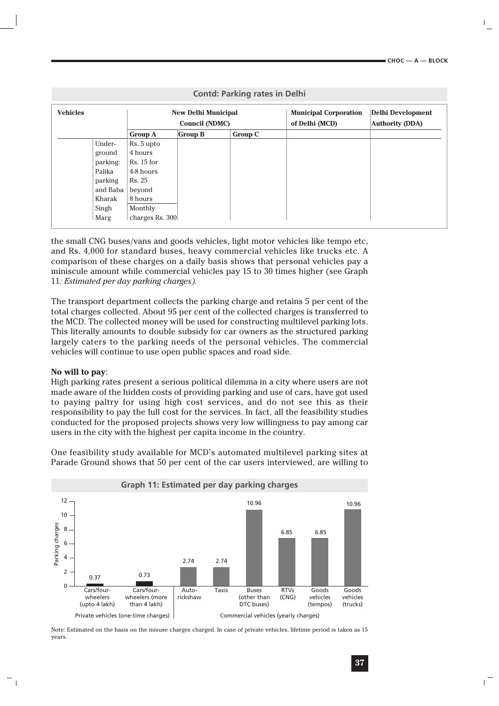$\overline{\phantom{a}}$ 

|                 |          |                                                     |                | <b>Contd: Parking rates in Delhi</b> |                                                |                                                    |
|-----------------|----------|-----------------------------------------------------|----------------|--------------------------------------|------------------------------------------------|----------------------------------------------------|
| <b>Vehicles</b> |          | <b>New Delhi Municipal</b><br><b>Council (NDMC)</b> |                |                                      | <b>Municipal Corporation</b><br>of Delhi (MCD) | <b>Delhi Development</b><br><b>Authority (DDA)</b> |
|                 |          | <b>Group A</b>                                      | <b>Group B</b> | <b>Group C</b>                       |                                                |                                                    |
|                 | Under-   | Rs. 5 upto                                          |                |                                      |                                                |                                                    |
|                 | ground   | 4 hours                                             |                |                                      |                                                |                                                    |
|                 | parking: | $Rs. 15$ for                                        |                |                                      |                                                |                                                    |
|                 | Palika   | 4-8 hours                                           |                |                                      |                                                |                                                    |
|                 | parking  | Rs. 25                                              |                |                                      |                                                |                                                    |
|                 | and Baba | beyond                                              |                |                                      |                                                |                                                    |
|                 | Kharak   | 8 hours                                             |                |                                      |                                                |                                                    |
|                 | Singh    | Monthly                                             |                |                                      |                                                |                                                    |
|                 | Marg     | charges Rs. 300                                     |                |                                      |                                                |                                                    |

the small CNG buses/vans and goods vehicles, light motor vehicles like tempo etc, and Rs. 4,000 for standard buses, heavy commercial vehicles like trucks etc. A comparison of these charges on a daily basis shows that personal vehicles pay a miniscule amount while commercial vehicles pay 15 to 30 times higher (see Graph 11*: Estimated per day parking charges).*

The transport department collects the parking charge and retains 5 per cent of the total charges collected. About 95 per cent of the collected charges is transferred to the MCD. The collected money will be used for constructing multilevel parking lots. This literally amounts to double subsidy for car owners as the structured parking largely caters to the parking needs of the personal vehicles. The commercial vehicles will continue to use open public spaces and road side.

#### **No will to pay**:

High parking rates present a serious political dilemma in a city where users are not made aware of the hidden costs of providing parking and use of cars, have got used to paying paltry for using high cost services, and do not see this as their responsibility to pay the full cost for the services. In fact, all the feasibility studies conducted for the proposed projects shows very low willingness to pay among car users in the city with the highest per capita income in the country.

One feasibility study available for MCD's automated multilevel parking sites at Parade Ground shows that 50 per cent of the car users interviewed, are willing to



Note: Estimated on the basis on the misuse charges charged. In case of private vehicles, lifetime period is taken as 15 years.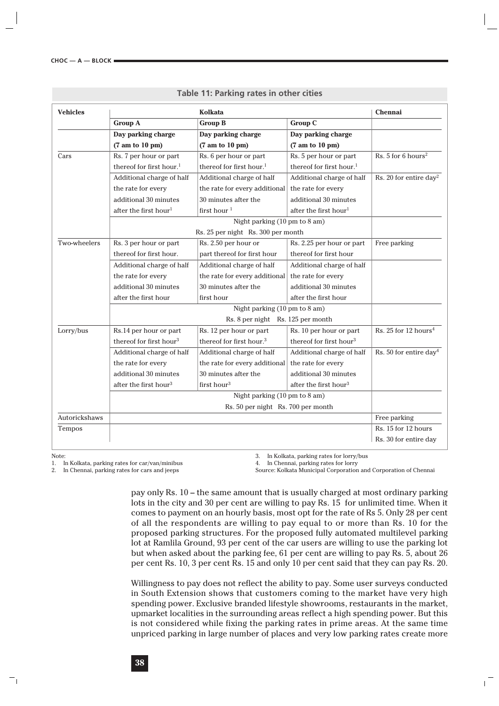| <b>Vehicles</b> |                                      | <b>Chennai</b>                       |                                      |                                    |
|-----------------|--------------------------------------|--------------------------------------|--------------------------------------|------------------------------------|
|                 | <b>Group A</b>                       | <b>Group B</b>                       | <b>Group C</b>                       |                                    |
|                 | Day parking charge                   | Day parking charge                   | Day parking charge                   |                                    |
|                 | (7 am to 10 pm)                      | (7 am to 10 pm)                      | (7 am to 10 pm)                      |                                    |
| Cars            | Rs. 7 per hour or part               | Rs. 6 per hour or part               | Rs. 5 per hour or part               | $Rs. 5$ for 6 hours <sup>2</sup>   |
|                 | thereof for first hour. <sup>1</sup> | thereof for first hour. <sup>1</sup> | thereof for first hour. <sup>1</sup> |                                    |
|                 | Additional charge of half            | Additional charge of half            | Additional charge of half            | Rs. 20 for entire day <sup>2</sup> |
|                 | the rate for every                   | the rate for every additional        | the rate for every                   |                                    |
|                 | additional 30 minutes                | 30 minutes after the                 | additional 30 minutes                |                                    |
|                 | after the first hour <sup>1</sup>    | first hour $1$                       | after the first hour <sup>1</sup>    |                                    |
|                 |                                      | Night parking (10 pm to 8 am)        |                                      |                                    |
|                 |                                      | Rs. 25 per night Rs. 300 per month   |                                      |                                    |
| Two-wheelers    | Rs. 3 per hour or part               | Rs. 2.50 per hour or                 | Rs. 2.25 per hour or part            | Free parking                       |
|                 | thereof for first hour.              | part thereof for first hour          | thereof for first hour               |                                    |
|                 | Additional charge of half            | Additional charge of half            | Additional charge of half            |                                    |
|                 | the rate for every                   | the rate for every additional        | the rate for every                   |                                    |
|                 | additional 30 minutes                | 30 minutes after the                 | additional 30 minutes                |                                    |
|                 | after the first hour                 | first hour                           | after the first hour                 |                                    |
|                 |                                      |                                      |                                      |                                    |
|                 |                                      | Rs. 8 per night Rs. 125 per month    |                                      |                                    |
| Lorry/bus       | Rs.14 per hour or part               | Rs. 12 per hour or part              | Rs. 10 per hour or part              | Rs. 25 for 12 hours <sup>4</sup>   |
|                 | thereof for first hour <sup>3</sup>  | thereof for first hour. $3$          | thereof for first hour <sup>3</sup>  |                                    |
|                 | Additional charge of half            | Additional charge of half            | Additional charge of half            | Rs. 50 for entire day <sup>4</sup> |
|                 | the rate for every                   | the rate for every additional        | the rate for every                   |                                    |
|                 | additional 30 minutes                | 30 minutes after the                 | additional 30 minutes                |                                    |
|                 | after the first hour <sup>3</sup>    | first hour $3$                       | after the first hour <sup>3</sup>    |                                    |
|                 |                                      |                                      |                                      |                                    |
|                 |                                      | Rs. 50 per night Rs. 700 per month   |                                      |                                    |
| Autorickshaws   |                                      |                                      |                                      | Free parking                       |
| Tempos          |                                      |                                      |                                      | Rs. 15 for 12 hours                |
|                 |                                      |                                      |                                      | Rs. 30 for entire day              |

Note:

٦ı

1. In Kolkata, parking rates for car/van/minibus<br>2. In Chennai, parking rates for cars and jeeps

In Chennai, parking rates for cars and jeeps

3. In Kolkata, parking rates for lorry/bus

4. In Chennai, parking rates for lorry

Source: Kolkata Municipal Corporation and Corporation of Chennai

pay only Rs. 10 – the same amount that is usually charged at most ordinary parking lots in the city and 30 per cent are willing to pay Rs. 15 for unlimited time. When it comes to payment on an hourly basis, most opt for the rate of Rs 5. Only 28 per cent of all the respondents are willing to pay equal to or more than Rs. 10 for the proposed parking structures. For the proposed fully automated multilevel parking lot at Ramlila Ground, 93 per cent of the car users are willing to use the parking lot but when asked about the parking fee, 61 per cent are willing to pay Rs. 5, about 26 per cent Rs. 10, 3 per cent Rs. 15 and only 10 per cent said that they can pay Rs. 20.

Willingness to pay does not reflect the ability to pay. Some user surveys conducted in South Extension shows that customers coming to the market have very high spending power. Exclusive branded lifestyle showrooms, restaurants in the market, upmarket localities in the surrounding areas reflect a high spending power. But this is not considered while fixing the parking rates in prime areas. At the same time unpriced parking in large number of places and very low parking rates create more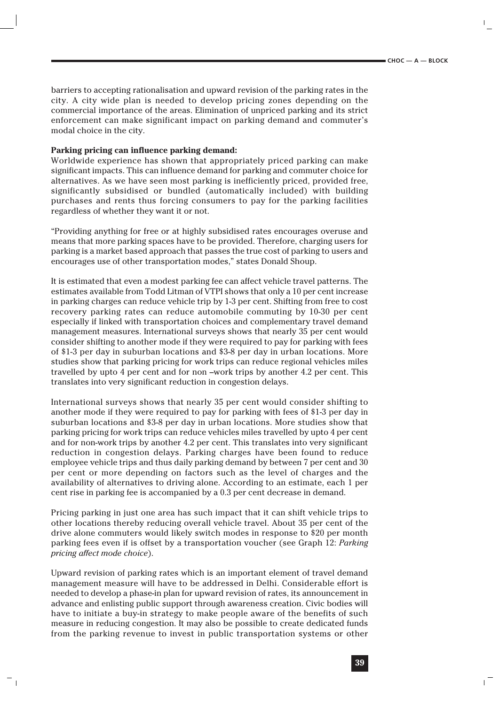barriers to accepting rationalisation and upward revision of the parking rates in the city. A city wide plan is needed to develop pricing zones depending on the commercial importance of the areas. Elimination of unpriced parking and its strict enforcement can make significant impact on parking demand and commuter's modal choice in the city.

## **Parking pricing can influence parking demand:**

Worldwide experience has shown that appropriately priced parking can make significant impacts. This can influence demand for parking and commuter choice for alternatives. As we have seen most parking is inefficiently priced, provided free, significantly subsidised or bundled (automatically included) with building purchases and rents thus forcing consumers to pay for the parking facilities regardless of whether they want it or not.

"Providing anything for free or at highly subsidised rates encourages overuse and means that more parking spaces have to be provided. Therefore, charging users for parking is a market based approach that passes the true cost of parking to users and encourages use of other transportation modes," states Donald Shoup.

It is estimated that even a modest parking fee can affect vehicle travel patterns. The estimates available from Todd Litman of VTPI shows that only a 10 per cent increase in parking charges can reduce vehicle trip by 1-3 per cent. Shifting from free to cost recovery parking rates can reduce automobile commuting by 10-30 per cent especially if linked with transportation choices and complementary travel demand management measures. International surveys shows that nearly 35 per cent would consider shifting to another mode if they were required to pay for parking with fees of \$1-3 per day in suburban locations and \$3-8 per day in urban locations. More studies show that parking pricing for work trips can reduce regional vehicles miles travelled by upto 4 per cent and for non –work trips by another 4.2 per cent. This translates into very significant reduction in congestion delays.

International surveys shows that nearly 35 per cent would consider shifting to another mode if they were required to pay for parking with fees of \$1-3 per day in suburban locations and \$3-8 per day in urban locations. More studies show that parking pricing for work trips can reduce vehicles miles travelled by upto 4 per cent and for non-work trips by another 4.2 per cent. This translates into very significant reduction in congestion delays. Parking charges have been found to reduce employee vehicle trips and thus daily parking demand by between 7 per cent and 30 per cent or more depending on factors such as the level of charges and the availability of alternatives to driving alone. According to an estimate, each 1 per cent rise in parking fee is accompanied by a 0.3 per cent decrease in demand.

Pricing parking in just one area has such impact that it can shift vehicle trips to other locations thereby reducing overall vehicle travel. About 35 per cent of the drive alone commuters would likely switch modes in response to \$20 per month parking fees even if is offset by a transportation voucher (see Graph 12: *Parking pricing affect mode choice*).

Upward revision of parking rates which is an important element of travel demand management measure will have to be addressed in Delhi. Considerable effort is needed to develop a phase-in plan for upward revision of rates, its announcement in advance and enlisting public support through awareness creation. Civic bodies will have to initiate a buy-in strategy to make people aware of the benefits of such measure in reducing congestion. It may also be possible to create dedicated funds from the parking revenue to invest in public transportation systems or other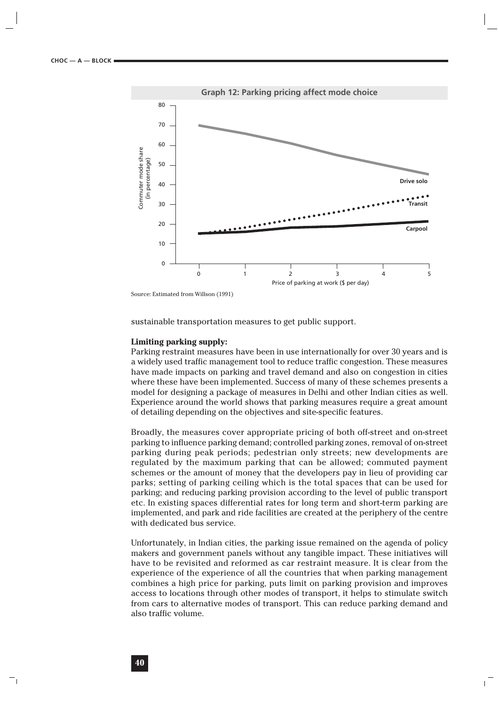**CHOC — A — BLOCK**



sustainable transportation measures to get public support.

#### **Limiting parking supply:**

Parking restraint measures have been in use internationally for over 30 years and is a widely used traffic management tool to reduce traffic congestion. These measures have made impacts on parking and travel demand and also on congestion in cities where these have been implemented. Success of many of these schemes presents a model for designing a package of measures in Delhi and other Indian cities as well. Experience around the world shows that parking measures require a great amount of detailing depending on the objectives and site-specific features.

Broadly, the measures cover appropriate pricing of both off-street and on-street parking to influence parking demand; controlled parking zones, removal of on-street parking during peak periods; pedestrian only streets; new developments are regulated by the maximum parking that can be allowed; commuted payment schemes or the amount of money that the developers pay in lieu of providing car parks; setting of parking ceiling which is the total spaces that can be used for parking; and reducing parking provision according to the level of public transport etc. In existing spaces differential rates for long term and short-term parking are implemented, and park and ride facilities are created at the periphery of the centre with dedicated bus service.

Unfortunately, in Indian cities, the parking issue remained on the agenda of policy makers and government panels without any tangible impact. These initiatives will have to be revisited and reformed as car restraint measure. It is clear from the experience of the experience of all the countries that when parking management combines a high price for parking, puts limit on parking provision and improves access to locations through other modes of transport, it helps to stimulate switch from cars to alternative modes of transport. This can reduce parking demand and also traffic volume.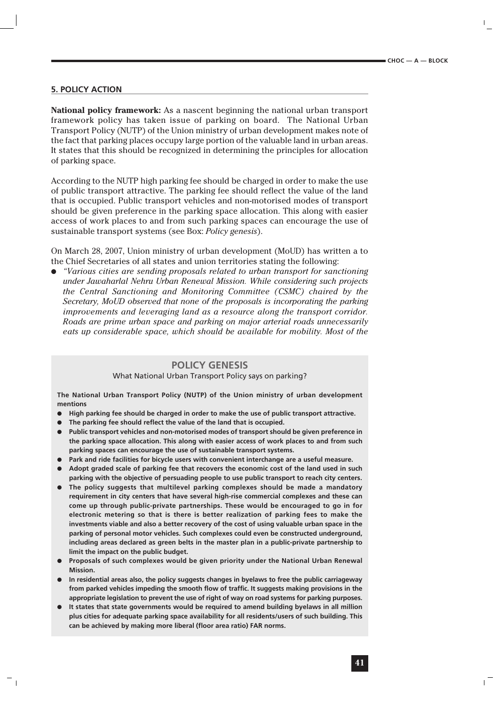## **5. POLICY ACTION**

**National policy framework:** As a nascent beginning the national urban transport framework policy has taken issue of parking on board. The National Urban Transport Policy (NUTP) of the Union ministry of urban development makes note of the fact that parking places occupy large portion of the valuable land in urban areas. It states that this should be recognized in determining the principles for allocation of parking space.

According to the NUTP high parking fee should be charged in order to make the use of public transport attractive. The parking fee should reflect the value of the land that is occupied. Public transport vehicles and non-motorised modes of transport should be given preference in the parking space allocation. This along with easier access of work places to and from such parking spaces can encourage the use of sustainable transport systems (see Box: *Policy genesis*).

On March 28, 2007, Union ministry of urban development (MoUD) has written a to the Chief Secretaries of all states and union territories stating the following:

● *"Various cities are sending proposals related to urban transport for sanctioning under Jawaharlal Nehru Urban Renewal Mission. While considering such projects the Central Sanctioning and Monitoring Committee (CSMC) chaired by the Secretary, MoUD observed that none of the proposals is incorporating the parking improvements and leveraging land as a resource along the transport corridor. Roads are prime urban space and parking on major arterial roads unnecessarily eats up considerable space, which should be available for mobility. Most of the*

# **POLICY GENESIS**

#### What National Urban Transport Policy says on parking?

**The National Urban Transport Policy (NUTP) of the Union ministry of urban development mentions** 

- **High parking fee should be charged in order to make the use of public transport attractive.**
- The parking fee should reflect the value of the land that is occupied.
- Public transport vehicles and non-motorised modes of transport should be given preference in **the parking space allocation. This along with easier access of work places to and from such parking spaces can encourage the use of sustainable transport systems.**
- Park and ride facilities for bicycle users with convenient interchange are a useful measure.
- **Adopt graded scale of parking fee that recovers the economic cost of the land used in such parking with the objective of persuading people to use public transport to reach city centers.**
- **The policy suggests that multilevel parking complexes should be made a mandatory requirement in city centers that have several high-rise commercial complexes and these can come up through public-private partnerships. These would be encouraged to go in for electronic metering so that is there is better realization of parking fees to make the investments viable and also a better recovery of the cost of using valuable urban space in the parking of personal motor vehicles. Such complexes could even be constructed underground, including areas declared as green belts in the master plan in a public-private partnership to limit the impact on the public budget.**
- **Proposals of such complexes would be given priority under the National Urban Renewal Mission.**
- **In residential areas also, the policy suggests changes in byelaws to free the public carriageway from parked vehicles impeding the smooth flow of traffic. It suggests making provisions in the appropriate legislation to prevent the use of right of way on road systems for parking purposes.**
- It states that state governments would be required to amend building byelaws in all million **plus cities for adequate parking space availability for all residents/users of such building. This can be achieved by making more liberal (floor area ratio) FAR norms.**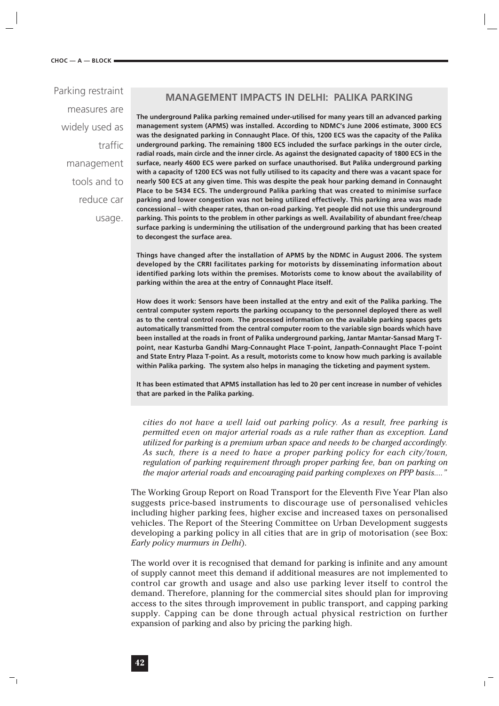#### **CHOC — A — BLOCK**

Parking restraint measures are widely used as traffic management tools and to reduce car usage.

# **MANAGEMENT IMPACTS IN DELHI: PALIKA PARKING**

**The underground Palika parking remained under-utilised for many years till an advanced parking management system (APMS) was installed. According to NDMC's June 2006 estimate, 3000 ECS was the designated parking in Connaught Place. Of this, 1200 ECS was the capacity of the Palika underground parking. The remaining 1800 ECS included the surface parkings in the outer circle, radial roads, main circle and the inner circle. As against the designated capacity of 1800 ECS in the surface, nearly 4600 ECS were parked on surface unauthorised. But Palika underground parking with a capacity of 1200 ECS was not fully utilised to its capacity and there was a vacant space for nearly 500 ECS at any given time. This was despite the peak hour parking demand in Connaught Place to be 5434 ECS. The underground Palika parking that was created to minimise surface parking and lower congestion was not being utilized effectively. This parking area was made concessional – with cheaper rates, than on-road parking. Yet people did not use this underground parking. This points to the problem in other parkings as well. Availability of abundant free/cheap surface parking is undermining the utilisation of the underground parking that has been created to decongest the surface area.**

**Things have changed after the installation of APMS by the NDMC in August 2006. The system developed by the CRRI facilitates parking for motorists by disseminating information about identified parking lots within the premises. Motorists come to know about the availability of parking within the area at the entry of Connaught Place itself.** 

**How does it work: Sensors have been installed at the entry and exit of the Palika parking. The central computer system reports the parking occupancy to the personnel deployed there as well as to the central control room. The processed information on the available parking spaces gets automatically transmitted from the central computer room to the variable sign boards which have been installed at the roads in front of Palika underground parking, Jantar Mantar-Sansad Marg Tpoint, near Kasturba Gandhi Marg-Connaught Place T-point, Janpath-Connaught Place T-point and State Entry Plaza T-point. As a result, motorists come to know how much parking is available within Palika parking. The system also helps in managing the ticketing and payment system.**

**It has been estimated that APMS installation has led to 20 per cent increase in number of vehicles that are parked in the Palika parking.** 

*cities do not have a well laid out parking policy. As a result, free parking is permitted even on major arterial roads as a rule rather than as exception. Land utilized for parking is a premium urban space and needs to be charged accordingly. As such, there is a need to have a proper parking policy for each city/town, regulation of parking requirement through proper parking fee, ban on parking on the major arterial roads and encouraging paid parking complexes on PPP basis...."*

The Working Group Report on Road Transport for the Eleventh Five Year Plan also suggests price-based instruments to discourage use of personalised vehicles including higher parking fees, higher excise and increased taxes on personalised vehicles. The Report of the Steering Committee on Urban Development suggests developing a parking policy in all cities that are in grip of motorisation (see Box: *Early policy murmurs in Delhi*).

The world over it is recognised that demand for parking is infinite and any amount of supply cannot meet this demand if additional measures are not implemented to control car growth and usage and also use parking lever itself to control the demand. Therefore, planning for the commercial sites should plan for improving access to the sites through improvement in public transport, and capping parking supply. Capping can be done through actual physical restriction on further expansion of parking and also by pricing the parking high.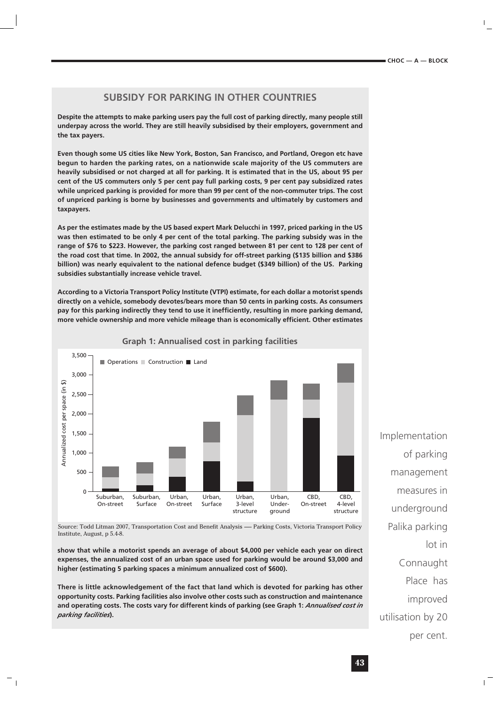# **SUBSIDY FOR PARKING IN OTHER COUNTRIES**

**Despite the attempts to make parking users pay the full cost of parking directly, many people still underpay across the world. They are still heavily subsidised by their employers, government and the tax payers.** 

**Even though some US cities like New York, Boston, San Francisco, and Portland, Oregon etc have begun to harden the parking rates, on a nationwide scale majority of the US commuters are heavily subsidised or not charged at all for parking. It is estimated that in the US, about 95 per cent of the US commuters only 5 per cent pay full parking costs, 9 per cent pay subsidized rates while unpriced parking is provided for more than 99 per cent of the non-commuter trips. The cost of unpriced parking is borne by businesses and governments and ultimately by customers and taxpayers.** 

**As per the estimates made by the US based expert Mark Delucchi in 1997, priced parking in the US was then estimated to be only 4 per cent of the total parking. The parking subsidy was in the range of \$76 to \$223. However, the parking cost ranged between 81 per cent to 128 per cent of the road cost that time. In 2002, the annual subsidy for off-street parking (\$135 billion and \$386 billion) was nearly equivalent to the national defence budget (\$349 billion) of the US. Parking subsidies substantially increase vehicle travel.** 

**According to a Victoria Transport Policy Institute (VTPI) estimate, for each dollar a motorist spends directly on a vehicle, somebody devotes/bears more than 50 cents in parking costs. As consumers pay for this parking indirectly they tend to use it inefficiently, resulting in more parking demand, more vehicle ownership and more vehicle mileage than is economically efficient. Other estimates**



**Graph 1: Annualised cost in parking facilities**

Source: Todd Litman 2007, Transportation Cost and Benefit Analysis — Parking Costs, Victoria Transport Policy Institute, August, p 5.4-8.

**show that while a motorist spends an average of about \$4,000 per vehicle each year on direct expenses, the annualized cost of an urban space used for parking would be around \$3,000 and higher (estimating 5 parking spaces a minimum annualized cost of \$600).** 

**There is little acknowledgement of the fact that land which is devoted for parking has other opportunity costs. Parking facilities also involve other costs such as construction and maintenance and operating costs. The costs vary for different kinds of parking (see Graph 1:** *Annualised cost in parking facilities***).** 

Implementation of parking management measures in underground Palika parking lot in Connaught Place has improved utilisation by 20 per cent.

**43**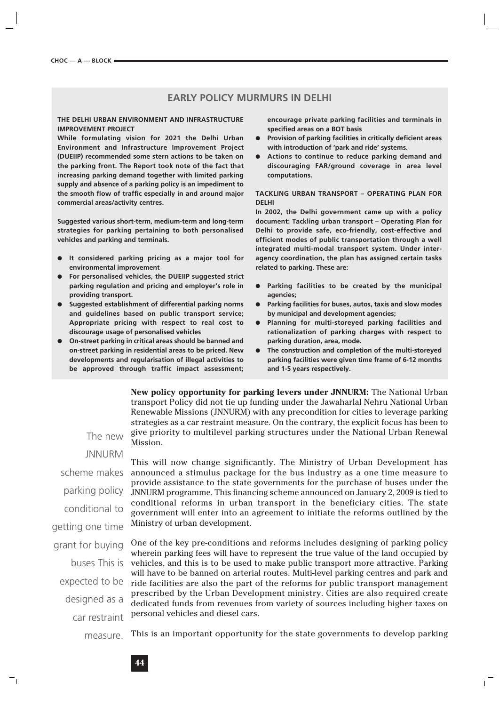# **EARLY POLICY MURMURS IN DELHI**

#### **THE DELHI URBAN ENVIRONMENT AND INFRASTRUCTURE IMPROVEMENT PROJECT**

**While formulating vision for 2021 the Delhi Urban Environment and Infrastructure Improvement Project (DUEIIP) recommended some stern actions to be taken on the parking front. The Report took note of the fact that increasing parking demand together with limited parking supply and absence of a parking policy is an impediment to the smooth flow of traffic especially in and around major commercial areas/activity centres.** 

**Suggested various short-term, medium-term and long-term strategies for parking pertaining to both personalised vehicles and parking and terminals.**

- It considered parking pricing as a major tool for **environmental improvement**
- For personalised vehicles, the DUEIIP suggested strict **parking regulation and pricing and employer's role in providing transport.**
- **Suggested establishment of differential parking norms and guidelines based on public transport service; Appropriate pricing with respect to real cost to discourage usage of personalised vehicles**
- **On-street parking in critical areas should be banned and on-street parking in residential areas to be priced. New developments and regularisation of illegal activities to be approved through traffic impact assessment;**

**encourage private parking facilities and terminals in specified areas on a BOT basis** 

- **Provision of parking facilities in critically deficient areas with introduction of 'park and ride' systems.**
- **Actions to continue to reduce parking demand and discouraging FAR/ground coverage in area level computations.**

**TACKLING URBAN TRANSPORT – OPERATING PLAN FOR DELHI** 

**In 2002, the Delhi government came up with a policy document: Tackling urban transport – Operating Plan for Delhi to provide safe, eco-friendly, cost-effective and efficient modes of public transportation through a well integrated multi-modal transport system. Under interagency coordination, the plan has assigned certain tasks related to parking. These are:** 

- **Parking facilities to be created by the municipal agencies;**
- Parking facilities for buses, autos, taxis and slow modes **by municipal and development agencies;**
- **Planning for multi-storeyed parking facilities and rationalization of parking charges with respect to parking duration, area, mode.**
- The construction and completion of the multi-storeyed **parking facilities were given time frame of 6-12 months and 1-5 years respectively.**

 $\mathbf{I}$ 

**New policy opportunity for parking levers under JNNURM:** The National Urban transport Policy did not tie up funding under the Jawaharlal Nehru National Urban Renewable Missions (JNNURM) with any precondition for cities to leverage parking strategies as a car restraint measure. On the contrary, the explicit focus has been to give priority to multilevel parking structures under the National Urban Renewal Mission.

The new JNNURM scheme makes parking policy conditional to getting one time grant for buying buses This is expected to be designed as a car restraint

7

This will now change significantly. The Ministry of Urban Development has announced a stimulus package for the bus industry as a one time measure to provide assistance to the state governments for the purchase of buses under the JNNURM programme. This financing scheme announced on January 2, 2009 is tied to conditional reforms in urban transport in the beneficiary cities. The state government will enter into an agreement to initiate the reforms outlined by the Ministry of urban development.

One of the key pre-conditions and reforms includes designing of parking policy wherein parking fees will have to represent the true value of the land occupied by vehicles, and this is to be used to make public transport more attractive. Parking will have to be banned on arterial routes. Multi-level parking centres and park and ride facilities are also the part of the reforms for public transport management prescribed by the Urban Development ministry. Cities are also required create dedicated funds from revenues from variety of sources including higher taxes on personal vehicles and diesel cars.

This is an important opportunity for the state governments to develop parking measure.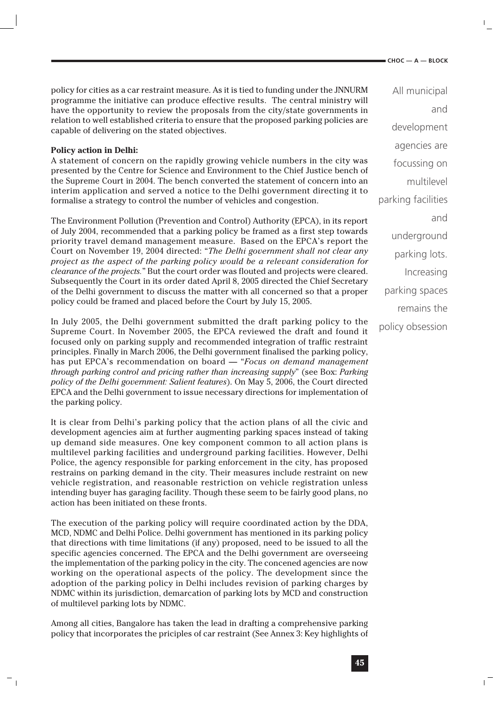$\mathbf{L}$ 

policy for cities as a car restraint measure. As it is tied to funding under the JNNURM programme the initiative can produce effective results. The central ministry will have the opportunity to review the proposals from the city/state governments in relation to well established criteria to ensure that the proposed parking policies are capable of delivering on the stated objectives.

## **Policy action in Delhi:**

 $^{-}$  1

A statement of concern on the rapidly growing vehicle numbers in the city was presented by the Centre for Science and Environment to the Chief Justice bench of the Supreme Court in 2004. The bench converted the statement of concern into an interim application and served a notice to the Delhi government directing it to formalise a strategy to control the number of vehicles and congestion.

The Environment Pollution (Prevention and Control) Authority (EPCA), in its report of July 2004, recommended that a parking policy be framed as a first step towards priority travel demand management measure. Based on the EPCA's report the Court on November 19, 2004 directed: "*The Delhi government shall not clear any project as the aspect of the parking policy would be a relevant consideration for clearance of the projects.*" But the court order was flouted and projects were cleared. Subsequently the Court in its order dated April 8, 2005 directed the Chief Secretary of the Delhi government to discuss the matter with all concerned so that a proper policy could be framed and placed before the Court by July 15, 2005.

In July 2005, the Delhi government submitted the draft parking policy to the Supreme Court. In November 2005, the EPCA reviewed the draft and found it focused only on parking supply and recommended integration of traffic restraint principles. Finally in March 2006, the Delhi government finalised the parking policy, has put EPCA's recommendation on board — "*Focus on demand management through parking control and pricing rather than increasing supply*" (see Box: *Parking policy of the Delhi government: Salient features*). On May 5, 2006, the Court directed EPCA and the Delhi government to issue necessary directions for implementation of the parking policy.

It is clear from Delhi's parking policy that the action plans of all the civic and development agencies aim at further augmenting parking spaces instead of taking up demand side measures. One key component common to all action plans is multilevel parking facilities and underground parking facilities. However, Delhi Police, the agency responsible for parking enforcement in the city, has proposed restrains on parking demand in the city. Their measures include restraint on new vehicle registration, and reasonable restriction on vehicle registration unless intending buyer has garaging facility. Though these seem to be fairly good plans, no action has been initiated on these fronts.

The execution of the parking policy will require coordinated action by the DDA, MCD, NDMC and Delhi Police. Delhi government has mentioned in its parking policy that directions with time limitations (if any) proposed, need to be issued to all the specific agencies concerned. The EPCA and the Delhi government are overseeing the implementation of the parking policy in the city. The concened agencies are now working on the operational aspects of the policy. The development since the adoption of the parking policy in Delhi includes revision of parking charges by NDMC within its jurisdiction, demarcation of parking lots by MCD and construction of multilevel parking lots by NDMC.

Among all cities, Bangalore has taken the lead in drafting a comprehensive parking policy that incorporates the priciples of car restraint (See Annex 3: Key highlights of

All municipal and development agencies are focussing on multilevel parking facilities and underground parking lots. Increasing parking spaces remains the policy obsession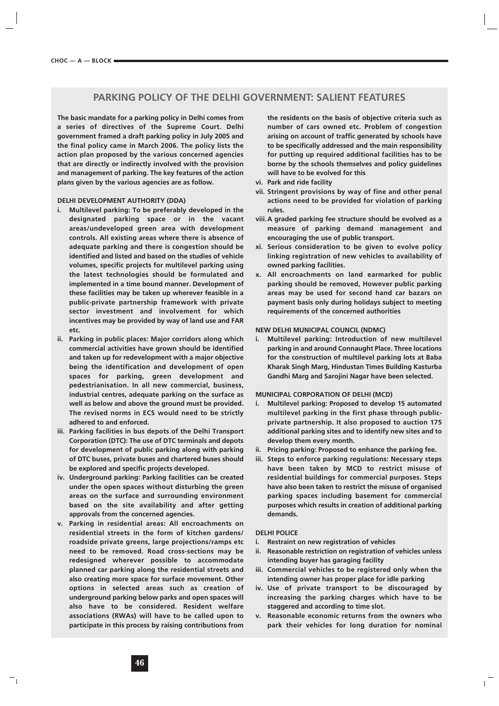# **PARKING POLICY OF THE DELHI GOVERNMENT: SALIENT FEATURES**

**The basic mandate for a parking policy in Delhi comes from a series of directives of the Supreme Court. Delhi government framed a draft parking policy in July 2005 and the final policy came in March 2006. The policy lists the action plan proposed by the various concerned agencies that are directly or indirectly involved with the provision and management of parking. The key features of the action plans given by the various agencies are as follow.** 

#### **DELHI DEVELOPMENT AUTHORITY (DDA)**

- **i. Multilevel parking: To be preferably developed in the designated parking space or in the vacant areas/undeveloped green area with development controls. All existing areas where there is absence of adequate parking and there is congestion should be identified and listed and based on the studies of vehicle volumes, specific projects for multilevel parking using the latest technologies should be formulated and implemented in a time bound manner. Development of these facilities may be taken up wherever feasible in a public-private partnership framework with private sector investment and involvement for which incentives may be provided by way of land use and FAR etc.**
- **ii. Parking in public places: Major corridors along which commercial activities have grown should be identified and taken up for redevelopment with a major objective being the identification and development of open spaces for parking, green development and pedestrianisation. In all new commercial, business, industrial centres, adequate parking on the surface as well as below and above the ground must be provided. The revised norms in ECS would need to be strictly adhered to and enforced.**
- **iii. Parking facilities in bus depots of the Delhi Transport Corporation (DTC): The use of DTC terminals and depots for development of public parking along with parking of DTC buses, private buses and chartered buses should be explored and specific projects developed.**
- **iv. Underground parking: Parking facilities can be created under the open spaces without disturbing the green areas on the surface and surrounding environment based on the site availability and after getting approvals from the concerned agencies.**
- **v. Parking in residential areas: All encroachments on residential streets in the form of kitchen gardens/ roadside private greens, large projections/ramps etc need to be removed. Road cross-sections may be redesigned wherever possible to accommodate planned car parking along the residential streets and also creating more space for surface movement. Other options in selected areas such as creation of underground parking below parks and open spaces will also have to be considered. Resident welfare associations (RWAs) will have to be called upon to participate in this process by raising contributions from**

**the residents on the basis of objective criteria such as number of cars owned etc. Problem of congestion arising on account of traffic generated by schools have to be specifically addressed and the main responsibility for putting up required additional facilities has to be borne by the schools themselves and policy guidelines will have to be evolved for this**

- **vi. Park and ride facility**
- **vii. Stringent provisions by way of fine and other penal actions need to be provided for violation of parking rules.**
- **viii.A graded parking fee structure should be evolved as a measure of parking demand management and encouraging the use of public transport.**
- **xi. Serious consideration to be given to evolve policy linking registration of new vehicles to availability of owned parking facilities.**
- **x. All encroachments on land earmarked for public parking should be removed, However public parking areas may be used for second hand car bazars on payment basis only during holidays subject to meeting requirements of the concerned authorities**

#### **NEW DELHI MUNICIPAL COUNCIL (NDMC)**

**i. Multilevel parking: Introduction of new multilevel parking in and around Connaught Place. Three locations for the construction of multilevel parking lots at Baba Kharak Singh Marg, Hindustan Times Building Kasturba Gandhi Marg and Sarojini Nagar have been selected.** 

#### **MUNICIPAL CORPORATION OF DELHI (MCD)**

- **i. Multilevel parking: Proposed to develop 15 automated multilevel parking in the first phase through publicprivate partnership. It also proposed to auction 175 additional parking sites and to identify new sites and to develop them every month.**
- **ii. Pricing parking: Proposed to enhance the parking fee.**
- **iii. Steps to enforce parking regulations: Necessary steps have been taken by MCD to restrict misuse of residential buildings for commercial purposes. Steps have also been taken to restrict the misuse of organised parking spaces including basement for commercial purposes which results in creation of additional parking demands.**

#### **DELHI POLICE**

- **i. Restraint on new registration of vehicles**
- **ii. Reasonable restriction on registration of vehicles unless intending buyer has garaging facility**
- **iii. Commercial vehicles to be registered only when the intending owner has proper place for idle parking**
- **iv. Use of private transport to be discouraged by increasing the parking charges which have to be staggered and according to time slot.**
- **v. Reasonable economic returns from the owners who park their vehicles for long duration for nominal**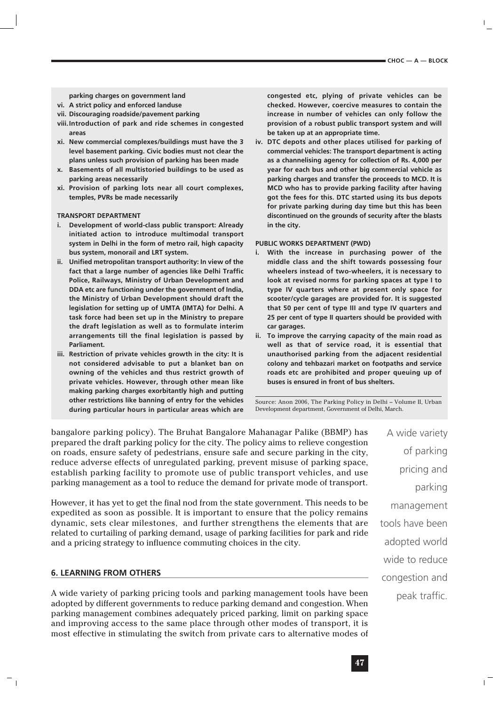**parking charges on government land**

- **vi. A strict policy and enforced landuse**
- **vii. Discouraging roadside/pavement parking**
- **viii.Introduction of park and ride schemes in congested areas**
- **xi. New commercial complexes/buildings must have the 3 level basement parking. Civic bodies must not clear the plans unless such provision of parking has been made**
- **x. Basements of all multistoried buildings to be used as parking areas necessarily**
- **xi. Provision of parking lots near all court complexes, temples, PVRs be made necessarily**

#### **TRANSPORT DEPARTMENT**

- **i. Development of world-class public transport: Already initiated action to introduce multimodal transport system in Delhi in the form of metro rail, high capacity bus system, monorail and LRT system.**
- **ii. Unified metropolitan transport authority: In view of the fact that a large number of agencies like Delhi Traffic Police, Railways, Ministry of Urban Development and DDA etc are functioning under the government of India, the Ministry of Urban Development should draft the legislation for setting up of UMTA (IMTA) for Delhi. A task force had been set up in the Ministry to prepare the draft legislation as well as to formulate interim arrangements till the final legislation is passed by Parliament.**
- **iii. Restriction of private vehicles growth in the city: It is not considered advisable to put a blanket ban on owning of the vehicles and thus restrict growth of private vehicles. However, through other mean like making parking charges exorbitantly high and putting other restrictions like banning of entry for the vehicles during particular hours in particular areas which are**

**congested etc, plying of private vehicles can be checked. However, coercive measures to contain the increase in number of vehicles can only follow the provision of a robust public transport system and will be taken up at an appropriate time.** 

**iv. DTC depots and other places utilised for parking of commercial vehicles: The transport department is acting as a channelising agency for collection of Rs. 4,000 per year for each bus and other big commercial vehicle as parking charges and transfer the proceeds to MCD. It is MCD who has to provide parking facility after having got the fees for this. DTC started using its bus depots for private parking during day time but this has been discontinued on the grounds of security after the blasts in the city.** 

#### **PUBLIC WORKS DEPARTMENT (PWD)**

- **i. With the increase in purchasing power of the middle class and the shift towards possessing four wheelers instead of two-wheelers, it is necessary to look at revised norms for parking spaces at type I to type IV quarters where at present only space for scooter/cycle garages are provided for. It is suggested that 50 per cent of type III and type IV quarters and 25 per cent of type II quarters should be provided with car garages.**
- **ii. To improve the carrying capacity of the main road as well as that of service road, it is essential that unauthorised parking from the adjacent residential colony and tehbazari market on footpaths and service roads etc are prohibited and proper queuing up of buses is ensured in front of bus shelters.**

Source: Anon 2006, The Parking Policy in Delhi – Volume II, Urban Development department, Government of Delhi, March.

bangalore parking policy). The Bruhat Bangalore Mahanagar Palike (BBMP) has prepared the draft parking policy for the city. The policy aims to relieve congestion on roads, ensure safety of pedestrians, ensure safe and secure parking in the city, reduce adverse effects of unregulated parking, prevent misuse of parking space, establish parking facility to promote use of public transport vehicles, and use parking management as a tool to reduce the demand for private mode of transport.

However, it has yet to get the final nod from the state government. This needs to be expedited as soon as possible. It is important to ensure that the policy remains dynamic, sets clear milestones, and further strengthens the elements that are related to curtailing of parking demand, usage of parking facilities for park and ride and a pricing strategy to influence commuting choices in the city.

## **6. LEARNING FROM OTHERS**

A wide variety of parking pricing tools and parking management tools have been adopted by different governments to reduce parking demand and congestion. When parking management combines adequately priced parking, limit on parking space and improving access to the same place through other modes of transport, it is most effective in stimulating the switch from private cars to alternative modes of

A wide variety of parking pricing and parking management tools have been adopted world wide to reduce congestion and peak traffic.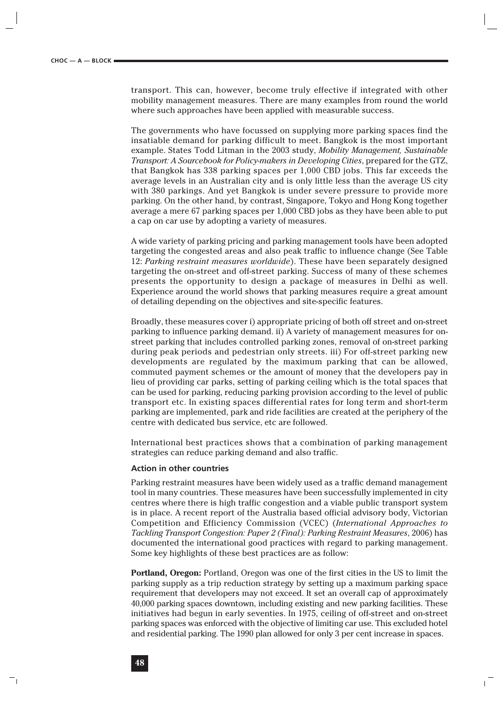transport. This can, however, become truly effective if integrated with other mobility management measures. There are many examples from round the world where such approaches have been applied with measurable success.

The governments who have focussed on supplying more parking spaces find the insatiable demand for parking difficult to meet. Bangkok is the most important example. States Todd Litman in the 2003 study, *Mobility Management, Sustainable Transport: A Sourcebook for Policy-makers in Developing Cities*, prepared for the GTZ, that Bangkok has 338 parking spaces per 1,000 CBD jobs. This far exceeds the average levels in an Australian city and is only little less than the average US city with 380 parkings. And yet Bangkok is under severe pressure to provide more parking. On the other hand, by contrast, Singapore, Tokyo and Hong Kong together average a mere 67 parking spaces per 1,000 CBD jobs as they have been able to put a cap on car use by adopting a variety of measures.

A wide variety of parking pricing and parking management tools have been adopted targeting the congested areas and also peak traffic to influence change (See Table 12: *Parking restraint measures worldwide*). These have been separately designed targeting the on-street and off-street parking. Success of many of these schemes presents the opportunity to design a package of measures in Delhi as well. Experience around the world shows that parking measures require a great amount of detailing depending on the objectives and site-specific features.

Broadly, these measures cover i) appropriate pricing of both off street and on-street parking to influence parking demand. ii) A variety of management measures for onstreet parking that includes controlled parking zones, removal of on-street parking during peak periods and pedestrian only streets. iii) For off-street parking new developments are regulated by the maximum parking that can be allowed, commuted payment schemes or the amount of money that the developers pay in lieu of providing car parks, setting of parking ceiling which is the total spaces that can be used for parking, reducing parking provision according to the level of public transport etc. In existing spaces differential rates for long term and short-term parking are implemented, park and ride facilities are created at the periphery of the centre with dedicated bus service, etc are followed.

International best practices shows that a combination of parking management strategies can reduce parking demand and also traffic.

#### **Action in other countries**

Parking restraint measures have been widely used as a traffic demand management tool in many countries. These measures have been successfully implemented in city centres where there is high traffic congestion and a viable public transport system is in place. A recent report of the Australia based official advisory body, Victorian Competition and Efficiency Commission (VCEC) (*International Approaches to Tackling Transport Congestion: Paper 2 (Final): Parking Restraint Measures*, 2006) has documented the international good practices with regard to parking management. Some key highlights of these best practices are as follow:

**Portland, Oregon:** Portland, Oregon was one of the first cities in the US to limit the parking supply as a trip reduction strategy by setting up a maximum parking space requirement that developers may not exceed. It set an overall cap of approximately 40,000 parking spaces downtown, including existing and new parking facilities. These initiatives had begun in early seventies. In 1975, ceiling of off-street and on-street parking spaces was enforced with the objective of limiting car use. This excluded hotel and residential parking. The 1990 plan allowed for only 3 per cent increase in spaces.

 $\overline{1}$ 

71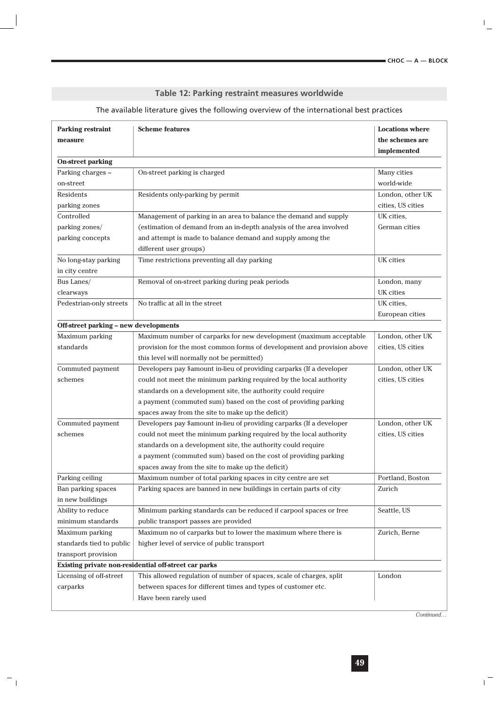$\mathbb{L}$ 

# **Table 12: Parking restraint measures worldwide**

# The available literature gives the following overview of the international best practices

| <b>Parking restraint</b>              | <b>Scheme features</b>                                                 | <b>Locations where</b> |
|---------------------------------------|------------------------------------------------------------------------|------------------------|
| measure                               |                                                                        | the schemes are        |
|                                       |                                                                        | implemented            |
| <b>On-street parking</b>              |                                                                        |                        |
| Parking charges -                     | On-street parking is charged                                           | Many cities            |
| on-street                             |                                                                        | world-wide             |
| Residents                             | Residents only-parking by permit                                       | London, other UK       |
| parking zones                         |                                                                        | cities, US cities      |
| Controlled                            | Management of parking in an area to balance the demand and supply      | UK cities,             |
| parking zones/                        | (estimation of demand from an in-depth analysis of the area involved   | German cities          |
| parking concepts                      | and attempt is made to balance demand and supply among the             |                        |
|                                       | different user groups)                                                 |                        |
| No long-stay parking                  | Time restrictions preventing all day parking                           | UK cities              |
| in city centre                        |                                                                        |                        |
| Bus Lanes/                            | Removal of on-street parking during peak periods                       | London, many           |
| clearways                             |                                                                        | UK cities              |
| Pedestrian-only streets               | No traffic at all in the street                                        | UK cities,             |
|                                       |                                                                        | European cities        |
| Off-street parking - new developments |                                                                        |                        |
| Maximum parking                       | Maximum number of carparks for new development (maximum acceptable     | London, other UK       |
| standards                             | provision for the most common forms of development and provision above | cities, US cities      |
|                                       | this level will normally not be permitted)                             |                        |
| Commuted payment                      | Developers pay \$amount in-lieu of providing carparks (If a developer  | London, other UK       |
| schemes                               | could not meet the minimum parking required by the local authority     | cities, US cities      |
|                                       | standards on a development site, the authority could require           |                        |
|                                       | a payment (commuted sum) based on the cost of providing parking        |                        |
|                                       | spaces away from the site to make up the deficit)                      |                        |
| Commuted payment                      | Developers pay \$amount in-lieu of providing carparks (If a developer  | London, other UK       |
| schemes                               | could not meet the minimum parking required by the local authority     | cities, US cities      |
|                                       | standards on a development site, the authority could require           |                        |
|                                       | a payment (commuted sum) based on the cost of providing parking        |                        |
|                                       | spaces away from the site to make up the deficit)                      |                        |
| Parking ceiling                       | Maximum number of total parking spaces in city centre are set          | Portland, Boston       |
| Ban parking spaces                    | Parking spaces are banned in new buildings in certain parts of city    | Zurich                 |
| in new buildings                      |                                                                        |                        |
| Ability to reduce                     | Minimum parking standards can be reduced if carpool spaces or free     | Seattle, US            |
| minimum standards                     | public transport passes are provided                                   |                        |
| Maximum parking                       | Maximum no of carparks but to lower the maximum where there is         | Zurich, Berne          |
| standards tied to public              | higher level of service of public transport                            |                        |
| transport provision                   |                                                                        |                        |
|                                       | Existing private non-residential off-street car parks                  |                        |
| Licensing of off-street               | This allowed regulation of number of spaces, scale of charges, split   | London                 |
| carparks                              | between spaces for different times and types of customer etc.          |                        |
|                                       | Have been rarely used                                                  |                        |

 $\vdash_1$ 

*Continued…*

 $\mathbf{1}^{\pm}$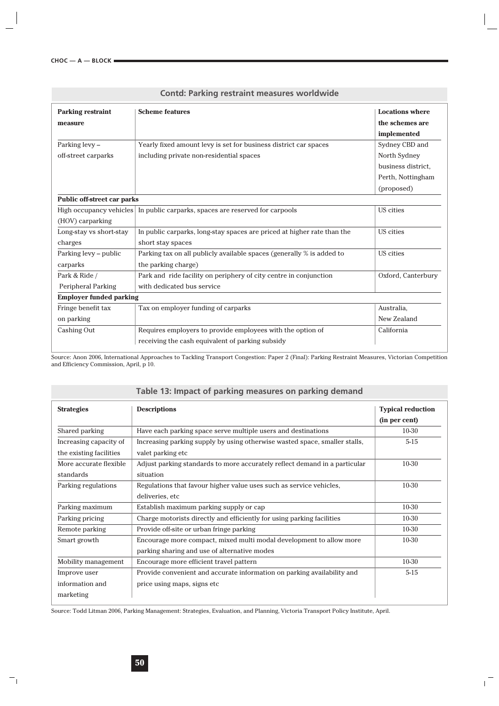| <b>Parking restraint</b>       | <b>Scheme features</b>                                                  | <b>Locations where</b> |  |
|--------------------------------|-------------------------------------------------------------------------|------------------------|--|
| measure                        |                                                                         | the schemes are        |  |
|                                |                                                                         | implemented            |  |
| Parking levy -                 | Yearly fixed amount levy is set for business district car spaces        | Sydney CBD and         |  |
| off-street carparks            | including private non-residential spaces                                | North Sydney           |  |
|                                |                                                                         | business district.     |  |
|                                |                                                                         | Perth, Nottingham      |  |
|                                |                                                                         | (proposed)             |  |
| Public off-street car parks    |                                                                         |                        |  |
| High occupancy vehicles        | In public carparks, spaces are reserved for carpools                    | US cities              |  |
| (HOV) carparking               |                                                                         |                        |  |
| Long-stay vs short-stay        | In public carparks, long-stay spaces are priced at higher rate than the | US cities              |  |
| charges                        | short stay spaces                                                       |                        |  |
| Parking levy – public          | Parking tax on all publicly available spaces (generally % is added to   | US cities              |  |
| carparks                       | the parking charge)                                                     |                        |  |
| Park & Ride /                  | Park and ride facility on periphery of city centre in conjunction       | Oxford, Canterbury     |  |
| <b>Peripheral Parking</b>      | with dedicated bus service                                              |                        |  |
| <b>Employer funded parking</b> |                                                                         |                        |  |
| Fringe benefit tax             | Tax on employer funding of carparks                                     | Australia,             |  |
| on parking                     |                                                                         | New Zealand            |  |
| Cashing Out                    | Requires employers to provide employees with the option of              | California             |  |
|                                | receiving the cash equivalent of parking subsidy                        |                        |  |

**Contd: Parking restraint measures worldwide**

Source: Anon 2006, International Approaches to Tackling Transport Congestion: Paper 2 (Final): Parking Restraint Measures, Victorian Competition and Efficiency Commission, April, p 10.

| awie ist misseus et sentantej meestas en sentantej elemente |                                                                            |                                           |  |
|-------------------------------------------------------------|----------------------------------------------------------------------------|-------------------------------------------|--|
| <b>Strategies</b>                                           | <b>Descriptions</b>                                                        | <b>Typical reduction</b><br>(in per cent) |  |
| Shared parking                                              | Have each parking space serve multiple users and destinations              | $10 - 30$                                 |  |
| Increasing capacity of                                      | Increasing parking supply by using otherwise wasted space, smaller stalls, | $5 - 15$                                  |  |
| the existing facilities                                     | valet parking etc                                                          |                                           |  |
| More accurate flexible                                      | Adjust parking standards to more accurately reflect demand in a particular | $10 - 30$                                 |  |
| standards                                                   | situation                                                                  |                                           |  |
| Parking regulations                                         | Regulations that favour higher value uses such as service vehicles,        | 10-30                                     |  |
|                                                             | deliveries, etc                                                            |                                           |  |
| Parking maximum                                             | Establish maximum parking supply or cap                                    | 10-30                                     |  |
| Parking pricing                                             | Charge motorists directly and efficiently for using parking facilities     | $10 - 30$                                 |  |
| Remote parking                                              | Provide off-site or urban fringe parking                                   | $10 - 30$                                 |  |
| Smart growth                                                | Encourage more compact, mixed multi modal development to allow more        | $10 - 30$                                 |  |
|                                                             | parking sharing and use of alternative modes                               |                                           |  |
| Mobility management                                         | Encourage more efficient travel pattern                                    | $10 - 30$                                 |  |
| Improve user                                                | Provide convenient and accurate information on parking availability and    | $5 - 15$                                  |  |
| information and                                             | price using maps, signs etc.                                               |                                           |  |
| marketing                                                   |                                                                            |                                           |  |

 $\overline{1}$ 

# **Table 13: Impact of parking measures on parking demand**

Source: Todd Litman 2006, Parking Management: Strategies, Evaluation, and Planning, Victoria Transport Policy Institute, April.

 $\overline{\phantom{a}}$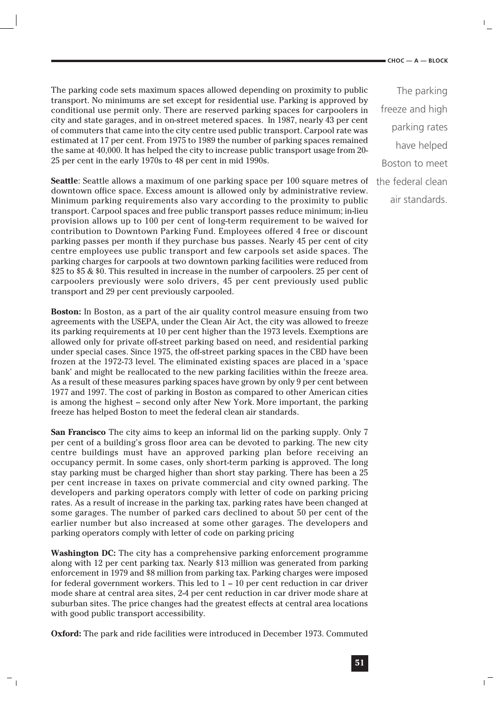$\mathbf{L}$ 

The parking code sets maximum spaces allowed depending on proximity to public transport. No minimums are set except for residential use. Parking is approved by conditional use permit only. There are reserved parking spaces for carpoolers in city and state garages, and in on-street metered spaces. In 1987, nearly 43 per cent of commuters that came into the city centre used public transport. Carpool rate was estimated at 17 per cent. From 1975 to 1989 the number of parking spaces remained the same at 40,000. It has helped the city to increase public transport usage from 20- 25 per cent in the early 1970s to 48 per cent in mid 1990s.

**Seattle**: Seattle allows a maximum of one parking space per 100 square metres of the federal clean downtown office space. Excess amount is allowed only by administrative review. Minimum parking requirements also vary according to the proximity to public transport. Carpool spaces and free public transport passes reduce minimum; in-lieu provision allows up to 100 per cent of long-term requirement to be waived for contribution to Downtown Parking Fund. Employees offered 4 free or discount parking passes per month if they purchase bus passes. Nearly 45 per cent of city centre employees use public transport and few carpools set aside spaces. The parking charges for carpools at two downtown parking facilities were reduced from \$25 to \$5 & \$0. This resulted in increase in the number of carpoolers. 25 per cent of carpoolers previously were solo drivers, 45 per cent previously used public transport and 29 per cent previously carpooled.

**Boston:** In Boston, as a part of the air quality control measure ensuing from two agreements with the USEPA, under the Clean Air Act, the city was allowed to freeze its parking requirements at 10 per cent higher than the 1973 levels. Exemptions are allowed only for private off-street parking based on need, and residential parking under special cases. Since 1975, the off-street parking spaces in the CBD have been frozen at the 1972-73 level. The eliminated existing spaces are placed in a 'space bank' and might be reallocated to the new parking facilities within the freeze area. As a result of these measures parking spaces have grown by only 9 per cent between 1977 and 1997. The cost of parking in Boston as compared to other American cities is among the highest – second only after New York. More important, the parking freeze has helped Boston to meet the federal clean air standards.

**San Francisco** The city aims to keep an informal lid on the parking supply. Only 7 per cent of a building's gross floor area can be devoted to parking. The new city centre buildings must have an approved parking plan before receiving an occupancy permit. In some cases, only short-term parking is approved. The long stay parking must be charged higher than short stay parking. There has been a 25 per cent increase in taxes on private commercial and city owned parking. The developers and parking operators comply with letter of code on parking pricing rates. As a result of increase in the parking tax, parking rates have been changed at some garages. The number of parked cars declined to about 50 per cent of the earlier number but also increased at some other garages. The developers and parking operators comply with letter of code on parking pricing

**Washington DC:** The city has a comprehensive parking enforcement programme along with 12 per cent parking tax. Nearly \$13 million was generated from parking enforcement in 1979 and \$8 million from parking tax. Parking charges were imposed for federal government workers. This led to  $1 - 10$  per cent reduction in car driver mode share at central area sites, 2-4 per cent reduction in car driver mode share at suburban sites. The price changes had the greatest effects at central area locations with good public transport accessibility.

**Oxford:** The park and ride facilities were introduced in December 1973. Commuted

 $^{-}$  1

The parking freeze and high parking rates have helped Boston to meet air standards.

 $\overline{1}$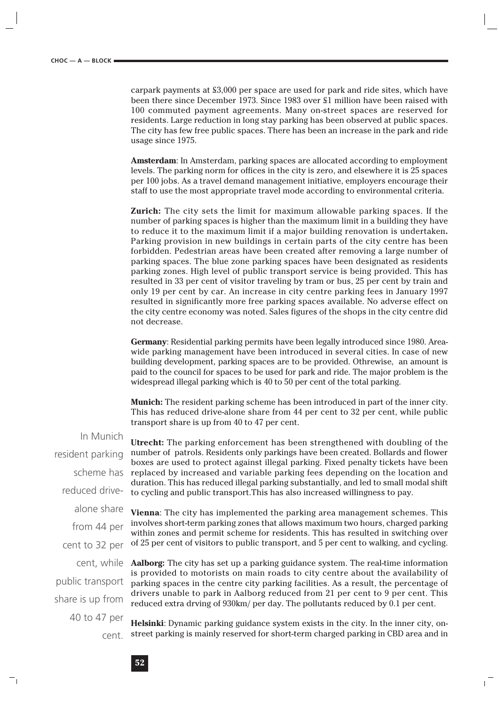carpark payments at £3,000 per space are used for park and ride sites, which have been there since December 1973. Since 1983 over £1 million have been raised with 100 commuted payment agreements. Many on-street spaces are reserved for residents. Large reduction in long stay parking has been observed at public spaces. The city has few free public spaces. There has been an increase in the park and ride usage since 1975.

**Amsterdam**: In Amsterdam, parking spaces are allocated according to employment levels. The parking norm for offices in the city is zero, and elsewhere it is 25 spaces per 100 jobs. As a travel demand management initiative, employers encourage their staff to use the most appropriate travel mode according to environmental criteria.

**Zurich:** The city sets the limit for maximum allowable parking spaces. If the number of parking spaces is higher than the maximum limit in a building they have to reduce it to the maximum limit if a major building renovation is undertaken**.** Parking provision in new buildings in certain parts of the city centre has been forbidden. Pedestrian areas have been created after removing a large number of parking spaces. The blue zone parking spaces have been designated as residents parking zones. High level of public transport service is being provided. This has resulted in 33 per cent of visitor traveling by tram or bus, 25 per cent by train and only 19 per cent by car. An increase in city centre parking fees in January 1997 resulted in significantly more free parking spaces available. No adverse effect on the city centre economy was noted. Sales figures of the shops in the city centre did not decrease.

**Germany**: Residential parking permits have been legally introduced since 1980. Areawide parking management have been introduced in several cities. In case of new building development, parking spaces are to be provided. Othrewise, an amount is paid to the council for spaces to be used for park and ride. The major problem is the widespread illegal parking which is 40 to 50 per cent of the total parking.

**Munich:** The resident parking scheme has been introduced in part of the inner city. This has reduced drive-alone share from 44 per cent to 32 per cent, while public transport share is up from 40 to 47 per cent.

In Munich resident parking scheme has reduced drivealone share from 44 per cent to 32 per cent, while public transport share is up from 40 to 47 per

7

**Utrecht:** The parking enforcement has been strengthened with doubling of the number of patrols. Residents only parkings have been created. Bollards and flower boxes are used to protect against illegal parking. Fixed penalty tickets have been replaced by increased and variable parking fees depending on the location and duration. This has reduced illegal parking substantially, and led to small modal shift to cycling and public transport.This has also increased willingness to pay.

**Vienna**: The city has implemented the parking area management schemes. This involves short-term parking zones that allows maximum two hours, charged parking within zones and permit scheme for residents. This has resulted in switching over of 25 per cent of visitors to public transport, and 5 per cent to walking, and cycling.

**Aalborg:** The city has set up a parking guidance system. The real-time information is provided to motorists on main roads to city centre about the availability of parking spaces in the centre city parking facilities. As a result, the percentage of drivers unable to park in Aalborg reduced from 21 per cent to 9 per cent. This reduced extra drving of 930km/ per day. The pollutants reduced by 0.1 per cent.

**Helsinki**: Dynamic parking guidance system exists in the city. In the inner city, onstreet parking is mainly reserved for short-term charged parking in CBD area and in

 $\overline{1}$ 

cent.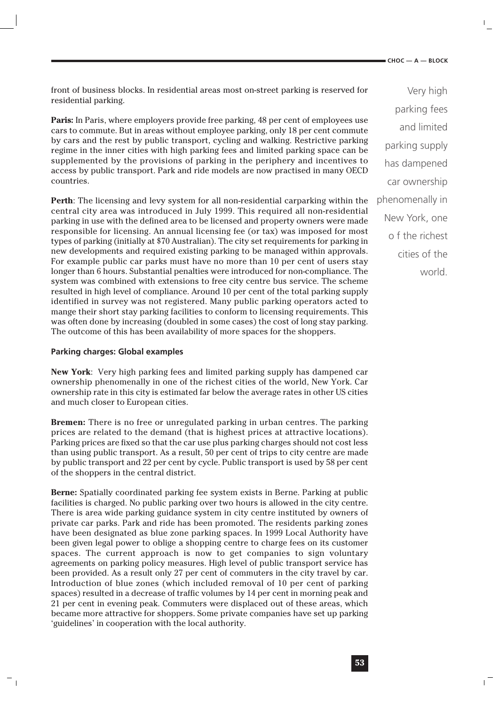$\mathbf{L}$ 

front of business blocks. In residential areas most on-street parking is reserved for residential parking.

**Paris:** In Paris, where employers provide free parking, 48 per cent of employees use cars to commute. But in areas without employee parking, only 18 per cent commute by cars and the rest by public transport, cycling and walking. Restrictive parking regime in the inner cities with high parking fees and limited parking space can be supplemented by the provisions of parking in the periphery and incentives to access by public transport. Park and ride models are now practised in many OECD countries.

**Perth**: The licensing and levy system for all non-residential carparking within the central city area was introduced in July 1999. This required all non-residential parking in use with the defined area to be licensed and property owners were made responsible for licensing. An annual licensing fee (or tax) was imposed for most types of parking (initially at \$70 Australian). The city set requirements for parking in new developments and required existing parking to be managed within approvals. For example public car parks must have no more than 10 per cent of users stay longer than 6 hours. Substantial penalties were introduced for non-compliance. The system was combined with extensions to free city centre bus service. The scheme resulted in high level of compliance. Around 10 per cent of the total parking supply identified in survey was not registered. Many public parking operators acted to mange their short stay parking facilities to conform to licensing requirements. This was often done by increasing (doubled in some cases) the cost of long stay parking. The outcome of this has been availability of more spaces for the shoppers.

## **Parking charges: Global examples**

 $^{-}$  1

**New York**: Very high parking fees and limited parking supply has dampened car ownership phenomenally in one of the richest cities of the world, New York. Car ownership rate in this city is estimated far below the average rates in other US cities and much closer to European cities.

**Bremen:** There is no free or unregulated parking in urban centres. The parking prices are related to the demand (that is highest prices at attractive locations). Parking prices are fixed so that the car use plus parking charges should not cost less than using public transport. As a result, 50 per cent of trips to city centre are made by public transport and 22 per cent by cycle. Public transport is used by 58 per cent of the shoppers in the central district.

**Berne:** Spatially coordinated parking fee system exists in Berne. Parking at public facilities is charged. No public parking over two hours is allowed in the city centre. There is area wide parking guidance system in city centre instituted by owners of private car parks. Park and ride has been promoted. The residents parking zones have been designated as blue zone parking spaces. In 1999 Local Authority have been given legal power to oblige a shopping centre to charge fees on its customer spaces. The current approach is now to get companies to sign voluntary agreements on parking policy measures. High level of public transport service has been provided. As a result only 27 per cent of commuters in the city travel by car. Introduction of blue zones (which included removal of 10 per cent of parking spaces) resulted in a decrease of traffic volumes by 14 per cent in morning peak and 21 per cent in evening peak. Commuters were displaced out of these areas, which became more attractive for shoppers. Some private companies have set up parking 'guidelines' in cooperation with the local authority.

Very high parking fees and limited parking supply has dampened car ownership phenomenally in New York, one o f the richest cities of the world.

 $\mathbf{L}$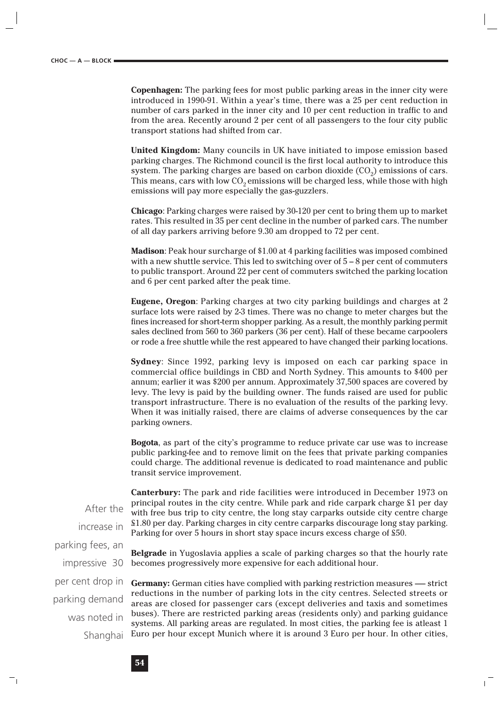**Copenhagen:** The parking fees for most public parking areas in the inner city were introduced in 1990-91. Within a year's time, there was a 25 per cent reduction in number of cars parked in the inner city and 10 per cent reduction in traffic to and from the area. Recently around 2 per cent of all passengers to the four city public transport stations had shifted from car.

**United Kingdom:** Many councils in UK have initiated to impose emission based parking charges. The Richmond council is the first local authority to introduce this system. The parking charges are based on carbon dioxide  $(CO<sub>2</sub>)$  emissions of cars. This means, cars with low  $CO<sub>2</sub>$  emissions will be charged less, while those with high emissions will pay more especially the gas-guzzlers.

**Chicago**: Parking charges were raised by 30-120 per cent to bring them up to market rates. This resulted in 35 per cent decline in the number of parked cars. The number of all day parkers arriving before 9.30 am dropped to 72 per cent.

**Madison**: Peak hour surcharge of \$1.00 at 4 parking facilities was imposed combined with a new shuttle service. This led to switching over of  $5-8$  per cent of commuters to public transport. Around 22 per cent of commuters switched the parking location and 6 per cent parked after the peak time.

**Eugene, Oregon**: Parking charges at two city parking buildings and charges at 2 surface lots were raised by 2-3 times. There was no change to meter charges but the fines increased for short-term shopper parking. As a result, the monthly parking permit sales declined from 560 to 360 parkers (36 per cent). Half of these became carpoolers or rode a free shuttle while the rest appeared to have changed their parking locations.

**Sydney**: Since 1992, parking levy is imposed on each car parking space in commercial office buildings in CBD and North Sydney. This amounts to \$400 per annum; earlier it was \$200 per annum. Approximately 37,500 spaces are covered by levy. The levy is paid by the building owner. The funds raised are used for public transport infrastructure. There is no evaluation of the results of the parking levy. When it was initially raised, there are claims of adverse consequences by the car parking owners.

**Bogota**, as part of the city's programme to reduce private car use was to increase public parking-fee and to remove limit on the fees that private parking companies could charge. The additional revenue is dedicated to road maintenance and public transit service improvement.

**Canterbury:** The park and ride facilities were introduced in December 1973 on principal routes in the city centre. While park and ride carpark charge £1 per day with free bus trip to city centre, the long stay carparks outside city centre charge £1.80 per day. Parking charges in city centre carparks discourage long stay parking. Parking for over 5 hours in short stay space incurs excess charge of £50.

**Belgrade** in Yugoslavia applies a scale of parking charges so that the hourly rate becomes progressively more expensive for each additional hour.

**Germany:** German cities have complied with parking restriction measures — strict reductions in the number of parking lots in the city centres. Selected streets or areas are closed for passenger cars (except deliveries and taxis and sometimes buses). There are restricted parking areas (residents only) and parking guidance systems. All parking areas are regulated. In most cities, the parking fee is atleast 1 Euro per hour except Munich where it is around 3 Euro per hour. In other cities,

After the increase in parking fees, an impressive 30 per cent drop in parking demand was noted in Shanghai

7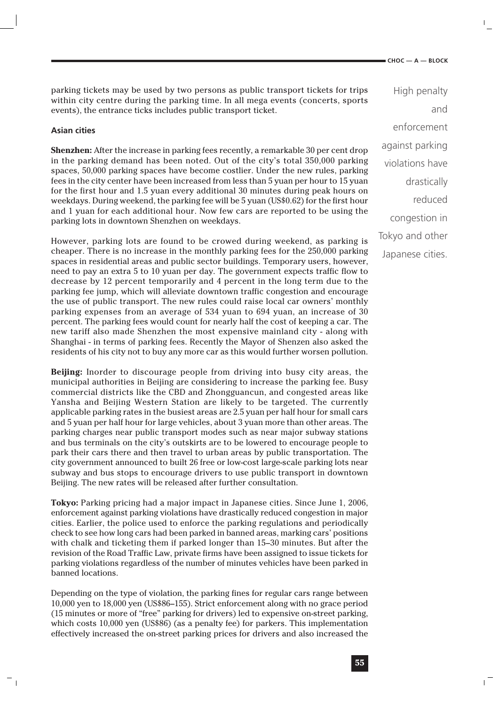**CHOC — A — BLOCK**

 $\mathbf{L}$ 

parking tickets may be used by two persons as public transport tickets for trips within city centre during the parking time. In all mega events (concerts, sports events), the entrance ticks includes public transport ticket.

#### **Asian cities**

 $\overline{\phantom{a}}$ 

**Shenzhen:** After the increase in parking fees recently, a remarkable 30 per cent drop in the parking demand has been noted. Out of the city's total 350,000 parking spaces, 50,000 parking spaces have become costlier. Under the new rules, parking fees in the city center have been increased from less than 5 yuan per hour to 15 yuan for the first hour and 1.5 yuan every additional 30 minutes during peak hours on weekdays. During weekend, the parking fee will be 5 yuan (US\$0.62) for the first hour and 1 yuan for each additional hour. Now few cars are reported to be using the parking lots in downtown Shenzhen on weekdays.

However, parking lots are found to be crowed during weekend, as parking is cheaper. There is no increase in the monthly parking fees for the 250,000 parking spaces in residential areas and public sector buildings. Temporary users, however, need to pay an extra 5 to 10 yuan per day. The government expects traffic flow to decrease by 12 percent temporarily and 4 percent in the long term due to the parking fee jump, which will alleviate downtown traffic congestion and encourage the use of public transport. The new rules could raise local car owners' monthly parking expenses from an average of 534 yuan to 694 yuan, an increase of 30 percent. The parking fees would count for nearly half the cost of keeping a car. The new tariff also made Shenzhen the most expensive mainland city - along with Shanghai - in terms of parking fees. Recently the Mayor of Shenzen also asked the residents of his city not to buy any more car as this would further worsen pollution.

**Beijing:** Inorder to discourage people from driving into busy city areas, the municipal authorities in Beijing are considering to increase the parking fee. Busy commercial districts like the CBD and Zhongguancun, and congested areas like Yansha and Beijing Western Station are likely to be targeted. The currently applicable parking rates in the busiest areas are 2.5 yuan per half hour for small cars and 5 yuan per half hour for large vehicles, about 3 yuan more than other areas. The parking charges near public transport modes such as near major subway stations and bus terminals on the city's outskirts are to be lowered to encourage people to park their cars there and then travel to urban areas by public transportation. The city government announced to built 26 free or low-cost large-scale parking lots near subway and bus stops to encourage drivers to use public transport in downtown Beijing. The new rates will be released after further consultation.

**Tokyo:** Parking pricing had a major impact in Japanese cities. Since June 1, 2006, enforcement against parking violations have drastically reduced congestion in major cities. Earlier, the police used to enforce the parking regulations and periodically check to see how long cars had been parked in banned areas, marking cars' positions with chalk and ticketing them if parked longer than 15–30 minutes. But after the revision of the Road Traffic Law, private firms have been assigned to issue tickets for parking violations regardless of the number of minutes vehicles have been parked in banned locations.

Depending on the type of violation, the parking fines for regular cars range between 10,000 yen to 18,000 yen (US\$86–155). Strict enforcement along with no grace period (15 minutes or more of "free" parking for drivers) led to expensive on-street parking, which costs 10,000 yen (US\$86) (as a penalty fee) for parkers. This implementation effectively increased the on-street parking prices for drivers and also increased the

High penalty and enforcement against parking violations have drastically reduced congestion in Tokyo and other Japanese cities.

 $\mathbf{L}$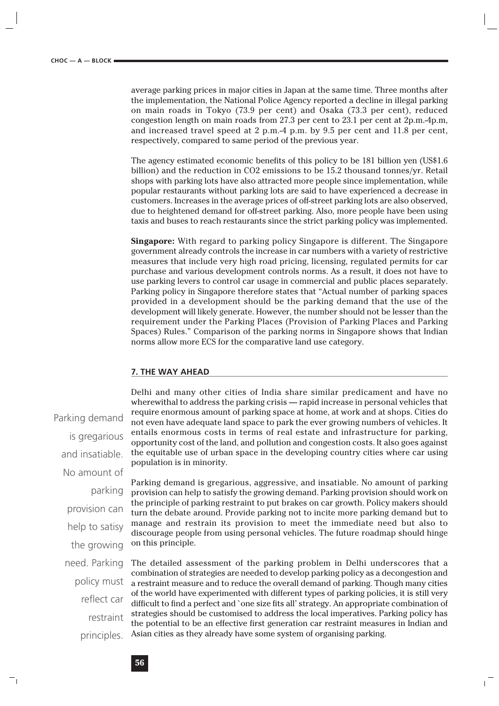average parking prices in major cities in Japan at the same time. Three months after the implementation, the National Police Agency reported a decline in illegal parking on main roads in Tokyo (73.9 per cent) and Osaka (73.3 per cent), reduced congestion length on main roads from 27.3 per cent to 23.1 per cent at 2p.m.-4p.m, and increased travel speed at 2 p.m.-4 p.m. by 9.5 per cent and 11.8 per cent, respectively, compared to same period of the previous year.

The agency estimated economic benefits of this policy to be 181 billion yen (US\$1.6 billion) and the reduction in CO2 emissions to be 15.2 thousand tonnes/yr. Retail shops with parking lots have also attracted more people since implementation, while popular restaurants without parking lots are said to have experienced a decrease in customers. Increases in the average prices of off-street parking lots are also observed, due to heightened demand for off-street parking. Also, more people have been using taxis and buses to reach restaurants since the strict parking policy was implemented.

**Singapore:** With regard to parking policy Singapore is different. The Singapore government already controls the increase in car numbers with a variety of restrictive measures that include very high road pricing, licensing, regulated permits for car purchase and various development controls norms. As a result, it does not have to use parking levers to control car usage in commercial and public places separately. Parking policy in Singapore therefore states that "Actual number of parking spaces provided in a development should be the parking demand that the use of the development will likely generate. However, the number should not be lesser than the requirement under the Parking Places (Provision of Parking Places and Parking Spaces) Rules." Comparison of the parking norms in Singapore shows that Indian norms allow more ECS for the comparative land use category.

#### **7. THE WAY AHEAD**

Parking demand is gregarious and insatiable. No amount of parking provision can help to satisy the growing need. Parking policy must reflect car restraint principles.

7

Delhi and many other cities of India share similar predicament and have no wherewithal to address the parking crisis — rapid increase in personal vehicles that require enormous amount of parking space at home, at work and at shops. Cities do not even have adequate land space to park the ever growing numbers of vehicles. It entails enormous costs in terms of real estate and infrastructure for parking, opportunity cost of the land, and pollution and congestion costs. It also goes against the equitable use of urban space in the developing country cities where car using population is in minority.

Parking demand is gregarious, aggressive, and insatiable. No amount of parking provision can help to satisfy the growing demand. Parking provision should work on the principle of parking restraint to put brakes on car growth. Policy makers should turn the debate around. Provide parking not to incite more parking demand but to manage and restrain its provision to meet the immediate need but also to discourage people from using personal vehicles. The future roadmap should hinge on this principle.

The detailed assessment of the parking problem in Delhi underscores that a combination of strategies are needed to develop parking policy as a decongestion and a restraint measure and to reduce the overall demand of parking. Though many cities of the world have experimented with different types of parking policies, it is still very difficult to find a perfect and `one size fits all' strategy. An appropriate combination of strategies should be customised to address the local imperatives. Parking policy has the potential to be an effective first generation car restraint measures in Indian and Asian cities as they already have some system of organising parking.

 $\overline{1}$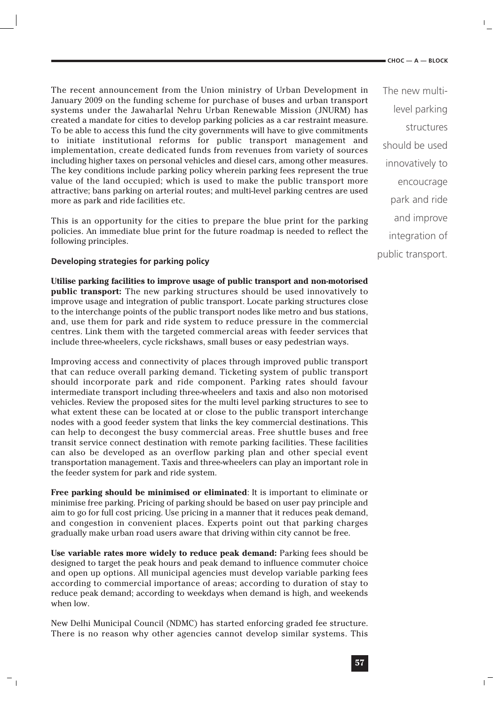$\mathbf{L}$ 

The recent announcement from the Union ministry of Urban Development in January 2009 on the funding scheme for purchase of buses and urban transport systems under the Jawaharlal Nehru Urban Renewable Mission (JNURM) has created a mandate for cities to develop parking policies as a car restraint measure. To be able to access this fund the city governments will have to give commitments to initiate institutional reforms for public transport management and implementation, create dedicated funds from revenues from variety of sources including higher taxes on personal vehicles and diesel cars, among other measures. The key conditions include parking policy wherein parking fees represent the true value of the land occupied; which is used to make the public transport more attractive; bans parking on arterial routes; and multi-level parking centres are used more as park and ride facilities etc.

This is an opportunity for the cities to prepare the blue print for the parking policies. An immediate blue print for the future roadmap is needed to reflect the following principles.

#### **Developing strategies for parking policy**

 $^{-}$  1

**Utilise parking facilities to improve usage of public transport and non-motorised public transport:** The new parking structures should be used innovatively to improve usage and integration of public transport. Locate parking structures close to the interchange points of the public transport nodes like metro and bus stations, and, use them for park and ride system to reduce pressure in the commercial centres. Link them with the targeted commercial areas with feeder services that include three-wheelers, cycle rickshaws, small buses or easy pedestrian ways.

Improving access and connectivity of places through improved public transport that can reduce overall parking demand. Ticketing system of public transport should incorporate park and ride component. Parking rates should favour intermediate transport including three-wheelers and taxis and also non motorised vehicles. Review the proposed sites for the multi level parking structures to see to what extent these can be located at or close to the public transport interchange nodes with a good feeder system that links the key commercial destinations. This can help to decongest the busy commercial areas. Free shuttle buses and free transit service connect destination with remote parking facilities. These facilities can also be developed as an overflow parking plan and other special event transportation management. Taxis and three-wheelers can play an important role in the feeder system for park and ride system.

**Free parking should be minimised or eliminated**: It is important to eliminate or minimise free parking. Pricing of parking should be based on user pay principle and aim to go for full cost pricing. Use pricing in a manner that it reduces peak demand, and congestion in convenient places. Experts point out that parking charges gradually make urban road users aware that driving within city cannot be free.

**Use variable rates more widely to reduce peak demand:** Parking fees should be designed to target the peak hours and peak demand to influence commuter choice and open up options. All municipal agencies must develop variable parking fees according to commercial importance of areas; according to duration of stay to reduce peak demand; according to weekdays when demand is high, and weekends when low.

New Delhi Municipal Council (NDMC) has started enforcing graded fee structure. There is no reason why other agencies cannot develop similar systems. This

The new multilevel parking structures should be used innovatively to encoucrage park and ride and improve integration of public transport.

 $\mathbf{I}$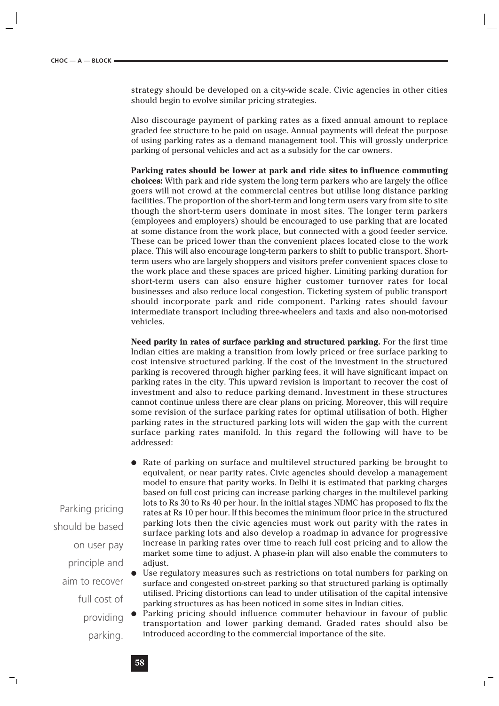strategy should be developed on a city-wide scale. Civic agencies in other cities should begin to evolve similar pricing strategies.

Also discourage payment of parking rates as a fixed annual amount to replace graded fee structure to be paid on usage. Annual payments will defeat the purpose of using parking rates as a demand management tool. This will grossly underprice parking of personal vehicles and act as a subsidy for the car owners.

**Parking rates should be lower at park and ride sites to influence commuting choices:** With park and ride system the long term parkers who are largely the office goers will not crowd at the commercial centres but utilise long distance parking facilities. The proportion of the short-term and long term users vary from site to site though the short-term users dominate in most sites. The longer term parkers (employees and employers) should be encouraged to use parking that are located at some distance from the work place, but connected with a good feeder service. These can be priced lower than the convenient places located close to the work place. This will also encourage long-term parkers to shift to public transport. Shortterm users who are largely shoppers and visitors prefer convenient spaces close to the work place and these spaces are priced higher. Limiting parking duration for short-term users can also ensure higher customer turnover rates for local businesses and also reduce local congestion. Ticketing system of public transport should incorporate park and ride component. Parking rates should favour intermediate transport including three-wheelers and taxis and also non-motorised vehicles.

**Need parity in rates of surface parking and structured parking.** For the first time Indian cities are making a transition from lowly priced or free surface parking to cost intensive structured parking. If the cost of the investment in the structured parking is recovered through higher parking fees, it will have significant impact on parking rates in the city. This upward revision is important to recover the cost of investment and also to reduce parking demand. Investment in these structures cannot continue unless there are clear plans on pricing. Moreover, this will require some revision of the surface parking rates for optimal utilisation of both. Higher parking rates in the structured parking lots will widen the gap with the current surface parking rates manifold. In this regard the following will have to be addressed:

- Rate of parking on surface and multilevel structured parking be brought to equivalent, or near parity rates. Civic agencies should develop a management model to ensure that parity works. In Delhi it is estimated that parking charges based on full cost pricing can increase parking charges in the multilevel parking lots to Rs 30 to Rs 40 per hour. In the initial stages NDMC has proposed to fix the rates at Rs 10 per hour. If this becomes the minimum floor price in the structured parking lots then the civic agencies must work out parity with the rates in surface parking lots and also develop a roadmap in advance for progressive increase in parking rates over time to reach full cost pricing and to allow the market some time to adjust. A phase-in plan will also enable the commuters to adjust.
- Use regulatory measures such as restrictions on total numbers for parking on surface and congested on-street parking so that structured parking is optimally utilised. Pricing distortions can lead to under utilisation of the capital intensive parking structures as has been noticed in some sites in Indian cities.
- Parking pricing should influence commuter behaviour in favour of public transportation and lower parking demand. Graded rates should also be introduced according to the commercial importance of the site.

 $\mathbf{I}$ 

Parking pricing should be based on user pay principle and aim to recover full cost of providing

7

parking.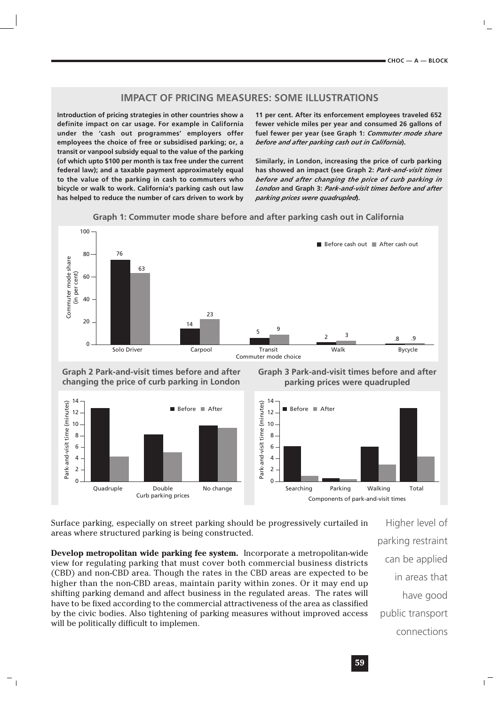# **IMPACT OF PRICING MEASURES: SOME ILLUSTRATIONS**

**Introduction of pricing strategies in other countries show a definite impact on car usage. For example in California under the 'cash out programmes' employers offer employees the choice of free or subsidised parking; or, a transit or vanpool subsidy equal to the value of the parking (of which upto \$100 per month is tax free under the current federal law); and a taxable payment approximately equal to the value of the parking in cash to commuters who bicycle or walk to work. California's parking cash out law has helped to reduce the number of cars driven to work by**

**11 per cent. After its enforcement employees traveled 652 fewer vehicle miles per year and consumed 26 gallons of fuel fewer per year (see Graph 1:** *Commuter mode share before and after parking cash out in California***).** 

**Similarly, in London, increasing the price of curb parking has showed an impact (see Graph 2:** *Park-and-visit times before and after changing the price of curb parking in London* **and Graph 3:** *Park-and-visit times before and after parking prices were quadrupled***).**

**Graph 1: Commuter mode share before and after parking cash out in California**





 $\overline{\phantom{a}}$ 

# **Graph 2 Park-and-visit times before and after changing the price of curb parking in London**





Surface parking, especially on street parking should be progressively curtailed in areas where structured parking is being constructed.

**Develop metropolitan wide parking fee system.** Incorporate a metropolitan-wide view for regulating parking that must cover both commercial business districts (CBD) and non-CBD area. Though the rates in the CBD areas are expected to be higher than the non-CBD areas, maintain parity within zones. Or it may end up shifting parking demand and affect business in the regulated areas. The rates will have to be fixed according to the commercial attractiveness of the area as classified by the civic bodies. Also tightening of parking measures without improved access will be politically difficult to implemen.

Higher level of parking restraint can be applied in areas that have good public transport connections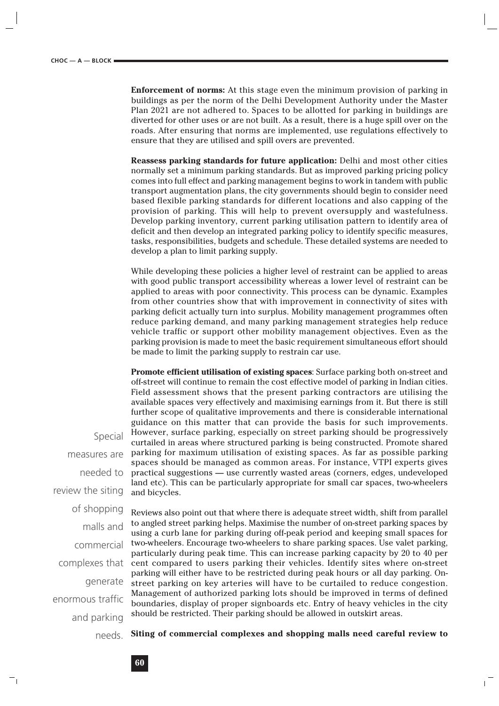**Enforcement of norms:** At this stage even the minimum provision of parking in buildings as per the norm of the Delhi Development Authority under the Master Plan 2021 are not adhered to. Spaces to be allotted for parking in buildings are diverted for other uses or are not built. As a result, there is a huge spill over on the roads. After ensuring that norms are implemented, use regulations effectively to ensure that they are utilised and spill overs are prevented.

**Reassess parking standards for future application:** Delhi and most other cities normally set a minimum parking standards. But as improved parking pricing policy comes into full effect and parking management begins to work in tandem with public transport augmentation plans, the city governments should begin to consider need based flexible parking standards for different locations and also capping of the provision of parking. This will help to prevent oversupply and wastefulness. Develop parking inventory, current parking utilisation pattern to identify area of deficit and then develop an integrated parking policy to identify specific measures, tasks, responsibilities, budgets and schedule. These detailed systems are needed to develop a plan to limit parking supply.

While developing these policies a higher level of restraint can be applied to areas with good public transport accessibility whereas a lower level of restraint can be applied to areas with poor connectivity. This process can be dynamic. Examples from other countries show that with improvement in connectivity of sites with parking deficit actually turn into surplus. Mobility management programmes often reduce parking demand, and many parking management strategies help reduce vehicle traffic or support other mobility management objectives. Even as the parking provision is made to meet the basic requirement simultaneous effort should be made to limit the parking supply to restrain car use.

**Promote efficient utilisation of existing spaces**: Surface parking both on-street and off-street will continue to remain the cost effective model of parking in Indian cities. Field assessment shows that the present parking contractors are utilising the available spaces very effectively and maximising earnings from it. But there is still further scope of qualitative improvements and there is considerable international guidance on this matter that can provide the basis for such improvements. However, surface parking, especially on street parking should be progressively curtailed in areas where structured parking is being constructed. Promote shared parking for maximum utilisation of existing spaces. As far as possible parking spaces should be managed as common areas. For instance, VTPI experts gives practical suggestions — use currently wasted areas (corners, edges, undeveloped land etc). This can be particularly appropriate for small car spaces, two-wheelers and bicycles.

measures are needed to review the siting of shopping malls and commercial complexes that generate enormous traffic and parking

71

Special

Reviews also point out that where there is adequate street width, shift from parallel to angled street parking helps. Maximise the number of on-street parking spaces by using a curb lane for parking during off-peak period and keeping small spaces for two-wheelers. Encourage two-wheelers to share parking spaces. Use valet parking, particularly during peak time. This can increase parking capacity by 20 to 40 per cent compared to users parking their vehicles. Identify sites where on-street parking will either have to be restricted during peak hours or all day parking. Onstreet parking on key arteries will have to be curtailed to reduce congestion. Management of authorized parking lots should be improved in terms of defined boundaries, display of proper signboards etc. Entry of heavy vehicles in the city should be restricted. Their parking should be allowed in outskirt areas.

**Siting of commercial complexes and shopping malls need careful review to** needs.

 $\overline{1}$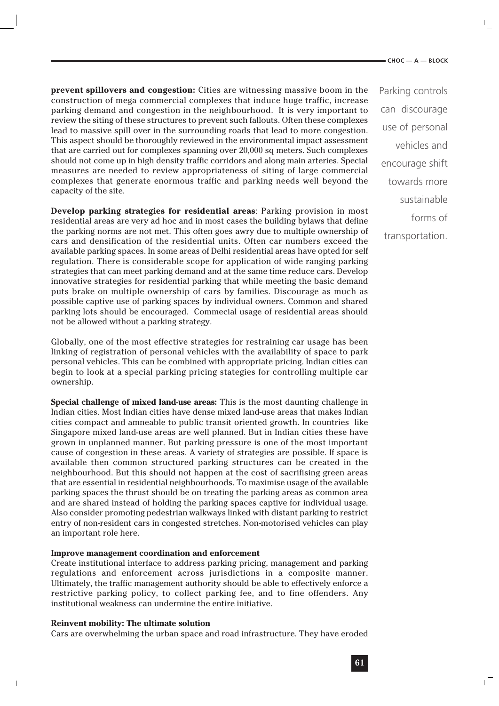$\mathbf{L}$ 

**prevent spillovers and congestion:** Cities are witnessing massive boom in the construction of mega commercial complexes that induce huge traffic, increase parking demand and congestion in the neighbourhood. It is very important to review the siting of these structures to prevent such fallouts. Often these complexes lead to massive spill over in the surrounding roads that lead to more congestion. This aspect should be thoroughly reviewed in the environmental impact assessment that are carried out for complexes spanning over 20,000 sq meters. Such complexes should not come up in high density traffic corridors and along main arteries. Special measures are needed to review appropriateness of siting of large commercial complexes that generate enormous traffic and parking needs well beyond the capacity of the site.

**Develop parking strategies for residential areas**: Parking provision in most residential areas are very ad hoc and in most cases the building bylaws that define the parking norms are not met. This often goes awry due to multiple ownership of cars and densification of the residential units. Often car numbers exceed the available parking spaces. In some areas of Delhi residential areas have opted for self regulation. There is considerable scope for application of wide ranging parking strategies that can meet parking demand and at the same time reduce cars. Develop innovative strategies for residential parking that while meeting the basic demand puts brake on multiple ownership of cars by families. Discourage as much as possible captive use of parking spaces by individual owners. Common and shared parking lots should be encouraged. Commecial usage of residential areas should not be allowed without a parking strategy.

Globally, one of the most effective strategies for restraining car usage has been linking of registration of personal vehicles with the availability of space to park personal vehicles. This can be combined with appropriate pricing. Indian cities can begin to look at a special parking pricing stategies for controlling multiple car ownership.

**Special challenge of mixed land-use areas:** This is the most daunting challenge in Indian cities. Most Indian cities have dense mixed land-use areas that makes Indian cities compact and amneable to public transit oriented growth. In countries like Singapore mixed land-use areas are well planned. But in Indian cities these have grown in unplanned manner. But parking pressure is one of the most important cause of congestion in these areas. A variety of strategies are possible. If space is available then common structured parking structures can be created in the neighbourhood. But this should not happen at the cost of sacrifising green areas that are essential in residential neighbourhoods. To maximise usage of the available parking spaces the thrust should be on treating the parking areas as common area and are shared instead of holding the parking spaces captive for individual usage. Also consider promoting pedestrian walkways linked with distant parking to restrict entry of non-resident cars in congested stretches. Non-motorised vehicles can play an important role here.

## **Improve management coordination and enforcement**

Create institutional interface to address parking pricing, management and parking regulations and enforcement across jurisdictions in a composite manner. Ultimately, the traffic management authority should be able to effectively enforce a restrictive parking policy, to collect parking fee, and to fine offenders. Any institutional weakness can undermine the entire initiative.

## **Reinvent mobility: The ultimate solution**

Cars are overwhelming the urban space and road infrastructure. They have eroded

Parking controls can discourage use of personal vehicles and encourage shift towards more sustainable forms of transportation.

 $\mathbf{L}$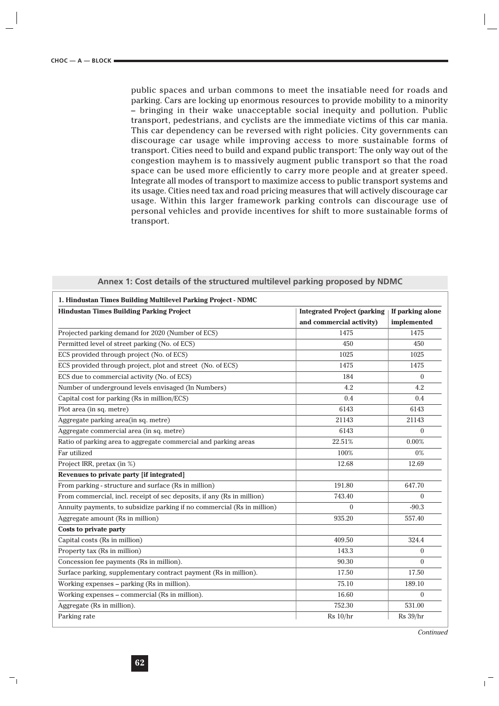public spaces and urban commons to meet the insatiable need for roads and parking. Cars are locking up enormous resources to provide mobility to a minority – bringing in their wake unacceptable social inequity and pollution. Public transport, pedestrians, and cyclists are the immediate victims of this car mania. This car dependency can be reversed with right policies. City governments can discourage car usage while improving access to more sustainable forms of transport. Cities need to build and expand public transport: The only way out of the congestion mayhem is to massively augment public transport so that the road space can be used more efficiently to carry more people and at greater speed. Integrate all modes of transport to maximize access to public transport systems and its usage. Cities need tax and road pricing measures that will actively discourage car usage. Within this larger framework parking controls can discourage use of personal vehicles and provide incentives for shift to more sustainable forms of transport.

| <b>Hindustan Times Building Parking Project</b>                         | <b>Integrated Project (parking</b> | If parking alone<br>implemented |  |
|-------------------------------------------------------------------------|------------------------------------|---------------------------------|--|
|                                                                         | and commercial activity)           |                                 |  |
| Projected parking demand for 2020 (Number of ECS)                       | 1475                               |                                 |  |
| Permitted level of street parking (No. of ECS)                          | 450                                | 450                             |  |
| ECS provided through project (No. of ECS)                               | 1025                               | 1025                            |  |
| ECS provided through project, plot and street (No. of ECS)              | 1475                               | 1475                            |  |
| ECS due to commercial activity (No. of ECS)                             | 184                                | $\theta$                        |  |
| Number of underground levels envisaged (In Numbers)                     | 4.2                                | 4.2                             |  |
| Capital cost for parking (Rs in million/ECS)                            | 0.4                                | 0.4                             |  |
| Plot area (in sq. metre)                                                | 6143                               | 6143                            |  |
| Aggregate parking area(in sq. metre)                                    | 21143                              | 21143                           |  |
| Aggregate commercial area (in sq. metre)                                | 6143                               | $\Omega$                        |  |
| Ratio of parking area to aggregate commercial and parking areas         | 22.51%                             | 0.00%                           |  |
| Far utilized                                                            | 100%                               | 0%                              |  |
| Project IRR, pretax (in %)                                              | 12.68                              | 12.69                           |  |
| Revenues to private party [if integrated]                               |                                    |                                 |  |
| From parking - structure and surface (Rs in million)                    | 191.80                             | 647.70                          |  |
| From commercial, incl. receipt of sec deposits, if any (Rs in million)  | 743.40                             | $\theta$                        |  |
| Annuity payments, to subsidize parking if no commercial (Rs in million) | $\theta$                           | $-90.3$                         |  |
| Aggregate amount (Rs in million)                                        | 935.20                             | 557.40                          |  |
| Costs to private party                                                  |                                    |                                 |  |
| Capital costs (Rs in million)                                           | 409.50                             | 324.4                           |  |
| Property tax (Rs in million)                                            | 143.3                              | $\theta$                        |  |
| Concession fee payments (Rs in million).                                | 90.30                              | $\theta$                        |  |
| Surface parking, supplementary contract payment (Rs in million).        | 17.50                              | 17.50                           |  |
| Working expenses - parking (Rs in million).                             | 75.10                              | 189.10                          |  |
| Working expenses - commercial (Rs in million).                          | 16.60                              | $\theta$                        |  |
| Aggregate (Rs in million).                                              | 752.30                             | 531.00                          |  |
| Parking rate                                                            | Rs 10/hr                           | Rs 39/hr                        |  |

## **Annex 1: Cost details of the structured multilevel parking proposed by NDMC**

*Continued*

 $\mathbf{I}$ 

71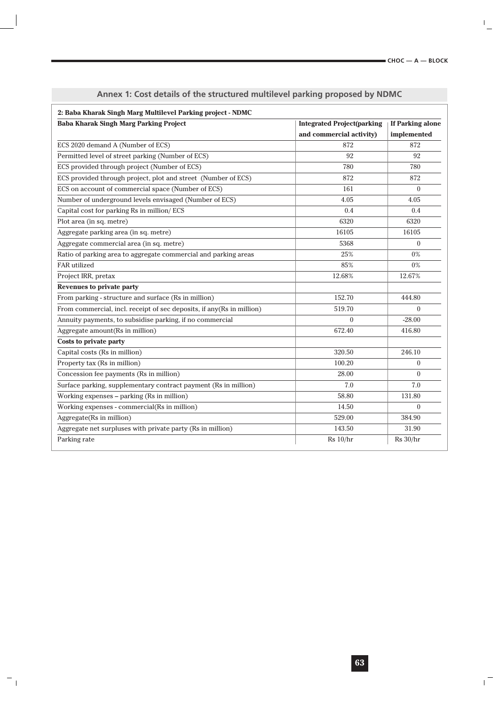$\frac{1}{\sqrt{2}}$ 

| 2: Baba Kharak Singh Marg Multilevel Parking project - NDMC<br><b>Baba Kharak Singh Marg Parking Project</b> | <b>Integrated Project(parking</b> | <b>If Parking alone</b> |  |
|--------------------------------------------------------------------------------------------------------------|-----------------------------------|-------------------------|--|
|                                                                                                              | and commercial activity)          | implemented             |  |
| ECS 2020 demand A (Number of ECS)                                                                            | 872                               | 872                     |  |
| Permitted level of street parking (Number of ECS)                                                            | 92                                | 92                      |  |
| ECS provided through project (Number of ECS)                                                                 | 780                               | 780                     |  |
| ECS provided through project, plot and street (Number of ECS)                                                | 872                               | 872                     |  |
| ECS on account of commercial space (Number of ECS)                                                           | 161                               | $\theta$                |  |
| Number of underground levels envisaged (Number of ECS)                                                       | 4.05                              | 4.05                    |  |
| Capital cost for parking Rs in million/ECS                                                                   | 0.4                               | 0.4                     |  |
| Plot area (in sq. metre)                                                                                     | 6320                              | 6320                    |  |
| Aggregate parking area (in sq. metre)                                                                        | 16105                             | 16105                   |  |
| Aggregate commercial area (in sq. metre)                                                                     | 5368                              | $\theta$                |  |
| Ratio of parking area to aggregate commercial and parking areas                                              | 25%                               | 0%                      |  |
| <b>FAR</b> utilized                                                                                          | 85%                               | 0%                      |  |
| Project IRR, pretax                                                                                          | 12.68%                            | 12.67%                  |  |
| <b>Revenues to private party</b>                                                                             |                                   |                         |  |
| From parking - structure and surface (Rs in million)                                                         | 152.70                            | 444.80                  |  |
| From commercial, incl. receipt of sec deposits, if any(Rs in million)                                        | 519.70                            | $\theta$                |  |
| Annuity payments, to subsidise parking, if no commercial                                                     | $\Omega$                          | $-28.00$                |  |
| Aggregate amount (Rs in million)                                                                             | 672.40                            | 416.80                  |  |
| Costs to private party                                                                                       |                                   |                         |  |
| Capital costs (Rs in million)                                                                                | 320.50                            | 246.10                  |  |
| Property tax (Rs in million)                                                                                 | 100.20                            | $\mathbf{0}$            |  |
| Concession fee payments (Rs in million)                                                                      | 28.00                             | $\Omega$                |  |
| Surface parking, supplementary contract payment (Rs in million)                                              | 7.0                               | 7.0                     |  |
| Working expenses - parking (Rs in million)                                                                   | 58.80                             | 131.80                  |  |
| Working expenses - commercial(Rs in million)                                                                 | 14.50                             | $\Omega$                |  |
| Aggregate(Rs in million)                                                                                     | 529.00                            | 384.90                  |  |
| Aggregate net surpluses with private party (Rs in million)                                                   | 143.50                            | 31.90                   |  |
| Parking rate                                                                                                 | $Rs$ 10/ $hr$                     | Rs 30/hr                |  |

 $\equiv_\perp$ 

**Annex 1: Cost details of the structured multilevel parking proposed by NDMC**

 $\mathbf{1}^{\pm}$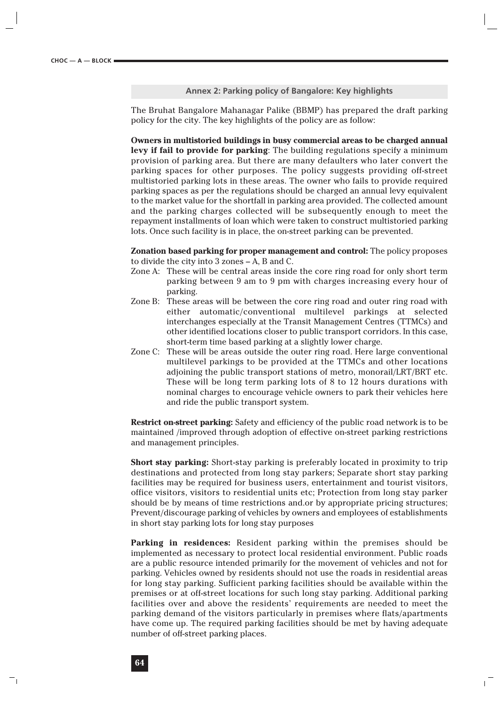**Annex 2: Parking policy of Bangalore: Key highlights**

The Bruhat Bangalore Mahanagar Palike (BBMP) has prepared the draft parking policy for the city. The key highlights of the policy are as follow:

**Owners in multistoried buildings in busy commercial areas to be charged annual levy if fail to provide for parking**: The building regulations specify a minimum provision of parking area. But there are many defaulters who later convert the parking spaces for other purposes. The policy suggests providing off-street multistoried parking lots in these areas. The owner who fails to provide required parking spaces as per the regulations should be charged an annual levy equivalent to the market value for the shortfall in parking area provided. The collected amount and the parking charges collected will be subsequently enough to meet the repayment installments of loan which were taken to construct multistoried parking lots. Once such facility is in place, the on-street parking can be prevented.

**Zonation based parking for proper management and control:** The policy proposes to divide the city into 3 zones – A, B and C.

- Zone A: These will be central areas inside the core ring road for only short term parking between 9 am to 9 pm with charges increasing every hour of parking.
- Zone B: These areas will be between the core ring road and outer ring road with either automatic/conventional multilevel parkings at selected interchanges especially at the Transit Management Centres (TTMCs) and other identified locations closer to public transport corridors. In this case, short-term time based parking at a slightly lower charge.
- Zone C: These will be areas outside the outer ring road. Here large conventional multilevel parkings to be provided at the TTMCs and other locations adjoining the public transport stations of metro, monorail/LRT/BRT etc. These will be long term parking lots of 8 to 12 hours durations with nominal charges to encourage vehicle owners to park their vehicles here and ride the public transport system.

**Restrict on-street parking:** Safety and efficiency of the public road network is to be maintained /improved through adoption of effective on-street parking restrictions and management principles.

**Short stay parking:** Short-stay parking is preferably located in proximity to trip destinations and protected from long stay parkers; Separate short stay parking facilities may be required for business users, entertainment and tourist visitors, office visitors, visitors to residential units etc; Protection from long stay parker should be by means of time restrictions and.or by appropriate pricing structures; Prevent/discourage parking of vehicles by owners and employees of establishments in short stay parking lots for long stay purposes

**Parking in residences:** Resident parking within the premises should be implemented as necessary to protect local residential environment. Public roads are a public resource intended primarily for the movement of vehicles and not for parking. Vehicles owned by residents should not use the roads in residential areas for long stay parking. Sufficient parking facilities should be available within the premises or at off-street locations for such long stay parking. Additional parking facilities over and above the residents' requirements are needed to meet the parking demand of the visitors particularly in premises where flats/apartments have come up. The required parking facilities should be met by having adequate number of off-street parking places.

 $\mathbf{I}$ 

T)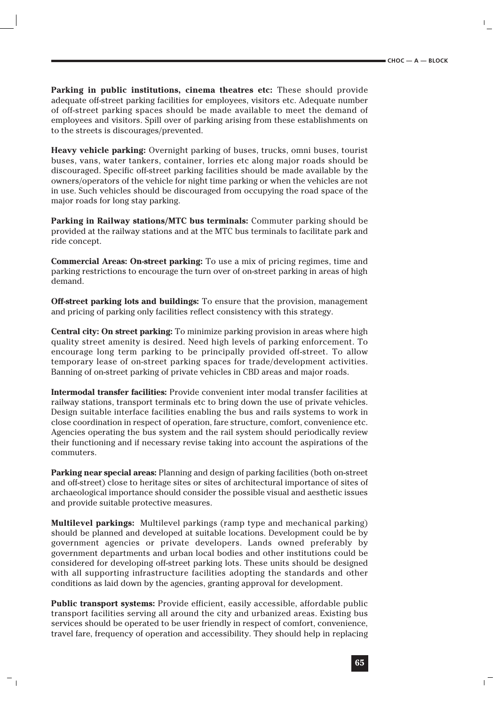**Parking in public institutions, cinema theatres etc:** These should provide adequate off-street parking facilities for employees, visitors etc. Adequate number of off-street parking spaces should be made available to meet the demand of employees and visitors. Spill over of parking arising from these establishments on to the streets is discourages/prevented.

**Heavy vehicle parking:** Overnight parking of buses, trucks, omni buses, tourist buses, vans, water tankers, container, lorries etc along major roads should be discouraged. Specific off-street parking facilities should be made available by the owners/operators of the vehicle for night time parking or when the vehicles are not in use. Such vehicles should be discouraged from occupying the road space of the major roads for long stay parking.

**Parking in Railway stations/MTC bus terminals:** Commuter parking should be provided at the railway stations and at the MTC bus terminals to facilitate park and ride concept.

**Commercial Areas: On-street parking:** To use a mix of pricing regimes, time and parking restrictions to encourage the turn over of on-street parking in areas of high demand.

**Off-street parking lots and buildings:** To ensure that the provision, management and pricing of parking only facilities reflect consistency with this strategy.

**Central city: On street parking:** To minimize parking provision in areas where high quality street amenity is desired. Need high levels of parking enforcement. To encourage long term parking to be principally provided off-street. To allow temporary lease of on-street parking spaces for trade/development activities. Banning of on-street parking of private vehicles in CBD areas and major roads.

**Intermodal transfer facilities:** Provide convenient inter modal transfer facilities at railway stations, transport terminals etc to bring down the use of private vehicles. Design suitable interface facilities enabling the bus and rails systems to work in close coordination in respect of operation, fare structure, comfort, convenience etc. Agencies operating the bus system and the rail system should periodically review their functioning and if necessary revise taking into account the aspirations of the commuters.

**Parking near special areas:** Planning and design of parking facilities (both on-street and off-street) close to heritage sites or sites of architectural importance of sites of archaeological importance should consider the possible visual and aesthetic issues and provide suitable protective measures.

**Multilevel parkings:** Multilevel parkings (ramp type and mechanical parking) should be planned and developed at suitable locations. Development could be by government agencies or private developers. Lands owned preferably by government departments and urban local bodies and other institutions could be considered for developing off-street parking lots. These units should be designed with all supporting infrastructure facilities adopting the standards and other conditions as laid down by the agencies, granting approval for development.

**Public transport systems:** Provide efficient, easily accessible, affordable public transport facilities serving all around the city and urbanized areas. Existing bus services should be operated to be user friendly in respect of comfort, convenience, travel fare, frequency of operation and accessibility. They should help in replacing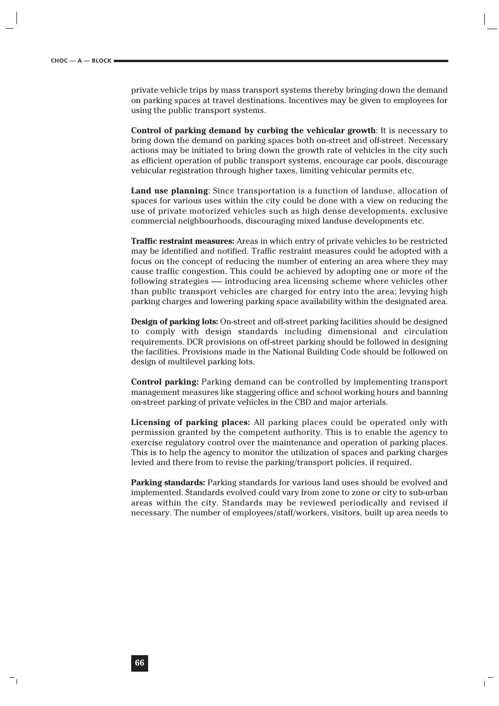private vehicle trips by mass transport systems thereby bringing down the demand on parking spaces at travel destinations. Incentives may be given to employees for using the public transport systems.

**Control of parking demand by curbing the vehicular growth**: It is necessary to bring down the demand on parking spaces both on-street and off-street. Necessary actions may be initiated to bring down the growth rate of vehicles in the city such as efficient operation of public transport systems, encourage car pools, discourage vehicular registration through higher taxes, limiting vehicular permits etc.

**Land use planning**: Since transportation is a function of landuse, allocation of spaces for various uses within the city could be done with a view on reducing the use of private motorized vehicles such as high dense developments, exclusive commercial neighbourhoods, discouraging mixed landuse developments etc.

**Traffic restraint measures:** Areas in which entry of private vehicles to be restricted may be identified and notified. Traffic restraint measures could be adopted with a focus on the concept of reducing the number of entering an area where they may cause traffic congestion. This could be achieved by adopting one or more of the following strategies - introducing area licensing scheme where vehicles other than public transport vehicles are charged for entry into the area; levying high parking charges and lowering parking space availability within the designated area.

**Design of parking lots:** On-street and off-street parking facilities should be designed to comply with design standards including dimensional and circulation requirements. DCR provisions on off-street parking should be followed in designing the facilities. Provisions made in the National Building Code should be followed on design of multilevel parking lots.

**Control parking:** Parking demand can be controlled by implementing transport management measures like staggering office and school working hours and banning on-street parking of private vehicles in the CBD and major arterials.

**Licensing of parking places:** All parking places could be operated only with permission granted by the competent authority. This is to enable the agency to exercise regulatory control over the maintenance and operation of parking places. This is to help the agency to monitor the utilization of spaces and parking charges levied and there from to revise the parking/transport policies, if required.

**Parking standards:** Parking standards for various land uses should be evolved and implemented. Standards evolved could vary from zone to zone or city to sub-urban areas within the city. Standards may be reviewed periodically and revised if necessary. The number of employees/staff/workers, visitors, built up area needs to

 $\mathbf{L}$ 

71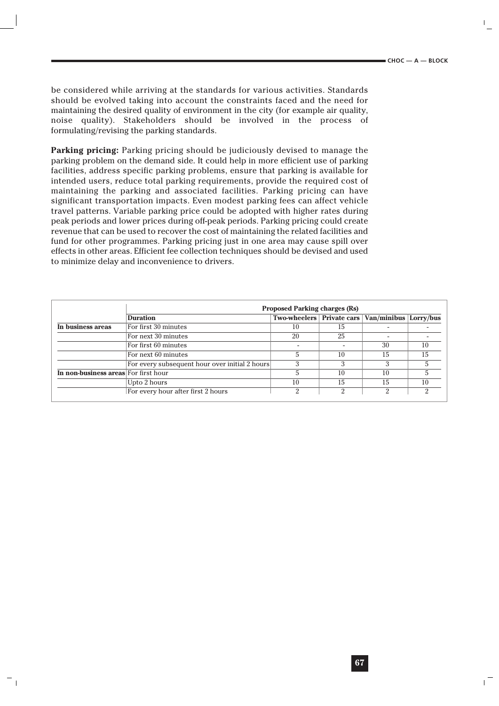$\mathbf{I}$ 

be considered while arriving at the standards for various activities. Standards should be evolved taking into account the constraints faced and the need for maintaining the desired quality of environment in the city (for example air quality, noise quality). Stakeholders should be involved in the process of formulating/revising the parking standards.

**Parking pricing:** Parking pricing should be judiciously devised to manage the parking problem on the demand side. It could help in more efficient use of parking facilities, address specific parking problems, ensure that parking is available for intended users, reduce total parking requirements, provide the required cost of maintaining the parking and associated facilities. Parking pricing can have significant transportation impacts. Even modest parking fees can affect vehicle travel patterns. Variable parking price could be adopted with higher rates during peak periods and lower prices during off-peak periods. Parking pricing could create revenue that can be used to recover the cost of maintaining the related facilities and fund for other programmes. Parking pricing just in one area may cause spill over effects in other areas. Efficient fee collection techniques should be devised and used to minimize delay and inconvenience to drivers.

|                                      | <b>Proposed Parking charges (Rs)</b>           |                                                       |    |    |    |  |  |
|--------------------------------------|------------------------------------------------|-------------------------------------------------------|----|----|----|--|--|
|                                      | <b>Duration</b>                                | Two-wheelers   Private cars   Van/minibus   Lorry/bus |    |    |    |  |  |
| In business areas                    | For first 30 minutes                           | 10                                                    | 15 |    |    |  |  |
|                                      | For next 30 minutes                            | 20                                                    | 25 |    |    |  |  |
|                                      | For first 60 minutes                           |                                                       |    | 30 | 10 |  |  |
|                                      | For next 60 minutes                            |                                                       | 10 | 15 | 15 |  |  |
|                                      | For every subsequent hour over initial 2 hours | 3                                                     | 3  | 3  |    |  |  |
| In non-business areas For first hour |                                                |                                                       | 10 | 10 |    |  |  |
|                                      | Upto 2 hours                                   | 10                                                    | 15 | 15 | 10 |  |  |
|                                      | For every hour after first 2 hours             | ച                                                     |    | ച  |    |  |  |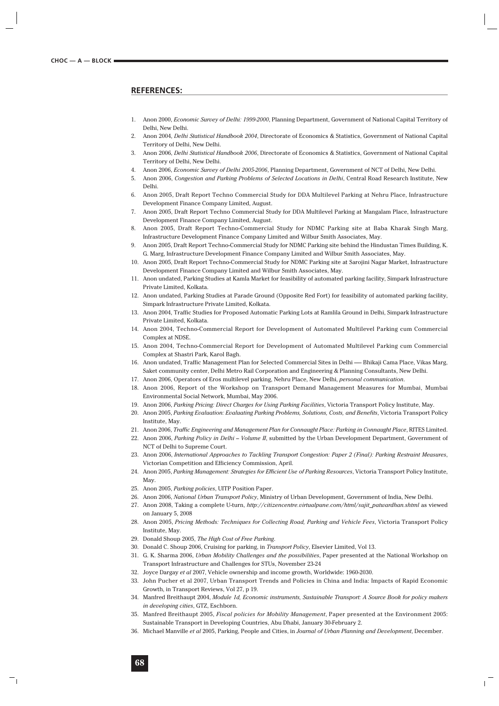## **REFERENCES:**

- 1. Anon 2000, *Economic Survey of Delhi: 1999-2000*, Planning Department, Government of National Capital Territory of Delhi, New Delhi.
- 2. Anon 2004, *Delhi Statistical Handbook 2004*, Directorate of Economics & Statistics, Government of National Capital Territory of Delhi, New Delhi.
- 3. Anon 2006, *Delhi Statistical Handbook 2006*, Directorate of Economics & Statistics, Government of National Capital Territory of Delhi, New Delhi.
- 4. Anon 2006, *Economic Survey of Delhi 2005-2006*, Planning Department, Government of NCT of Delhi, New Delhi.
- 5. Anon 2006, *Congestion and Parking Problems of Selected Locations in Delhi*, Central Road Research Institute, New Delhi.
- 6. Anon 2005, Draft Report Techno Commercial Study for DDA Multilevel Parking at Nehru Place, Infrastructure Development Finance Company Limited, August.
- 7. Anon 2005, Draft Report Techno Commercial Study for DDA Multilevel Parking at Mangalam Place, Infrastructure Development Finance Company Limited, August.
- 8. Anon 2005, Draft Report Techno-Commercial Study for NDMC Parking site at Baba Kharak Singh Marg, Infrastructure Development Finance Company Limited and Wilbur Smith Associates, May.
- 9. Anon 2005, Draft Report Techno-Commercial Study for NDMC Parking site behind the Hindustan Times Building, K. G. Marg, Infrastructure Development Finance Company Limited and Wilbur Smith Associates, May.
- 10. Anon 2005, Draft Report Techno-Commercial Study for NDMC Parking site at Sarojini Nagar Market, Infrastructure Development Finance Company Limited and Wilbur Smith Associates, May.
- 11. Anon undated, Parking Studies at Kamla Market for feasibility of automated parking facility, Simpark Infrastructure Private Limited, Kolkata.
- 12. Anon undated, Parking Studies at Parade Ground (Opposite Red Fort) for feasibility of automated parking facility, Simpark Infrastructure Private Limited, Kolkata.
- 13. Anon 2004, Traffic Studies for Proposed Automatic Parking Lots at Ramlila Ground in Delhi, Simpark Infrastructure Private Limited, Kolkata.
- 14. Anon 2004, Techno-Commercial Report for Development of Automated Multilevel Parking cum Commercial Complex at NDSE.
- 15. Anon 2004, Techno-Commercial Report for Development of Automated Multilevel Parking cum Commercial Complex at Shastri Park, Karol Bagh.
- 16. Anon undated, Traffic Management Plan for Selected Commercial Sites in Delhi —- Bhikaji Cama Place, Vikas Marg, Saket community center, Delhi Metro Rail Corporation and Engineering & Planning Consultants, New Delhi.
- 17. Anon 2006, Operators of Eros multilevel parking, Nehru Place, New Delhi, *personal communication*.
- 18. Anon 2006, Report of the Workshop on Transport Demand Management Measures for Mumbai, Mumbai Environmental Social Network, Mumbai, May 2006.
- 19. Anon 2006, *Parking Pricing: Direct Charges for Using Parking Facilities*, Victoria Transport Policy Institute, May.
- 20. Anon 2005, *Parking Evaluation: Evaluating Parking Problems, Solutions, Costs, and Benefits*, Victoria Transport Policy Institute, May.
- 21. Anon 2006, *Traffic Engineering and Management Plan for Connaught Place: Parking in Connaught Place*, RITES Limited.
- 22. Anon 2006, *Parking Policy in Delhi Volume II*, submitted by the Urban Development Department, Government of NCT of Delhi to Supreme Court.
- 23. Anon 2006, *International Approaches to Tackling Transport Congestion: Paper 2 (Final): Parking Restraint Measures*, Victorian Competition and Efficiency Commission, April.
- 24. Anon 2005, *Parking Management: Strategies for Efficient Use of Parking Resources*, Victoria Transport Policy Institute, May.
- 25. Anon 2005, *Parking policies*, UITP Position Paper.
- 26. Anon 2006, *National Urban Transport Policy*, Ministry of Urban Development, Government of India, New Delhi.
- 27. Anon 2008, Taking a complete U-turn, *http://citizencentre.virtualpune.com/html/sujit\_patwardhan.shtml* as viewed on January 5, 2008
- 28. Anon 2005, *Pricing Methods: Techniques for Collecting Road, Parking and Vehicle Fees*, Victoria Transport Policy Institute, May.
- 29. Donald Shoup 2005, *The High Cost of Free Parking*.
- 30. Donald C. Shoup 2006, Cruising for parking, in *Transport Policy*, Elsevier Limited, Vol 13.
- 31. G. K. Sharma 2006, *Urban Mobility Challenges and the possibilities*, Paper presented at the National Workshop on Transport Infrastructure and Challenges for STUs, November 23-24
- 32. Joyce Dargay *et al* 2007, Vehicle ownership and income growth, Worldwide: 1960-2030.
- 33. John Pucher et al 2007, Urban Transport Trends and Policies in China and India: Impacts of Rapid Economic Growth, in Transport Reviews, Vol 27, p 19.
- 34. Manfred Breithaupt 2004, *Module 1d, Economic instruments, Sustainable Transport: A Source Book for policy makers in developing cities*, GTZ, Eschborn.
- 35. Manfred Breithaupt 2005, *Fiscal policies for Mobility Management*, Paper presented at the Environment 2005: Sustainable Transport in Developing Countries, Abu Dhabi, January 30-February 2.
- 36. Michael Manville *et al* 2005, Parking, People and Cities, in *Journal of Urban Planning and Development*, December.